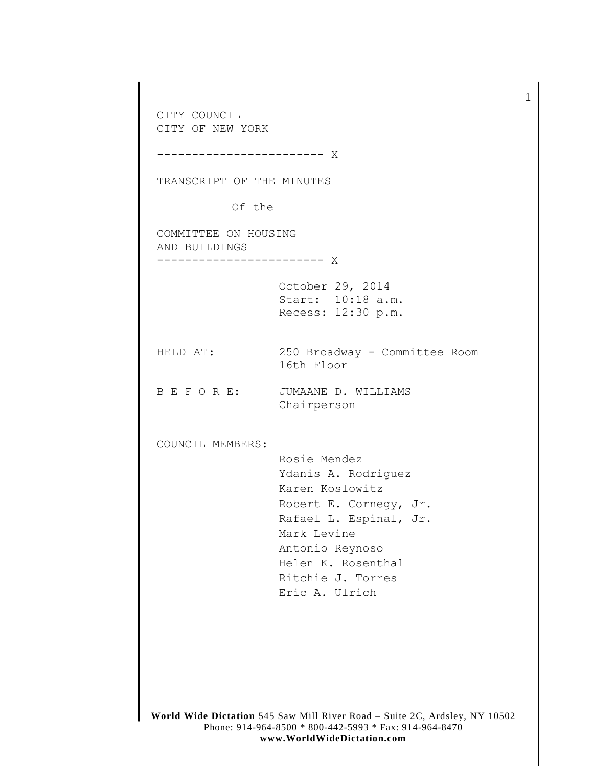CITY COUNCIL CITY OF NEW YORK ------------------------ X TRANSCRIPT OF THE MINUTES Of the COMMITTEE ON HOUSING AND BUILDINGS ------------------------ X October 29, 2014 Start: 10:18 a.m. Recess: 12:30 p.m. HELD AT: 250 Broadway - Committee Room 16th Floor B E F O R E: JUMAANE D. WILLIAMS Chairperson COUNCIL MEMBERS: Rosie Mendez Ydanis A. Rodriguez Karen Koslowitz Robert E. Cornegy, Jr. Rafael L. Espinal, Jr. Mark Levine Antonio Reynoso Helen K. Rosenthal Ritchie J. Torres Eric A. Ulrich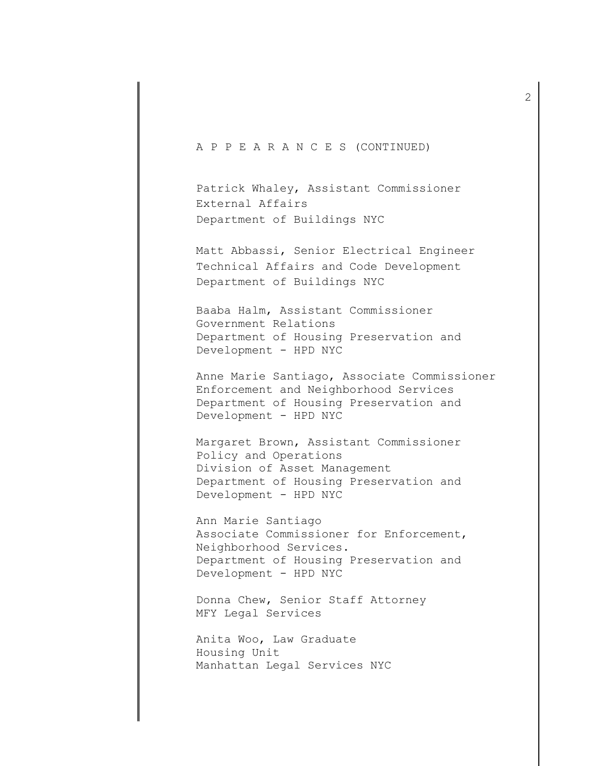## A P P E A R A N C E S (CONTINUED)

Patrick Whaley, Assistant Commissioner External Affairs Department of Buildings NYC

Matt Abbassi, Senior Electrical Engineer Technical Affairs and Code Development Department of Buildings NYC

Baaba Halm, Assistant Commissioner Government Relations Department of Housing Preservation and Development - HPD NYC

Anne Marie Santiago, Associate Commissioner Enforcement and Neighborhood Services Department of Housing Preservation and Development - HPD NYC

Margaret Brown, Assistant Commissioner Policy and Operations Division of Asset Management Department of Housing Preservation and Development - HPD NYC

Ann Marie Santiago Associate Commissioner for Enforcement, Neighborhood Services. Department of Housing Preservation and Development - HPD NYC

Donna Chew, Senior Staff Attorney MFY Legal Services

Anita Woo, Law Graduate Housing Unit Manhattan Legal Services NYC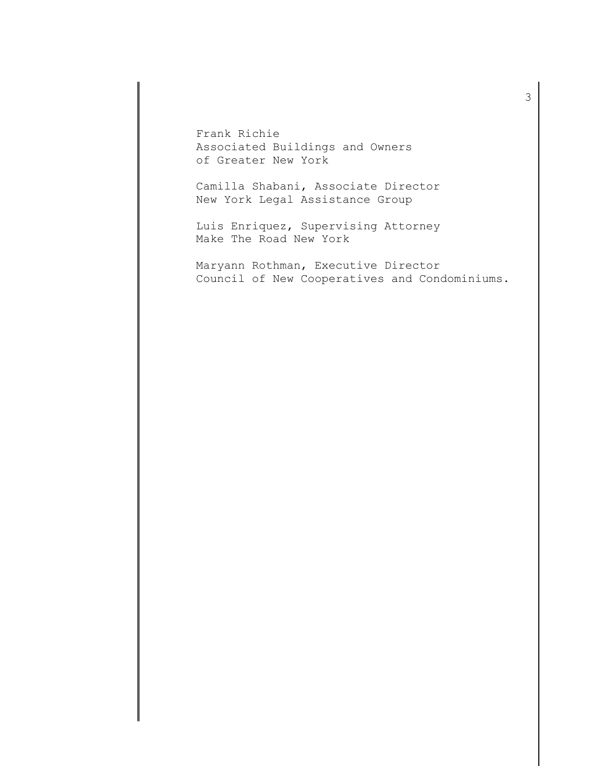Frank Richie Associated Buildings and Owners of Greater New York

Camilla Shabani, Associate Director New York Legal Assistance Group

Luis Enriquez, Supervising Attorney Make The Road New York

Maryann Rothman, Executive Director Council of New Cooperatives and Condominiums.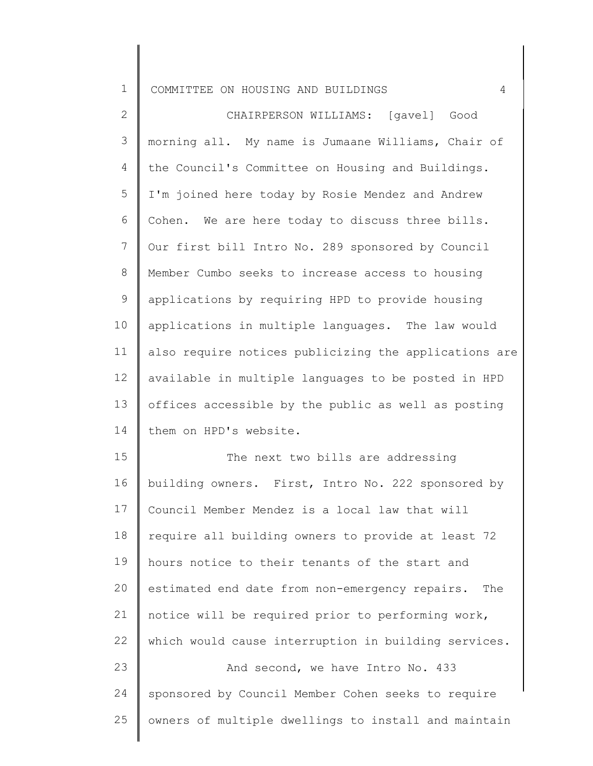| COMMITTEE ON HOUSING AND BUILDINGS<br>ᅩ |  |  |
|-----------------------------------------|--|--|
|-----------------------------------------|--|--|

2 3 4 5 6 7 8 9 10 11 12 13 14 the Council's Committee on Housing and Buildings. CHAIRPERSON WILLIAMS: [gavel] Good morning all. My name is Jumaane Williams, Chair of I'm joined here today by Rosie Mendez and Andrew Cohen. We are here today to discuss three bills. Our first bill Intro No. 289 sponsored by Council Member Cumbo seeks to increase access to housing applications by requiring HPD to provide housing applications in multiple languages. The law would also require notices publicizing the applications are available in multiple languages to be posted in HPD offices accessible by the public as well as posting them on HPD's website.

15 16 17 18 19 20 21 22 23 The next two bills are addressing building owners. First, Intro No. 222 sponsored by Council Member Mendez is a local law that will require all building owners to provide at least 72 hours notice to their tenants of the start and estimated end date from non-emergency repairs. The notice will be required prior to performing work, which would cause interruption in building services. And second, we have Intro No. 433

24 25 sponsored by Council Member Cohen seeks to require owners of multiple dwellings to install and maintain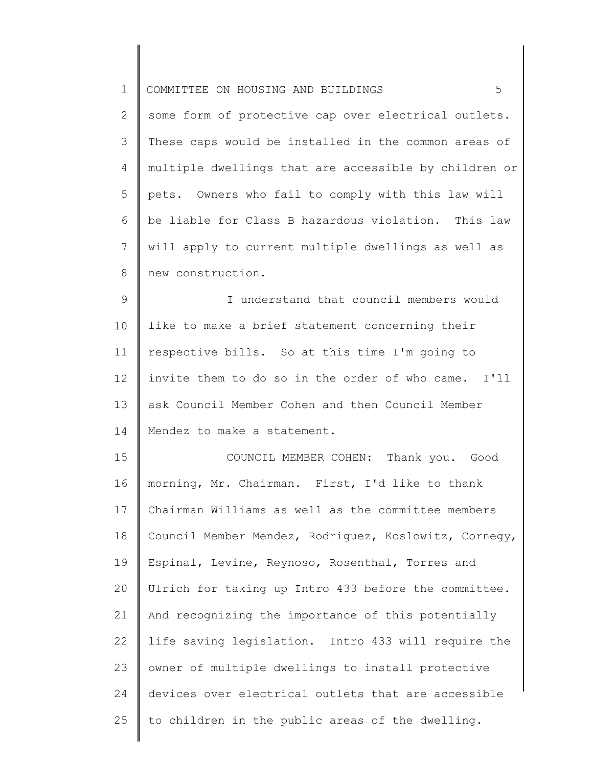| $\mathbf 1$   | 5<br>COMMITTEE ON HOUSING AND BUILDINGS               |
|---------------|-------------------------------------------------------|
| 2             | some form of protective cap over electrical outlets.  |
| 3             | These caps would be installed in the common areas of  |
| 4             | multiple dwellings that are accessible by children or |
| 5             | pets. Owners who fail to comply with this law will    |
| 6             | be liable for Class B hazardous violation. This law   |
| 7             | will apply to current multiple dwellings as well as   |
| 8             | new construction.                                     |
| $\mathcal{G}$ | I understand that council members would               |
| 10            | like to make a brief statement concerning their       |
| 11            | respective bills. So at this time I'm going to        |
| 12            | invite them to do so in the order of who came. I'll   |
| 13            | ask Council Member Cohen and then Council Member      |
| 14            | Mendez to make a statement.                           |
| 15            | COUNCIL MEMBER COHEN:<br>Thank you. Good              |
| 16            | morning, Mr. Chairman. First, I'd like to thank       |
| 17            | Chairman Williams as well as the committee members    |
| 18            | Council Member Mendez, Rodriquez, Koslowitz, Cornegy, |
| 19            | Espinal, Levine, Reynoso, Rosenthal, Torres and       |
| 20            | Ulrich for taking up Intro 433 before the committee.  |
| 21            | And recognizing the importance of this potentially    |
| 22            | life saving legislation. Intro 433 will require the   |
| 23            | owner of multiple dwellings to install protective     |
| 24            | devices over electrical outlets that are accessible   |
| 25            | to children in the public areas of the dwelling.      |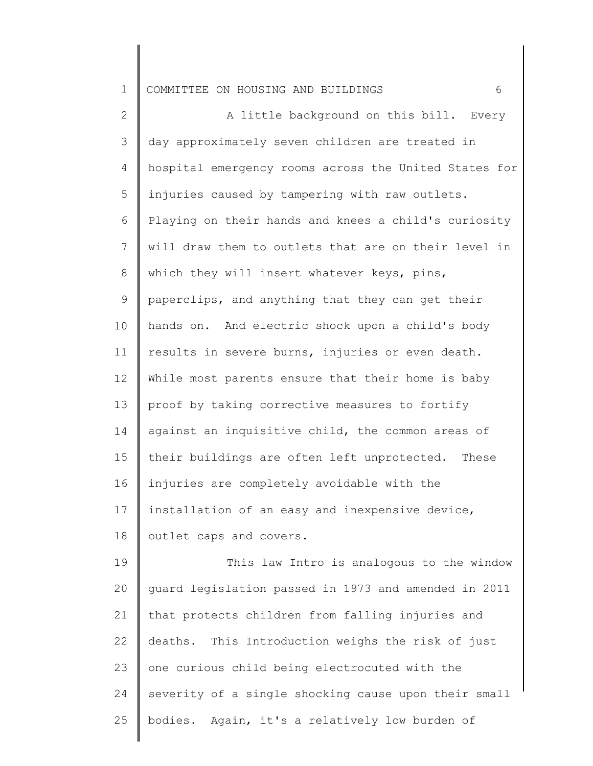## 1 COMMITTEE ON HOUSING AND BUILDINGS 6

2 3 4 5 6 7 8 9 10 11 12 13 14 15 16 17 18 19 A little background on this bill. Every day approximately seven children are treated in hospital emergency rooms across the United States for injuries caused by tampering with raw outlets. Playing on their hands and knees a child's curiosity will draw them to outlets that are on their level in which they will insert whatever keys, pins, paperclips, and anything that they can get their hands on. And electric shock upon a child's body results in severe burns, injuries or even death. While most parents ensure that their home is baby proof by taking corrective measures to fortify against an inquisitive child, the common areas of their buildings are often left unprotected. These injuries are completely avoidable with the installation of an easy and inexpensive device, outlet caps and covers. This law Intro is analogous to the window

20 21 22 23 24 25 guard legislation passed in 1973 and amended in 2011 that protects children from falling injuries and deaths. This Introduction weighs the risk of just one curious child being electrocuted with the severity of a single shocking cause upon their small bodies. Again, it's a relatively low burden of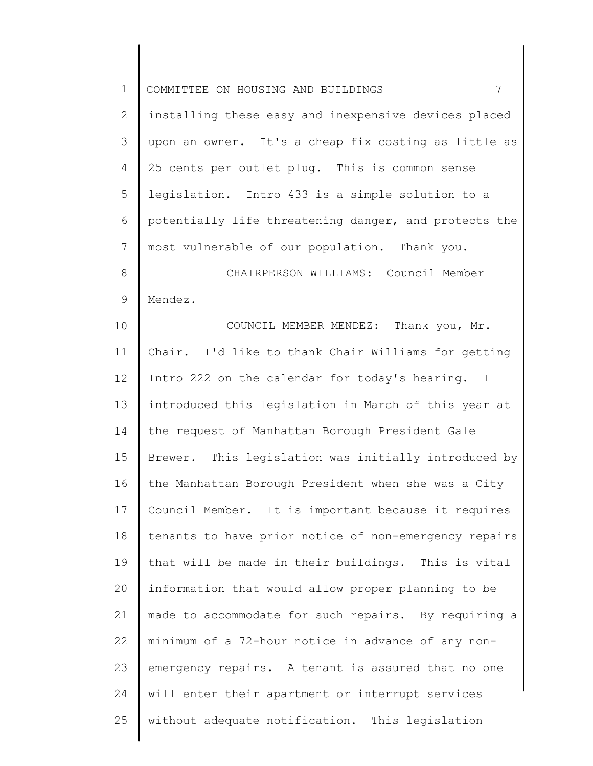| $\mathbf 1$    | $7\overline{ }$<br>COMMITTEE ON HOUSING AND BUILDINGS   |
|----------------|---------------------------------------------------------|
| $\mathbf{2}$   | installing these easy and inexpensive devices placed    |
| 3              | upon an owner. It's a cheap fix costing as little as    |
| 4              | 25 cents per outlet plug. This is common sense          |
| 5              | legislation. Intro 433 is a simple solution to a        |
| 6              | potentially life threatening danger, and protects the   |
| $\overline{7}$ | most vulnerable of our population. Thank you.           |
| $8\,$          | CHAIRPERSON WILLIAMS: Council Member                    |
| $\mathsf 9$    | Mendez.                                                 |
| 10             | COUNCIL MEMBER MENDEZ: Thank you, Mr.                   |
| 11             | Chair. I'd like to thank Chair Williams for getting     |
| 12             | Intro 222 on the calendar for today's hearing. I        |
| 13             | introduced this legislation in March of this year at    |
| 14             | the request of Manhattan Borough President Gale         |
| 15             | This legislation was initially introduced by<br>Brewer. |
| 16             | the Manhattan Borough President when she was a City     |
| 17             | Council Member. It is important because it requires     |
| $18\,$         | tenants to have prior notice of non-emergency repairs   |
| 19             | that will be made in their buildings. This is vital     |
| 20             | information that would allow proper planning to be      |
| 21             | made to accommodate for such repairs. By requiring a    |
| 22             | minimum of a 72-hour notice in advance of any non-      |
| 23             | emergency repairs. A tenant is assured that no one      |
| 24             | will enter their apartment or interrupt services        |
| 25             | without adequate notification. This legislation         |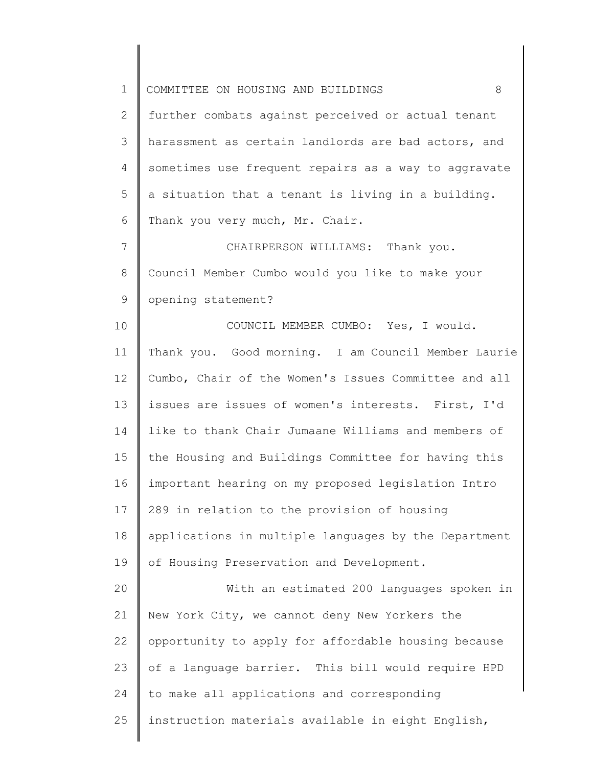| $\mathbf 1$ | COMMITTEE ON HOUSING AND BUILDINGS<br>8              |
|-------------|------------------------------------------------------|
| 2           | further combats against perceived or actual tenant   |
| 3           | harassment as certain landlords are bad actors, and  |
| 4           | sometimes use frequent repairs as a way to aggravate |
| 5           | a situation that a tenant is living in a building.   |
| 6           | Thank you very much, Mr. Chair.                      |
| 7           | CHAIRPERSON WILLIAMS: Thank you.                     |
| 8           | Council Member Cumbo would you like to make your     |
| 9           | opening statement?                                   |
| 10          | COUNCIL MEMBER CUMBO: Yes, I would.                  |
| 11          | Thank you. Good morning. I am Council Member Laurie  |
| 12          | Cumbo, Chair of the Women's Issues Committee and all |
| 13          | issues are issues of women's interests. First, I'd   |
| 14          | like to thank Chair Jumaane Williams and members of  |
| 15          | the Housing and Buildings Committee for having this  |
| 16          | important hearing on my proposed legislation Intro   |
| 17          | 289 in relation to the provision of housing          |
| 18          | applications in multiple languages by the Department |
| 19          | of Housing Preservation and Development.             |
| 20          | With an estimated 200 languages spoken in            |
| 21          | New York City, we cannot deny New Yorkers the        |
| 22          | opportunity to apply for affordable housing because  |
| 23          | of a language barrier. This bill would require HPD   |
| 24          | to make all applications and corresponding           |
| 25          | instruction materials available in eight English,    |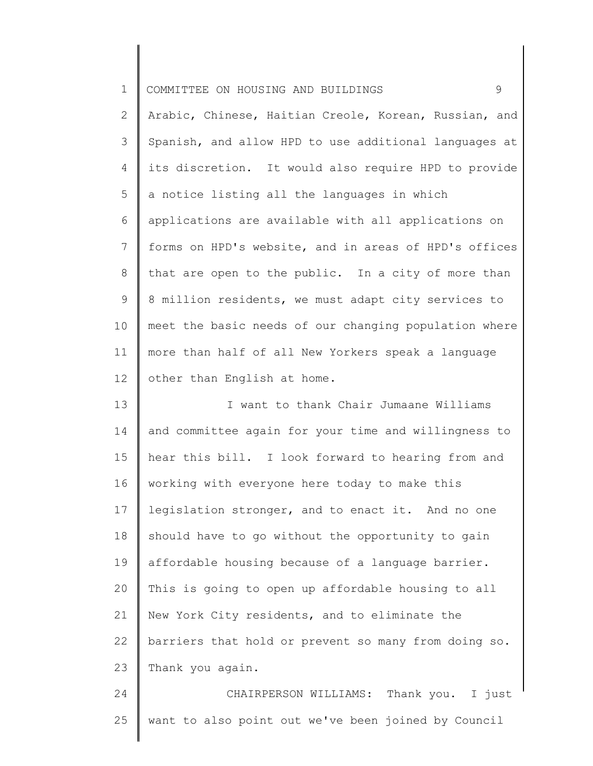|  | 1 COMMITTEE ON HOUSING AND BUILDINGS |  |  |  |  |  |  |
|--|--------------------------------------|--|--|--|--|--|--|
|--|--------------------------------------|--|--|--|--|--|--|

2 3 4 5 6 7 8 9 10 11 12 Arabic, Chinese, Haitian Creole, Korean, Russian, and Spanish, and allow HPD to use additional languages at its discretion. It would also require HPD to provide a notice listing all the languages in which applications are available with all applications on forms on HPD's website, and in areas of HPD's offices that are open to the public. In a city of more than 8 million residents, we must adapt city services to meet the basic needs of our changing population where more than half of all New Yorkers speak a language other than English at home.

13 14 15 16 17 18 19 20 21 22 23 I want to thank Chair Jumaane Williams and committee again for your time and willingness to hear this bill. I look forward to hearing from and working with everyone here today to make this legislation stronger, and to enact it. And no one should have to go without the opportunity to gain affordable housing because of a language barrier. This is going to open up affordable housing to all New York City residents, and to eliminate the barriers that hold or prevent so many from doing so. Thank you again.

24 25 CHAIRPERSON WILLIAMS: Thank you. I just want to also point out we've been joined by Council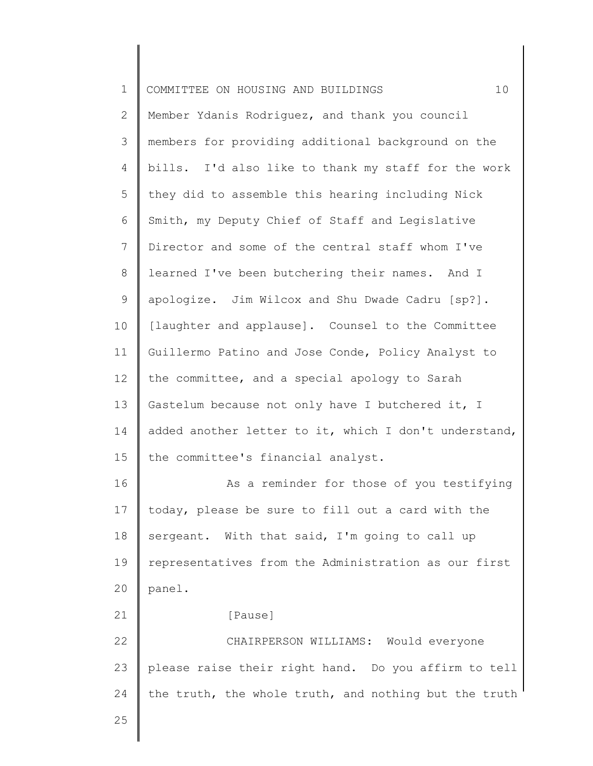| $\mathbf 1$    | 10<br>COMMITTEE ON HOUSING AND BUILDINGS              |
|----------------|-------------------------------------------------------|
| $\mathbf{2}$   | Member Ydanis Rodriguez, and thank you council        |
| 3              | members for providing additional background on the    |
| 4              | bills. I'd also like to thank my staff for the work   |
| 5              | they did to assemble this hearing including Nick      |
| 6              | Smith, my Deputy Chief of Staff and Legislative       |
| $\overline{7}$ | Director and some of the central staff whom I've      |
| $\,8\,$        | learned I've been butchering their names. And I       |
| $\mathsf 9$    | apologize. Jim Wilcox and Shu Dwade Cadru [sp?].      |
| 10             | [laughter and applause]. Counsel to the Committee     |
| 11             | Guillermo Patino and Jose Conde, Policy Analyst to    |
| 12             | the committee, and a special apology to Sarah         |
| 13             | Gastelum because not only have I butchered it, I      |
| 14             | added another letter to it, which I don't understand, |
| 15             | the committee's financial analyst.                    |
| 16             | As a reminder for those of you testifying             |
| 17             | today, please be sure to fill out a card with the     |
| 18             | sergeant. With that said, I'm going to call up        |
| 19             | representatives from the Administration as our first  |
| 20             | panel.                                                |
| 21             | [Pause]                                               |
| 22             | CHAIRPERSON WILLIAMS: Would everyone                  |
| 23             | please raise their right hand. Do you affirm to tell  |
| 24             | the truth, the whole truth, and nothing but the truth |
| 25             |                                                       |
|                |                                                       |

║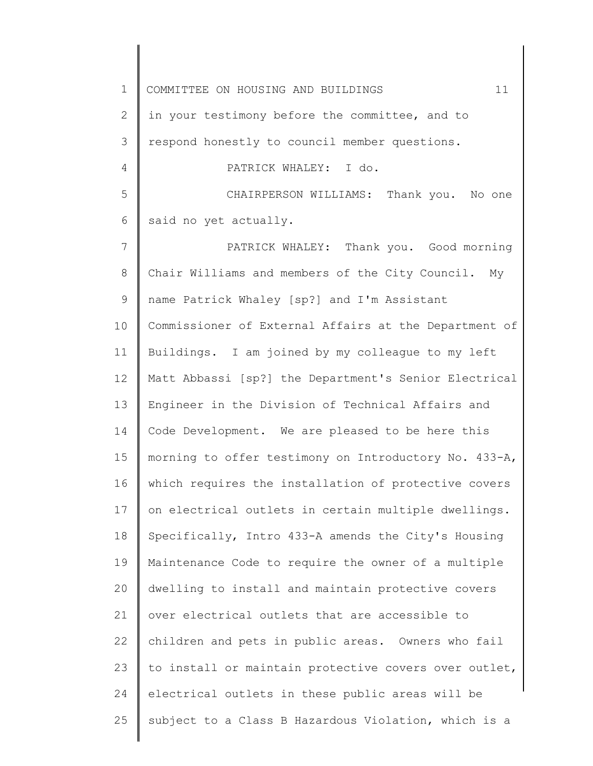1 2 3 4 5 6 7 8 9 10 11 12 13 14 15 16 17 18 19 20 21 22 23 24 25 COMMITTEE ON HOUSING AND BUILDINGS  $11$ in your testimony before the committee, and to respond honestly to council member questions. PATRICK WHALEY: I do. CHAIRPERSON WILLIAMS: Thank you. No one said no yet actually. PATRICK WHALEY: Thank you. Good morning Chair Williams and members of the City Council. My name Patrick Whaley [sp?] and I'm Assistant Commissioner of External Affairs at the Department of Buildings. I am joined by my colleague to my left Matt Abbassi [sp?] the Department's Senior Electrical Engineer in the Division of Technical Affairs and Code Development. We are pleased to be here this morning to offer testimony on Introductory No. 433-A, which requires the installation of protective covers on electrical outlets in certain multiple dwellings. Specifically, Intro 433-A amends the City's Housing Maintenance Code to require the owner of a multiple dwelling to install and maintain protective covers over electrical outlets that are accessible to children and pets in public areas. Owners who fail to install or maintain protective covers over outlet, electrical outlets in these public areas will be subject to a Class B Hazardous Violation, which is a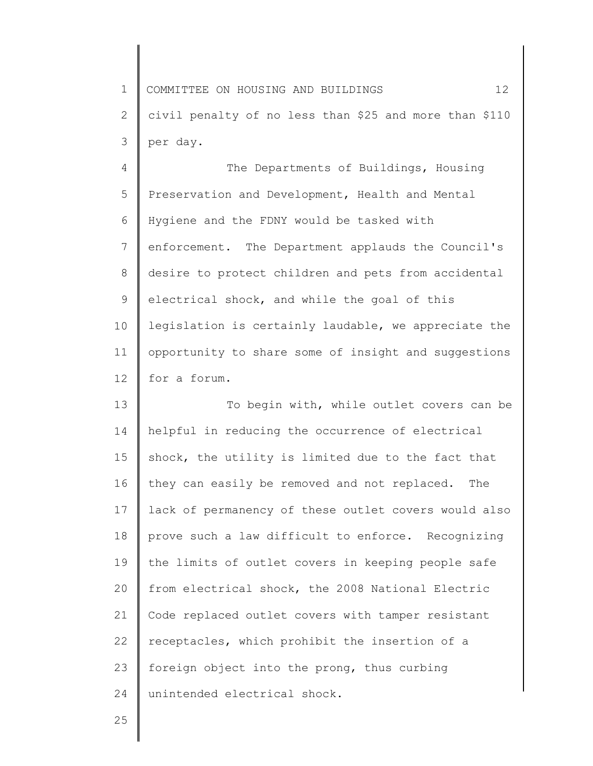1 2 3 COMMITTEE ON HOUSING AND BUILDINGS 12 civil penalty of no less than \$25 and more than \$110 per day.

4 5 6 7 8 9 10 11 12 The Departments of Buildings, Housing Preservation and Development, Health and Mental Hygiene and the FDNY would be tasked with enforcement. The Department applauds the Council's desire to protect children and pets from accidental electrical shock, and while the goal of this legislation is certainly laudable, we appreciate the opportunity to share some of insight and suggestions for a forum.

13 14 15 16 17 18 19 20 21 22 23 24 To begin with, while outlet covers can be helpful in reducing the occurrence of electrical shock, the utility is limited due to the fact that they can easily be removed and not replaced. The lack of permanency of these outlet covers would also prove such a law difficult to enforce. Recognizing the limits of outlet covers in keeping people safe from electrical shock, the 2008 National Electric Code replaced outlet covers with tamper resistant receptacles, which prohibit the insertion of a foreign object into the prong, thus curbing unintended electrical shock.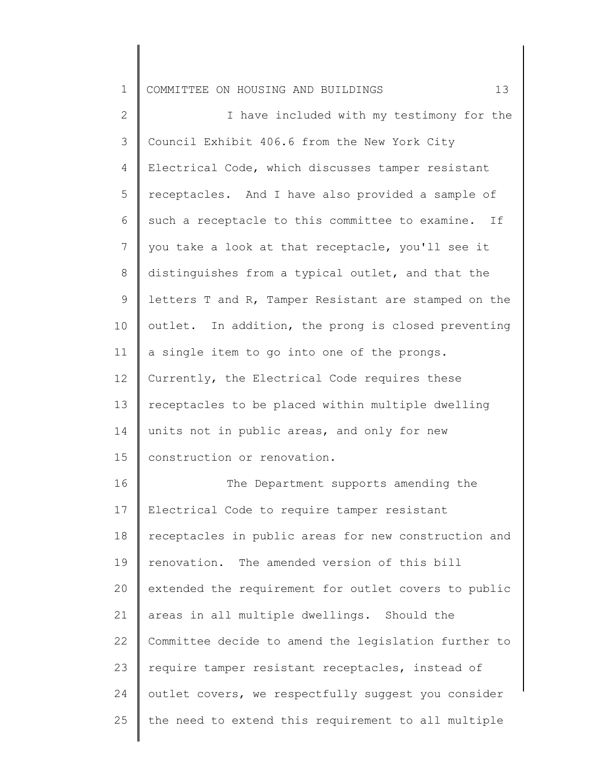1 COMMITTEE ON HOUSING AND BUILDINGS 13

2 3 4 5 6 7 8 9 10 11 12 13 14 15 16 I have included with my testimony for the Council Exhibit 406.6 from the New York City Electrical Code, which discusses tamper resistant receptacles. And I have also provided a sample of such a receptacle to this committee to examine. If you take a look at that receptacle, you'll see it distinguishes from a typical outlet, and that the letters T and R, Tamper Resistant are stamped on the outlet. In addition, the prong is closed preventing a single item to go into one of the prongs. Currently, the Electrical Code requires these receptacles to be placed within multiple dwelling units not in public areas, and only for new construction or renovation. The Department supports amending the

17 18 19 20 21 22 23 24 25 Electrical Code to require tamper resistant receptacles in public areas for new construction and renovation. The amended version of this bill extended the requirement for outlet covers to public areas in all multiple dwellings. Should the Committee decide to amend the legislation further to require tamper resistant receptacles, instead of outlet covers, we respectfully suggest you consider the need to extend this requirement to all multiple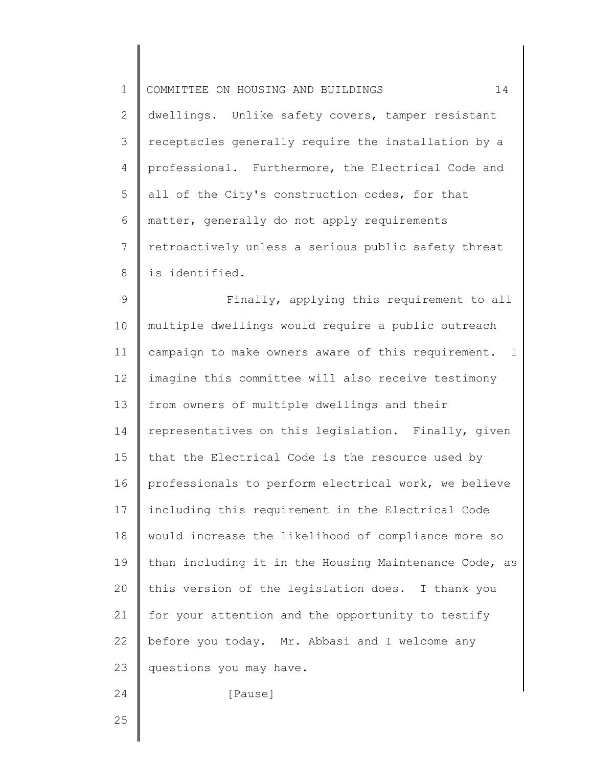1 2 3 4 5 6 7 8 COMMITTEE ON HOUSING AND BUILDINGS 14 dwellings. Unlike safety covers, tamper resistant receptacles generally require the installation by a professional. Furthermore, the Electrical Code and all of the City's construction codes, for that matter, generally do not apply requirements retroactively unless a serious public safety threat is identified.

9 10 11 12 13 14 15 16 17 18 19 20 21 22 23 24 Finally, applying this requirement to all multiple dwellings would require a public outreach campaign to make owners aware of this requirement. I imagine this committee will also receive testimony from owners of multiple dwellings and their representatives on this legislation. Finally, given that the Electrical Code is the resource used by professionals to perform electrical work, we believe including this requirement in the Electrical Code would increase the likelihood of compliance more so than including it in the Housing Maintenance Code, as this version of the legislation does. I thank you for your attention and the opportunity to testify before you today. Mr. Abbasi and I welcome any questions you may have. [Pause]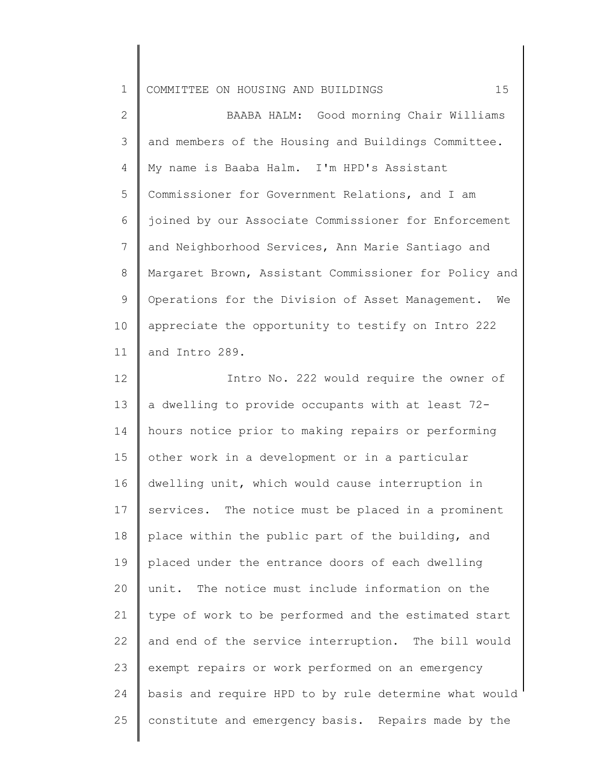1 COMMITTEE ON HOUSING AND BUILDINGS 15

2 3 4 5 6 7 8 9 10 11 BAABA HALM: Good morning Chair Williams and members of the Housing and Buildings Committee. My name is Baaba Halm. I'm HPD's Assistant Commissioner for Government Relations, and I am joined by our Associate Commissioner for Enforcement and Neighborhood Services, Ann Marie Santiago and Margaret Brown, Assistant Commissioner for Policy and Operations for the Division of Asset Management. We appreciate the opportunity to testify on Intro 222 and Intro 289.

12 13 14 15 16 17 18 19 20 21 22 23 24 25 Intro No. 222 would require the owner of a dwelling to provide occupants with at least 72 hours notice prior to making repairs or performing other work in a development or in a particular dwelling unit, which would cause interruption in services. The notice must be placed in a prominent place within the public part of the building, and placed under the entrance doors of each dwelling unit. The notice must include information on the type of work to be performed and the estimated start and end of the service interruption. The bill would exempt repairs or work performed on an emergency basis and require HPD to by rule determine what would constitute and emergency basis. Repairs made by the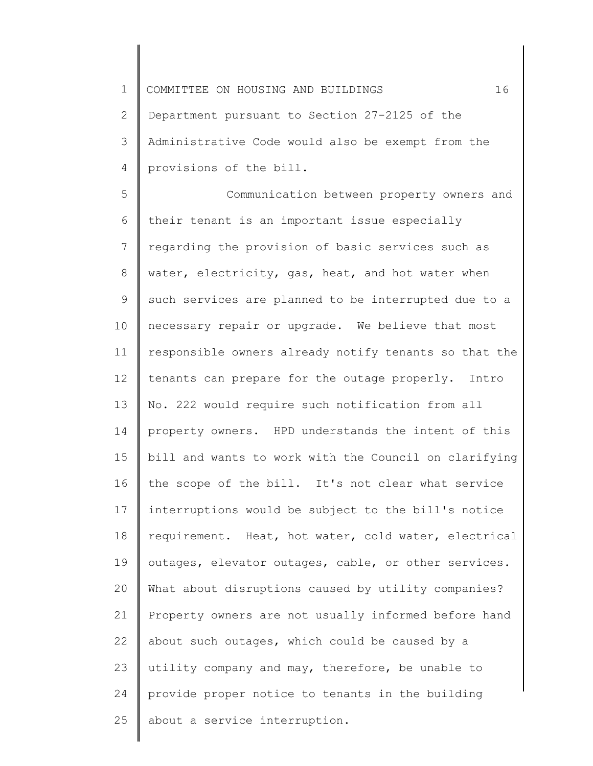1 2 3 4 COMMITTEE ON HOUSING AND BUILDINGS 16 Department pursuant to Section 27-2125 of the Administrative Code would also be exempt from the provisions of the bill.

5 6 7 8 9 10 11 12 13 14 15 16 17 18 19 20 21 22 23 24 25 Communication between property owners and their tenant is an important issue especially regarding the provision of basic services such as water, electricity, gas, heat, and hot water when such services are planned to be interrupted due to a necessary repair or upgrade. We believe that most responsible owners already notify tenants so that the tenants can prepare for the outage properly. Intro No. 222 would require such notification from all property owners. HPD understands the intent of this bill and wants to work with the Council on clarifying the scope of the bill. It's not clear what service interruptions would be subject to the bill's notice requirement. Heat, hot water, cold water, electrical outages, elevator outages, cable, or other services. What about disruptions caused by utility companies? Property owners are not usually informed before hand about such outages, which could be caused by a utility company and may, therefore, be unable to provide proper notice to tenants in the building about a service interruption.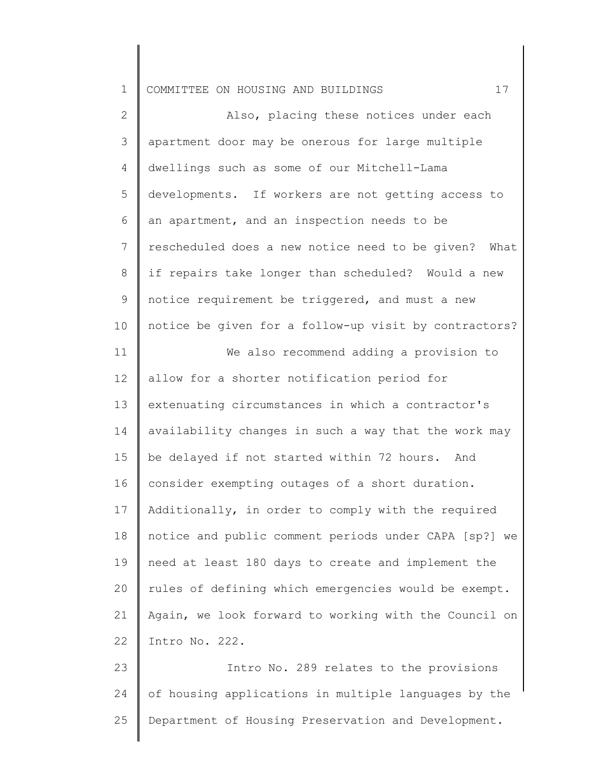1 COMMITTEE ON HOUSING AND BUILDINGS 17

2 3 4 5 6 7 8 9 10 11 12 13 14 15 16 17 18 19 20 21 22 23 Also, placing these notices under each apartment door may be onerous for large multiple dwellings such as some of our Mitchell-Lama developments. If workers are not getting access to an apartment, and an inspection needs to be rescheduled does a new notice need to be given? What if repairs take longer than scheduled? Would a new notice requirement be triggered, and must a new notice be given for a follow-up visit by contractors? We also recommend adding a provision to allow for a shorter notification period for extenuating circumstances in which a contractor's availability changes in such a way that the work may be delayed if not started within 72 hours. And consider exempting outages of a short duration. Additionally, in order to comply with the required notice and public comment periods under CAPA [sp?] we need at least 180 days to create and implement the rules of defining which emergencies would be exempt. Again, we look forward to working with the Council on Intro No. 222. Intro No. 289 relates to the provisions

24 25 of housing applications in multiple languages by the Department of Housing Preservation and Development.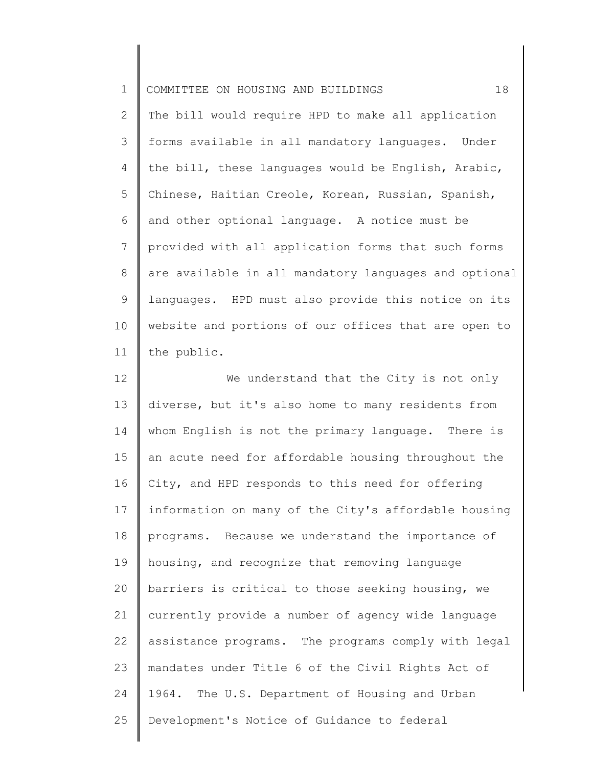| $\mathbf 1$  | 18<br>COMMITTEE ON HOUSING AND BUILDINGS              |
|--------------|-------------------------------------------------------|
| $\mathbf{2}$ | The bill would require HPD to make all application    |
| 3            | forms available in all mandatory languages. Under     |
| 4            | the bill, these languages would be English, Arabic,   |
| 5            | Chinese, Haitian Creole, Korean, Russian, Spanish,    |
| 6            | and other optional language. A notice must be         |
| 7            | provided with all application forms that such forms   |
| 8            | are available in all mandatory languages and optional |
| 9            | languages. HPD must also provide this notice on its   |
| 10           | website and portions of our offices that are open to  |
| 11           | the public.                                           |
| 12           | We understand that the City is not only               |
| 13           | diverse, but it's also home to many residents from    |
| 14           | whom English is not the primary language. There is    |
| 15           | an acute need for affordable housing throughout the   |
| 16           | City, and HPD responds to this need for offering      |
| 17           | information on many of the City's affordable housing  |
| 18           | programs. Because we understand the importance of     |
| 19           | housing, and recognize that removing language         |
| 20           | barriers is critical to those seeking housing, we     |
| 21           | currently provide a number of agency wide language    |
| 22           | assistance programs. The programs comply with legal   |
| 23           | mandates under Title 6 of the Civil Rights Act of     |
| 24           | 1964. The U.S. Department of Housing and Urban        |
| 25           | Development's Notice of Guidance to federal           |
|              |                                                       |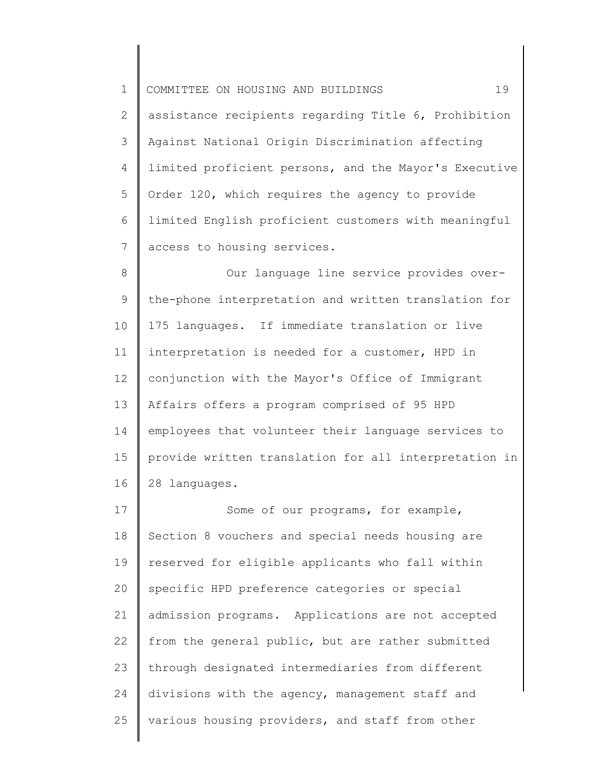1 2 3 4 5 6 7 COMMITTEE ON HOUSING AND BUILDINGS 19 assistance recipients regarding Title 6, Prohibition Against National Origin Discrimination affecting limited proficient persons, and the Mayor's Executive Order 120, which requires the agency to provide limited English proficient customers with meaningful access to housing services.

8 9 10 11 12 13 14 15 16 Our language line service provides overthe-phone interpretation and written translation for 175 languages. If immediate translation or live interpretation is needed for a customer, HPD in conjunction with the Mayor's Office of Immigrant Affairs offers a program comprised of 95 HPD employees that volunteer their language services to provide written translation for all interpretation in 28 languages.

17 18 19 20 21 22 23 24 25 Some of our programs, for example, Section 8 vouchers and special needs housing are reserved for eligible applicants who fall within specific HPD preference categories or special admission programs. Applications are not accepted from the general public, but are rather submitted through designated intermediaries from different divisions with the agency, management staff and various housing providers, and staff from other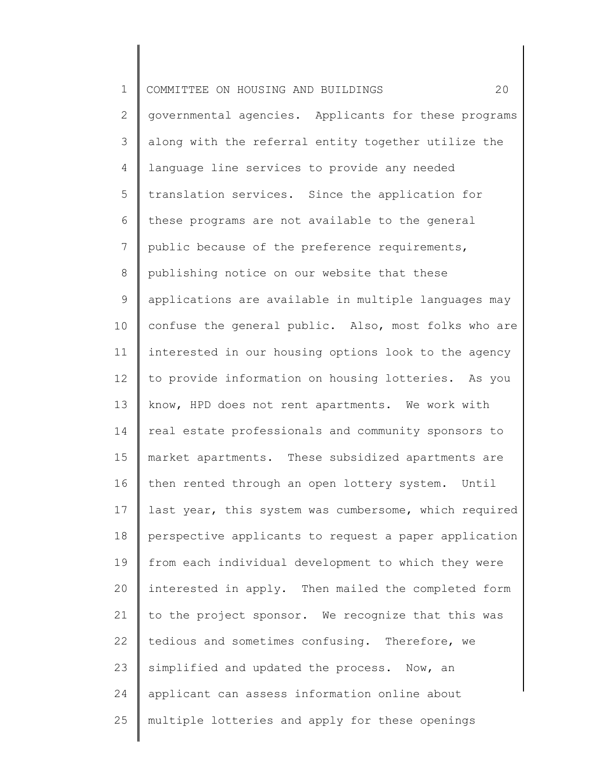1 2 3 4 5 6 7 8 9 10 11 12 13 14 15 16 17 18 19 20 21 22 23 24 25 COMMITTEE ON HOUSING AND BUILDINGS 20 governmental agencies. Applicants for these programs along with the referral entity together utilize the language line services to provide any needed translation services. Since the application for these programs are not available to the general public because of the preference requirements, publishing notice on our website that these applications are available in multiple languages may confuse the general public. Also, most folks who are interested in our housing options look to the agency to provide information on housing lotteries. As you know, HPD does not rent apartments. We work with real estate professionals and community sponsors to market apartments. These subsidized apartments are then rented through an open lottery system. Until last year, this system was cumbersome, which required perspective applicants to request a paper application from each individual development to which they were interested in apply. Then mailed the completed form to the project sponsor. We recognize that this was tedious and sometimes confusing. Therefore, we simplified and updated the process. Now, an applicant can assess information online about multiple lotteries and apply for these openings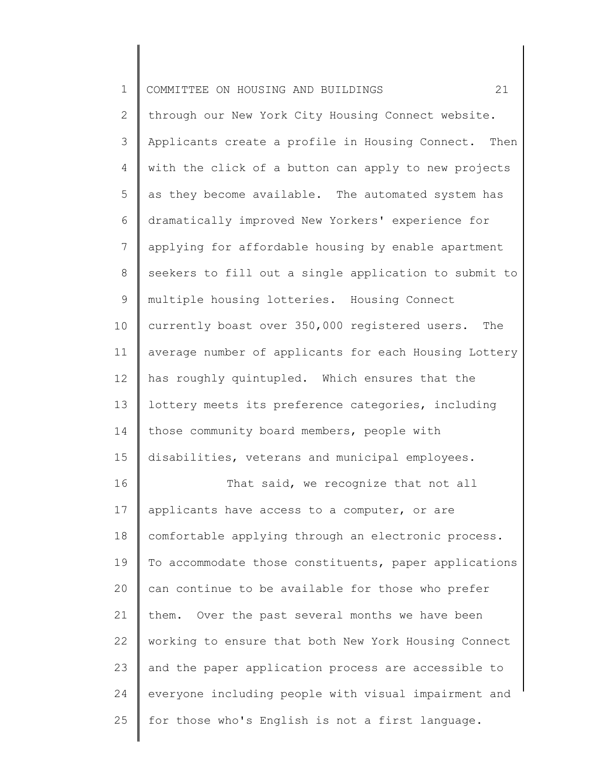| $\mathbf 1$    | 21<br>COMMITTEE ON HOUSING AND BUILDINGS              |
|----------------|-------------------------------------------------------|
| $\mathbf{2}$   | through our New York City Housing Connect website.    |
| 3              | Applicants create a profile in Housing Connect. Then  |
| 4              | with the click of a button can apply to new projects  |
| 5              | as they become available. The automated system has    |
| 6              | dramatically improved New Yorkers' experience for     |
| $\overline{7}$ | applying for affordable housing by enable apartment   |
| 8              | seekers to fill out a single application to submit to |
| $\mathsf 9$    | multiple housing lotteries. Housing Connect           |
| 10             | currently boast over 350,000 registered users.<br>The |
| 11             | average number of applicants for each Housing Lottery |
| 12             | has roughly quintupled. Which ensures that the        |
| 13             | lottery meets its preference categories, including    |
| 14             | those community board members, people with            |
| 15             | disabilities, veterans and municipal employees.       |
| 16             | That said, we recognize that not all                  |
| 17             | applicants have access to a computer, or are          |
| 18             | comfortable applying through an electronic process.   |
| 19             | To accommodate those constituents, paper applications |
| 20             | can continue to be available for those who prefer     |
| 21             | them. Over the past several months we have been       |
| 22             | working to ensure that both New York Housing Connect  |
| 23             | and the paper application process are accessible to   |
| 24             | everyone including people with visual impairment and  |
| 25             | for those who's English is not a first language.      |
|                |                                                       |

║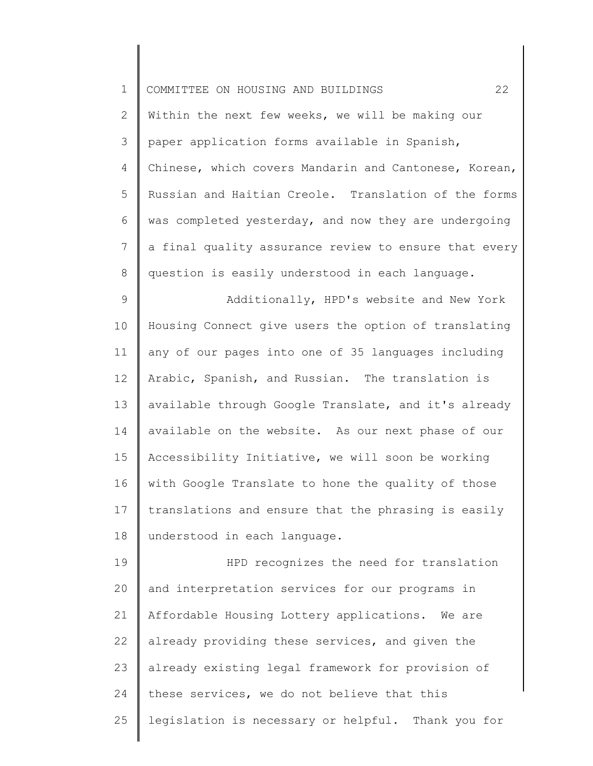| $\mathbf 1$    | 22<br>COMMITTEE ON HOUSING AND BUILDINGS              |
|----------------|-------------------------------------------------------|
| 2              | Within the next few weeks, we will be making our      |
| 3              | paper application forms available in Spanish,         |
| 4              | Chinese, which covers Mandarin and Cantonese, Korean, |
| 5              | Russian and Haitian Creole. Translation of the forms  |
| 6              | was completed yesterday, and now they are undergoing  |
| $\overline{7}$ | a final quality assurance review to ensure that every |
| $\,8\,$        | question is easily understood in each language.       |
| 9              | Additionally, HPD's website and New York              |
| 10             | Housing Connect give users the option of translating  |
| 11             | any of our pages into one of 35 languages including   |
| 12             | Arabic, Spanish, and Russian. The translation is      |
| 13             | available through Google Translate, and it's already  |
| 14             | available on the website. As our next phase of our    |
| 15             | Accessibility Initiative, we will soon be working     |
| 16             | with Google Translate to hone the quality of those    |
| 17             | translations and ensure that the phrasing is easily   |
| 18             | understood in each language.                          |
| 19             | HPD recognizes the need for translation               |
| 20             | and interpretation services for our programs in       |
| 21             | Affordable Housing Lottery applications. We are       |
| 22             | already providing these services, and given the       |
| 23             | already existing legal framework for provision of     |
| 24             | these services, we do not believe that this           |
| 25             | legislation is necessary or helpful. Thank you for    |
|                |                                                       |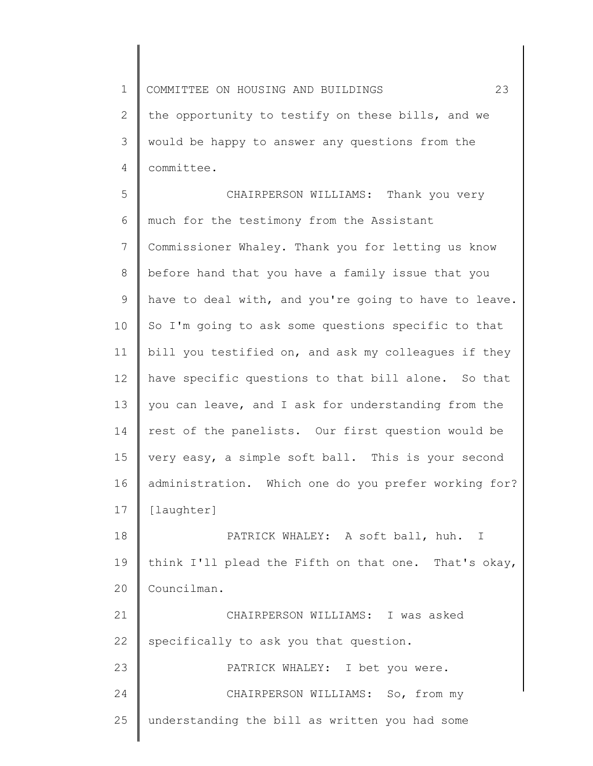1 2 3 4 COMMITTEE ON HOUSING AND BUILDINGS 23 the opportunity to testify on these bills, and we would be happy to answer any questions from the committee.

5 6 7 8 9 10 11 12 13 14 15 16 17 CHAIRPERSON WILLIAMS: Thank you very much for the testimony from the Assistant Commissioner Whaley. Thank you for letting us know before hand that you have a family issue that you have to deal with, and you're going to have to leave. So I'm going to ask some questions specific to that bill you testified on, and ask my colleagues if they have specific questions to that bill alone. So that you can leave, and I ask for understanding from the rest of the panelists. Our first question would be very easy, a simple soft ball. This is your second administration. Which one do you prefer working for? [laughter]

18 19 20 PATRICK WHALEY: A soft ball, huh. I think I'll plead the Fifth on that one. That's okay, Councilman.

21 22 CHAIRPERSON WILLIAMS: I was asked specifically to ask you that question.

23 24 25 PATRICK WHALEY: I bet you were. CHAIRPERSON WILLIAMS: So, from my understanding the bill as written you had some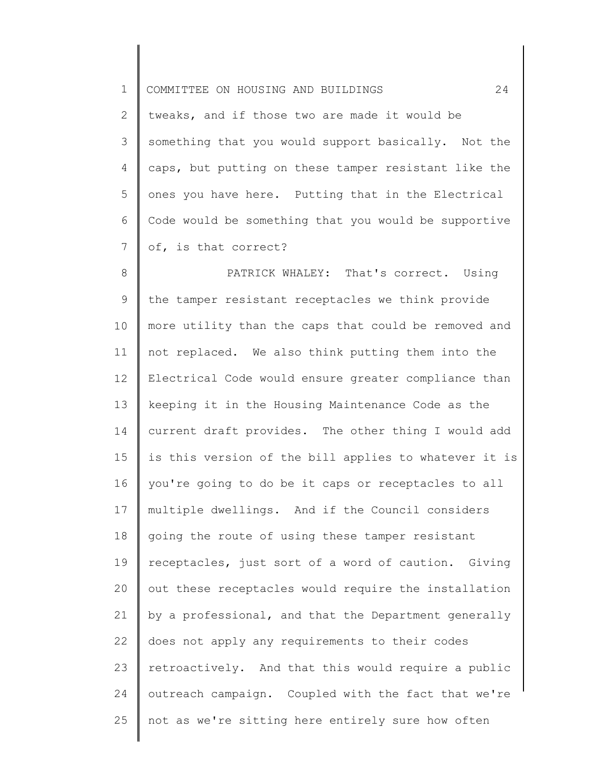1 2 3 4 5 6 7 8 9 10 11 12 13 14 15 16 17 18 19 20 21 22 23 24 25 COMMITTEE ON HOUSING AND BUILDINGS 24 tweaks, and if those two are made it would be something that you would support basically. Not the caps, but putting on these tamper resistant like the ones you have here. Putting that in the Electrical Code would be something that you would be supportive of, is that correct? PATRICK WHALEY: That's correct. Using the tamper resistant receptacles we think provide more utility than the caps that could be removed and not replaced. We also think putting them into the Electrical Code would ensure greater compliance than keeping it in the Housing Maintenance Code as the current draft provides. The other thing I would add is this version of the bill applies to whatever it is you're going to do be it caps or receptacles to all multiple dwellings. And if the Council considers going the route of using these tamper resistant receptacles, just sort of a word of caution. Giving out these receptacles would require the installation by a professional, and that the Department generally does not apply any requirements to their codes retroactively. And that this would require a public outreach campaign. Coupled with the fact that we're not as we're sitting here entirely sure how often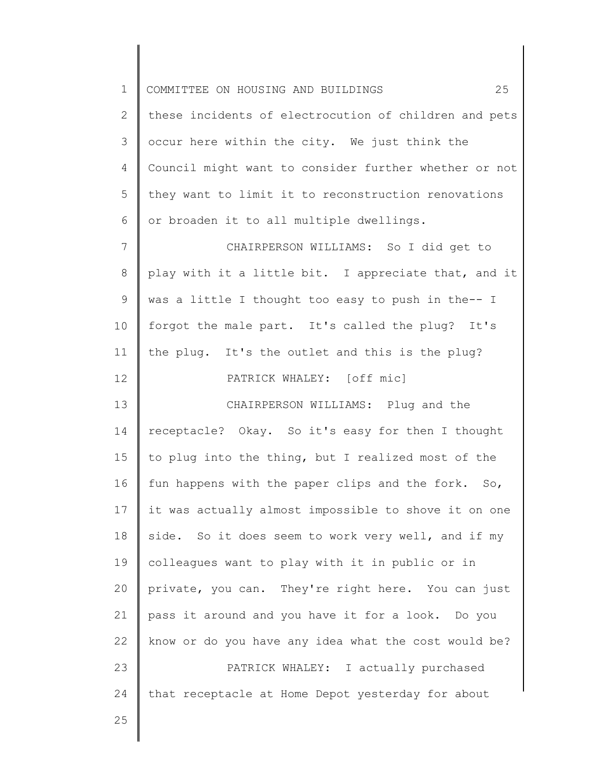| $\mathbf 1$    | 25<br>COMMITTEE ON HOUSING AND BUILDINGS              |
|----------------|-------------------------------------------------------|
| 2              | these incidents of electrocution of children and pets |
| 3              | occur here within the city. We just think the         |
| 4              | Council might want to consider further whether or not |
| 5              | they want to limit it to reconstruction renovations   |
| 6              | or broaden it to all multiple dwellings.              |
| $7\phantom{.}$ | CHAIRPERSON WILLIAMS: So I did get to                 |
| 8              | play with it a little bit. I appreciate that, and it  |
| 9              | was a little I thought too easy to push in the-- I    |
| 10             | forgot the male part. It's called the plug? It's      |
| 11             | the plug. It's the outlet and this is the plug?       |
| 12             | PATRICK WHALEY: [off mic]                             |
| 13             | CHAIRPERSON WILLIAMS: Plug and the                    |
| 14             | receptacle? Okay. So it's easy for then I thought     |
| 15             | to plug into the thing, but I realized most of the    |
| 16             | fun happens with the paper clips and the fork. So,    |
| 17             | it was actually almost impossible to shove it on one  |
| 18             | side. So it does seem to work very well, and if my    |
| 19             | colleagues want to play with it in public or in       |
| 20             | private, you can. They're right here. You can just    |
| 21             | pass it around and you have it for a look. Do you     |
| 22             | know or do you have any idea what the cost would be?  |
| 23             | PATRICK WHALEY: I actually purchased                  |
| 24             | that receptacle at Home Depot yesterday for about     |
| 25             |                                                       |
|                |                                                       |

 $\begin{array}{c} \hline \end{array}$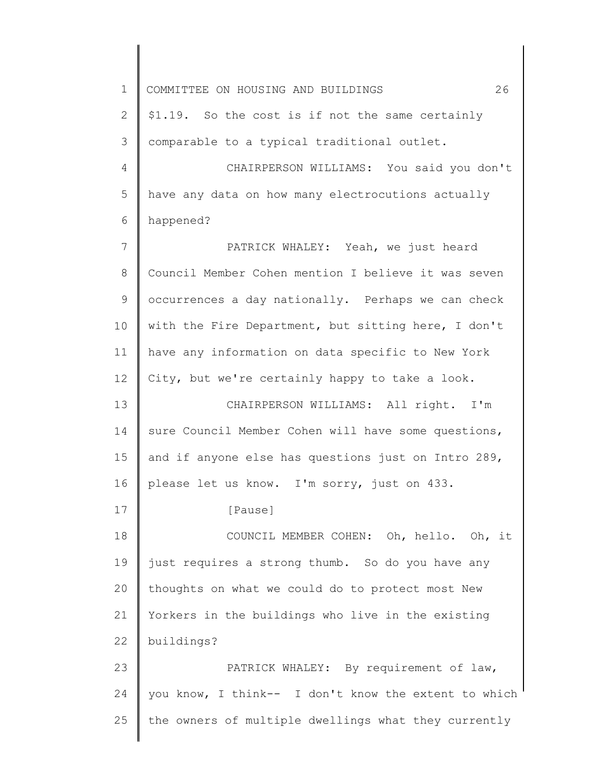1 2 3 4 5 6 7 8 9 10 11 12 13 14 15 16 17 18 19 20 21 22 23 24 25 COMMITTEE ON HOUSING AND BUILDINGS 26 \$1.19. So the cost is if not the same certainly comparable to a typical traditional outlet. CHAIRPERSON WILLIAMS: You said you don't have any data on how many electrocutions actually happened? PATRICK WHALEY: Yeah, we just heard Council Member Cohen mention I believe it was seven occurrences a day nationally. Perhaps we can check with the Fire Department, but sitting here, I don't have any information on data specific to New York City, but we're certainly happy to take a look. CHAIRPERSON WILLIAMS: All right. I'm sure Council Member Cohen will have some questions, and if anyone else has questions just on Intro 289, please let us know. I'm sorry, just on 433. [Pause] COUNCIL MEMBER COHEN: Oh, hello. Oh, it just requires a strong thumb. So do you have any thoughts on what we could do to protect most New Yorkers in the buildings who live in the existing buildings? PATRICK WHALEY: By requirement of law, you know, I think-- I don't know the extent to which the owners of multiple dwellings what they currently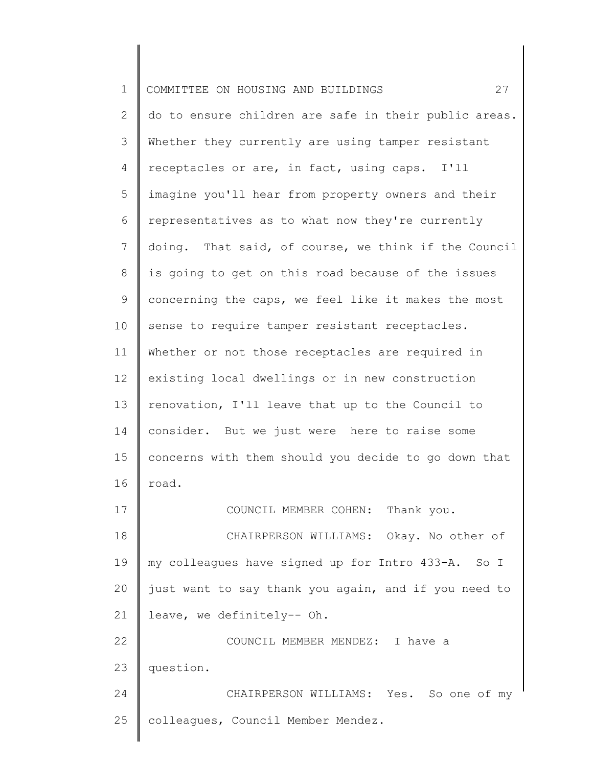| $\mathbf 1$    | 27<br>COMMITTEE ON HOUSING AND BUILDINGS              |
|----------------|-------------------------------------------------------|
| 2              | do to ensure children are safe in their public areas. |
| 3              | Whether they currently are using tamper resistant     |
| 4              | receptacles or are, in fact, using caps. I'll         |
| 5              | imagine you'll hear from property owners and their    |
| 6              | representatives as to what now they're currently      |
| $\overline{7}$ | doing. That said, of course, we think if the Council  |
| 8              | is going to get on this road because of the issues    |
| 9              | concerning the caps, we feel like it makes the most   |
| 10             | sense to require tamper resistant receptacles.        |
| 11             | Whether or not those receptacles are required in      |
| 12             | existing local dwellings or in new construction       |
| 13             | renovation, I'll leave that up to the Council to      |
| 14             | consider. But we just were here to raise some         |
| 15             | concerns with them should you decide to go down that  |
| 16             | road.                                                 |
| 17             | COUNCIL MEMBER COHEN: Thank you.                      |
| 18             | CHAIRPERSON WILLIAMS: Okay. No other of               |
| 19             | my colleagues have signed up for Intro 433-A. So I    |
| 20             | just want to say thank you again, and if you need to  |
| 21             | leave, we definitely-- Oh.                            |
| 22             | COUNCIL MEMBER MENDEZ: I have a                       |
| 23             | question.                                             |
| 24             | CHAIRPERSON WILLIAMS: Yes. So one of my               |
| 25             | colleagues, Council Member Mendez.                    |
|                |                                                       |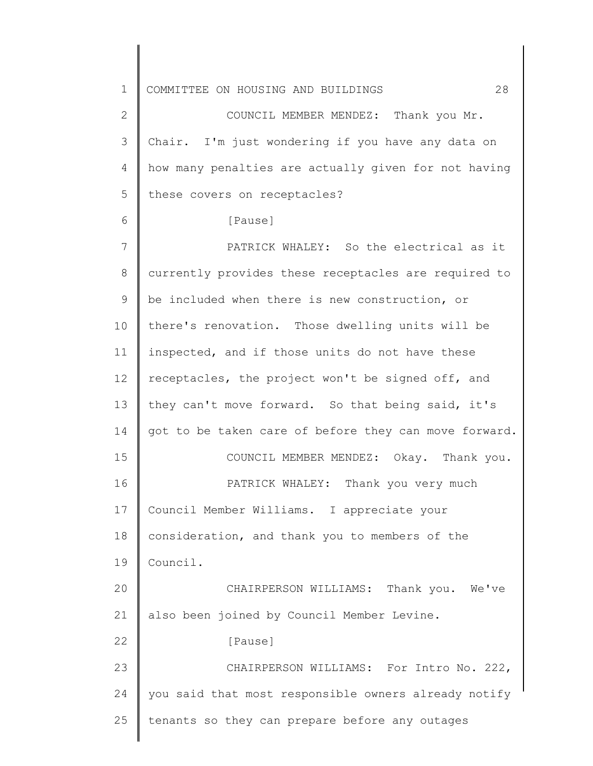1 2 3 4 5 6 7 8 9 10 11 12 13 14 15 16 17 18 19 20 21 22 23 24 25 COMMITTEE ON HOUSING AND BUILDINGS 28 COUNCIL MEMBER MENDEZ: Thank you Mr. Chair. I'm just wondering if you have any data on how many penalties are actually given for not having these covers on receptacles? [Pause] PATRICK WHALEY: So the electrical as it currently provides these receptacles are required to be included when there is new construction, or there's renovation. Those dwelling units will be inspected, and if those units do not have these receptacles, the project won't be signed off, and they can't move forward. So that being said, it's got to be taken care of before they can move forward. COUNCIL MEMBER MENDEZ: Okay. Thank you. PATRICK WHALEY: Thank you very much Council Member Williams. I appreciate your consideration, and thank you to members of the Council. CHAIRPERSON WILLIAMS: Thank you. We've also been joined by Council Member Levine. [Pause] CHAIRPERSON WILLIAMS: For Intro No. 222, you said that most responsible owners already notify tenants so they can prepare before any outages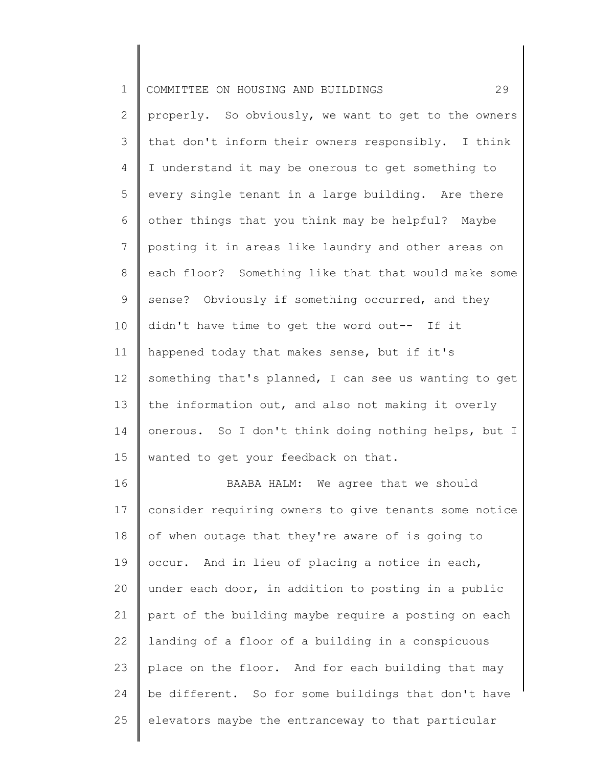| $\mathbf 1$    | 29<br>COMMITTEE ON HOUSING AND BUILDINGS              |
|----------------|-------------------------------------------------------|
| $\overline{2}$ | properly. So obviously, we want to get to the owners  |
| 3              | that don't inform their owners responsibly. I think   |
| 4              | I understand it may be onerous to get something to    |
| 5              | every single tenant in a large building. Are there    |
| 6              | other things that you think may be helpful? Maybe     |
| $\overline{7}$ | posting it in areas like laundry and other areas on   |
| 8              | each floor? Something like that that would make some  |
| 9              | sense? Obviously if something occurred, and they      |
| 10             | didn't have time to get the word out-- If it          |
| 11             | happened today that makes sense, but if it's          |
| 12             | something that's planned, I can see us wanting to get |
| 13             | the information out, and also not making it overly    |
| 14             | onerous. So I don't think doing nothing helps, but I  |
| 15             | wanted to get your feedback on that.                  |
| 16             | BAABA HALM: We agree that we should                   |
| 17             | consider requiring owners to give tenants some notice |
| 18             | of when outage that they're aware of is going to      |
| 19             | occur. And in lieu of placing a notice in each,       |
| 20             | under each door, in addition to posting in a public   |
| 21             | part of the building maybe require a posting on each  |
| 22             | landing of a floor of a building in a conspicuous     |
| 23             | place on the floor. And for each building that may    |
| 24             | be different. So for some buildings that don't have   |
| 25             | elevators maybe the entranceway to that particular    |
|                |                                                       |

║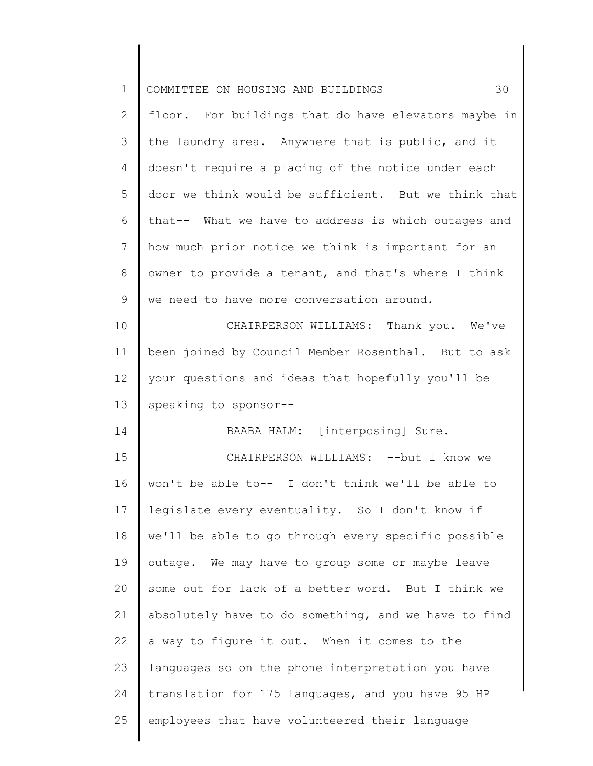| $\mathbf 1$     | 30<br>COMMITTEE ON HOUSING AND BUILDINGS             |
|-----------------|------------------------------------------------------|
| $\mathbf{2}$    | floor. For buildings that do have elevators maybe in |
| 3               | the laundry area. Anywhere that is public, and it    |
| $\overline{4}$  | doesn't require a placing of the notice under each   |
| 5               | door we think would be sufficient. But we think that |
| 6               | that-- What we have to address is which outages and  |
| $7\phantom{.0}$ | how much prior notice we think is important for an   |
| $\,8\,$         | owner to provide a tenant, and that's where I think  |
| 9               | we need to have more conversation around.            |
| 10              | CHAIRPERSON WILLIAMS: Thank you. We've               |
| 11              | been joined by Council Member Rosenthal. But to ask  |
| 12              | your questions and ideas that hopefully you'll be    |
| 13              | speaking to sponsor--                                |
| 14              | BAABA HALM: [interposing] Sure.                      |
| 15              | CHAIRPERSON WILLIAMS: -- but I know we               |
| 16              | won't be able to-- I don't think we'll be able to    |
| 17              | legislate every eventuality. So I don't know if      |
| 18              | we'll be able to go through every specific possible  |
| 19              | outage. We may have to group some or maybe leave     |
| 20              | some out for lack of a better word. But I think we   |
| 21              | absolutely have to do something, and we have to find |
| 22              | a way to figure it out. When it comes to the         |
| 23              | languages so on the phone interpretation you have    |
| 24              | translation for 175 languages, and you have 95 HP    |
| 25              | employees that have volunteered their language       |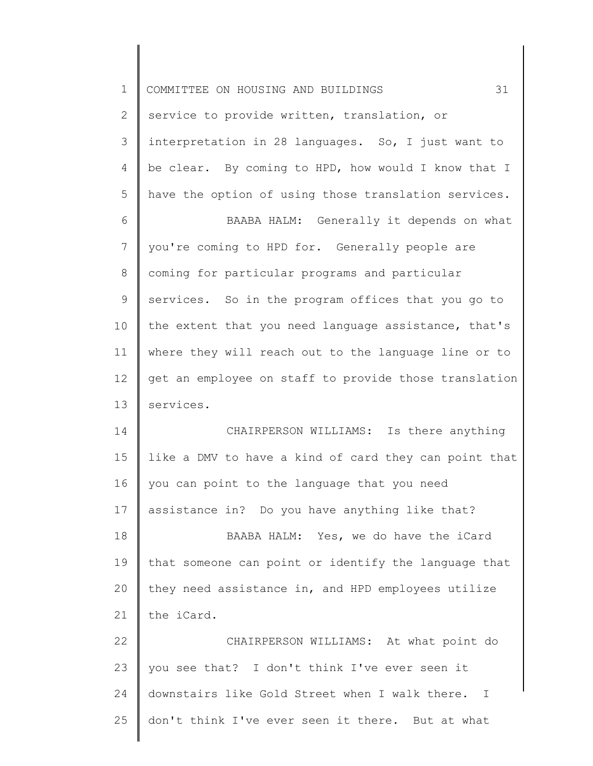| $\mathbf 1$ | 31<br>COMMITTEE ON HOUSING AND BUILDINGS                       |
|-------------|----------------------------------------------------------------|
| 2           | service to provide written, translation, or                    |
| 3           | interpretation in 28 languages. So, I just want to             |
| 4           | be clear. By coming to HPD, how would I know that I            |
| 5           | have the option of using those translation services.           |
| 6           | BAABA HALM: Generally it depends on what                       |
| 7           | you're coming to HPD for. Generally people are                 |
| 8           | coming for particular programs and particular                  |
| 9           | services. So in the program offices that you go to             |
| 10          | the extent that you need language assistance, that's           |
| 11          | where they will reach out to the language line or to           |
| 12          | get an employee on staff to provide those translation          |
| 13          | services.                                                      |
| 14          | CHAIRPERSON WILLIAMS: Is there anything                        |
| 15          | like a DMV to have a kind of card they can point that          |
| 16          | you can point to the language that you need                    |
| 17          | assistance in? Do you have anything like that?                 |
| 18          | BAABA HALM: Yes, we do have the iCard                          |
| 19          | that someone can point or identify the language that           |
| 20          | they need assistance in, and HPD employees utilize             |
| 21          | the iCard.                                                     |
| 22          | CHAIRPERSON WILLIAMS: At what point do                         |
| 23          | you see that? I don't think I've ever seen it                  |
| 24          | downstairs like Gold Street when I walk there.<br>$\mathbf{I}$ |
| 25          | don't think I've ever seen it there. But at what               |
|             |                                                                |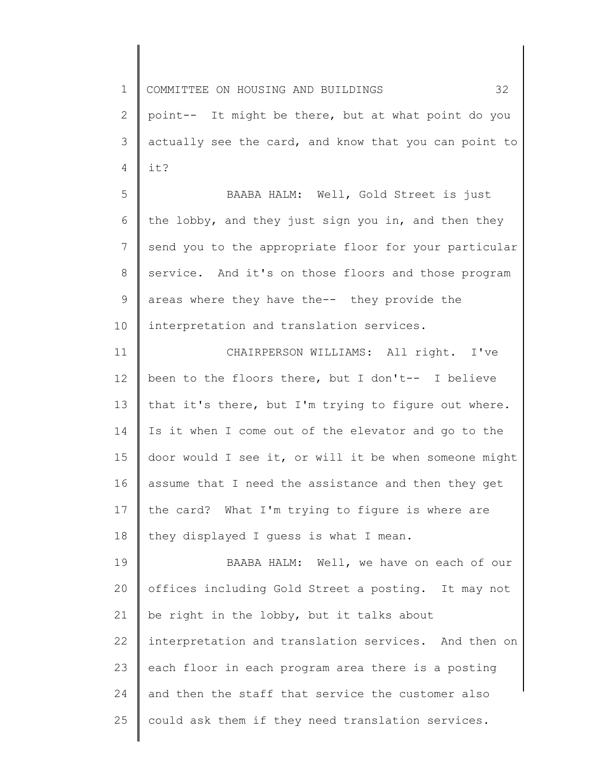1 2 3 4 COMMITTEE ON HOUSING AND BUILDINGS 32 point-- It might be there, but at what point do you actually see the card, and know that you can point to it?

5 6 7 8 9 10 BAABA HALM: Well, Gold Street is just the lobby, and they just sign you in, and then they send you to the appropriate floor for your particular service. And it's on those floors and those program areas where they have the-- they provide the interpretation and translation services.

11 12 13 14 15 16 17 18 CHAIRPERSON WILLIAMS: All right. I've been to the floors there, but I don't-- I believe that it's there, but I'm trying to figure out where. Is it when I come out of the elevator and go to the door would I see it, or will it be when someone might assume that I need the assistance and then they get the card? What I'm trying to figure is where are they displayed I guess is what I mean.

19 20 21 22 23 24 25 BAABA HALM: Well, we have on each of our offices including Gold Street a posting. It may not be right in the lobby, but it talks about interpretation and translation services. And then on each floor in each program area there is a posting and then the staff that service the customer also could ask them if they need translation services.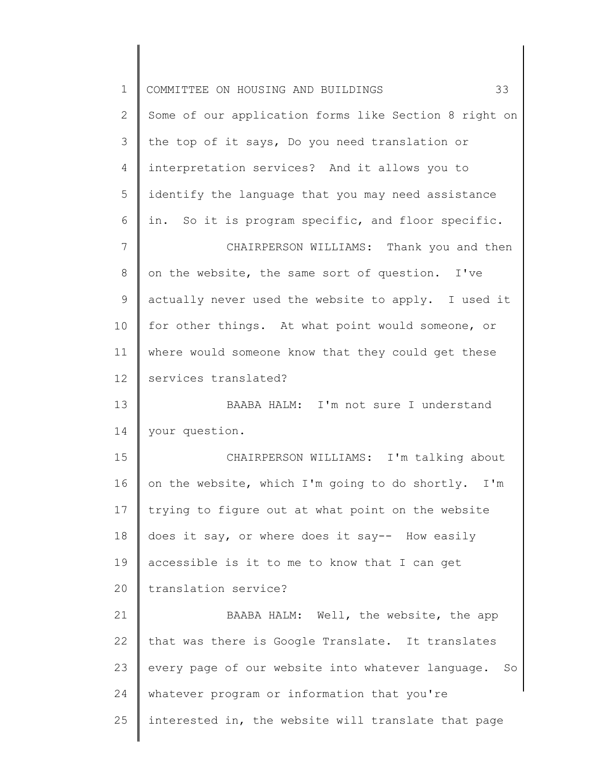| $\mathbf 1$     | 33<br>COMMITTEE ON HOUSING AND BUILDINGS                |
|-----------------|---------------------------------------------------------|
| 2               | Some of our application forms like Section 8 right on   |
| 3               | the top of it says, Do you need translation or          |
| 4               | interpretation services? And it allows you to           |
| 5               | identify the language that you may need assistance      |
| 6               | in. So it is program specific, and floor specific.      |
| $7\phantom{.}$  | CHAIRPERSON WILLIAMS: Thank you and then                |
| 8               | on the website, the same sort of question. I've         |
| 9               | actually never used the website to apply. I used it     |
| 10              | for other things. At what point would someone, or       |
| 11              | where would someone know that they could get these      |
| 12 <sup>°</sup> | services translated?                                    |
| 13              | BAABA HALM: I'm not sure I understand                   |
| 14              | your question.                                          |
| 15              | CHAIRPERSON WILLIAMS: I'm talking about                 |
| 16              | on the website, which I'm going to do shortly. I'm      |
| 17              | trying to figure out at what point on the website       |
| 18              | does it say, or where does it say-- How easily          |
| 19              | accessible is it to me to know that I can get           |
| 20              | translation service?                                    |
| 21              | BAABA HALM: Well, the website, the app                  |
| 22              | that was there is Google Translate. It translates       |
| 23              | every page of our website into whatever language.<br>So |
| 24              | whatever program or information that you're             |
| 25              | interested in, the website will translate that page     |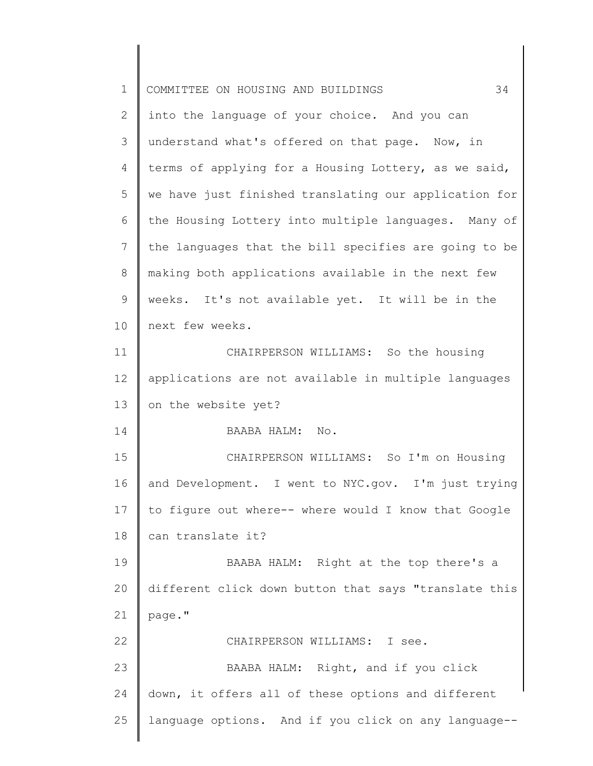| $\mathbf 1$  | 34<br>COMMITTEE ON HOUSING AND BUILDINGS              |
|--------------|-------------------------------------------------------|
| $\mathbf{2}$ | into the language of your choice. And you can         |
| 3            | understand what's offered on that page. Now, in       |
| 4            | terms of applying for a Housing Lottery, as we said,  |
| 5            | we have just finished translating our application for |
| 6            | the Housing Lottery into multiple languages. Many of  |
| 7            | the languages that the bill specifies are going to be |
| 8            | making both applications available in the next few    |
| 9            | weeks. It's not available yet. It will be in the      |
| 10           | next few weeks.                                       |
| 11           | CHAIRPERSON WILLIAMS: So the housing                  |
| 12           | applications are not available in multiple languages  |
| 13           | on the website yet?                                   |
| 14           | BAABA HALM: No.                                       |
| 15           | CHAIRPERSON WILLIAMS: So I'm on Housing               |
| 16           | and Development. I went to NYC.gov. I'm just trying   |
| 17           | to figure out where-- where would I know that Google  |
| 18           | can translate it?                                     |
| 19           | BAABA HALM: Right at the top there's a                |
| 20           | different click down button that says "translate this |
| 21           | page."                                                |
| 22           | CHAIRPERSON WILLIAMS:<br>I see.                       |
| 23           | BAABA HALM: Right, and if you click                   |
| 24           | down, it offers all of these options and different    |
| 25           | language options. And if you click on any language--  |
|              |                                                       |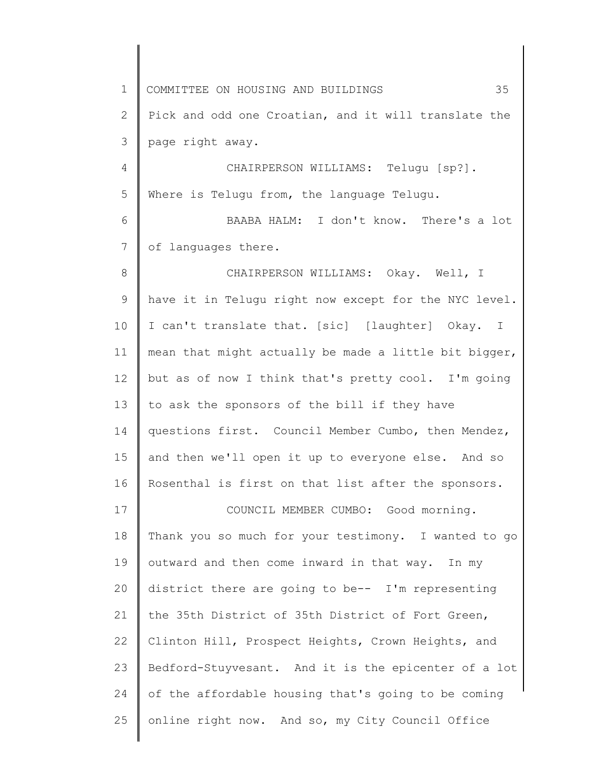1 2 3 4 5 6 7 8 9 10 11 12 13 14 15 16 17 18 19 20 21 22 23 24 25 COMMITTEE ON HOUSING AND BUILDINGS 35 Pick and odd one Croatian, and it will translate the page right away. CHAIRPERSON WILLIAMS: Telugu [sp?]. Where is Telugu from, the language Telugu. BAABA HALM: I don't know. There's a lot of languages there. CHAIRPERSON WILLIAMS: Okay. Well, I have it in Telugu right now except for the NYC level. I can't translate that. [sic] [laughter] Okay. I mean that might actually be made a little bit bigger, but as of now I think that's pretty cool. I'm going to ask the sponsors of the bill if they have questions first. Council Member Cumbo, then Mendez, and then we'll open it up to everyone else. And so Rosenthal is first on that list after the sponsors. COUNCIL MEMBER CUMBO: Good morning. Thank you so much for your testimony. I wanted to go outward and then come inward in that way. In my district there are going to be-- I'm representing the 35th District of 35th District of Fort Green, Clinton Hill, Prospect Heights, Crown Heights, and Bedford-Stuyvesant. And it is the epicenter of a lot of the affordable housing that's going to be coming online right now. And so, my City Council Office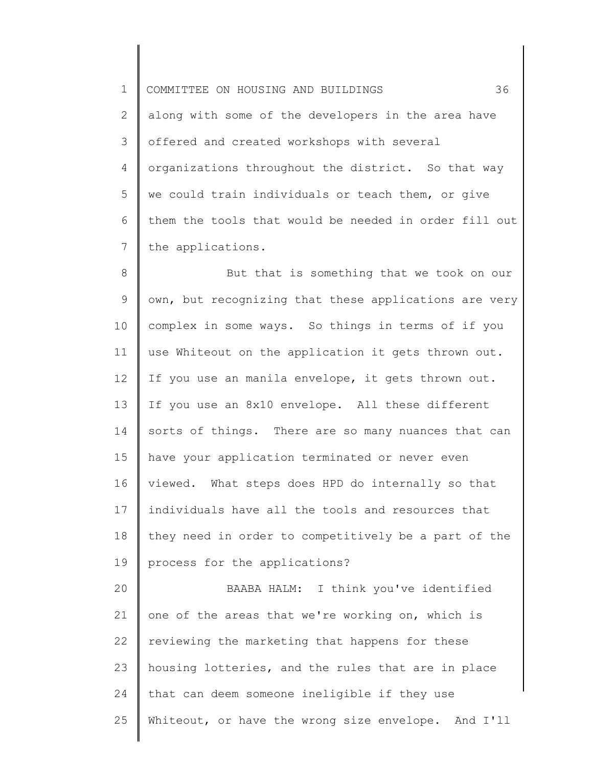1 2 3 4 5 6 7 COMMITTEE ON HOUSING AND BUILDINGS 36 along with some of the developers in the area have offered and created workshops with several organizations throughout the district. So that way we could train individuals or teach them, or give them the tools that would be needed in order fill out the applications.

8 9 10 11 12 13 14 15 16 17 18 19 But that is something that we took on our own, but recognizing that these applications are very complex in some ways. So things in terms of if you use Whiteout on the application it gets thrown out. If you use an manila envelope, it gets thrown out. If you use an 8x10 envelope. All these different sorts of things. There are so many nuances that can have your application terminated or never even viewed. What steps does HPD do internally so that individuals have all the tools and resources that they need in order to competitively be a part of the process for the applications?

20 21 22 23 24 25 BAABA HALM: I think you've identified one of the areas that we're working on, which is reviewing the marketing that happens for these housing lotteries, and the rules that are in place that can deem someone ineligible if they use Whiteout, or have the wrong size envelope. And I'll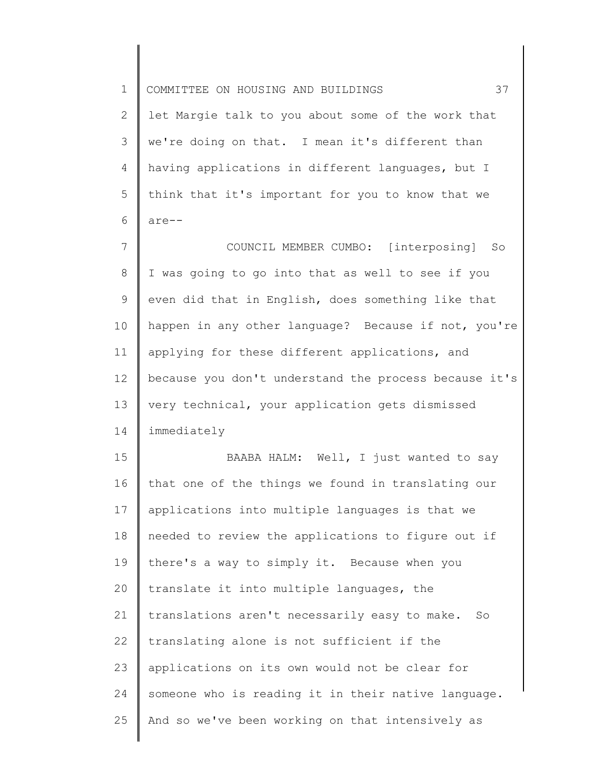1 2 3 4 5 6 7 8 9 10 11 12 13 14 15 16 17 18 19 20 21 22 23 24 25 COMMITTEE ON HOUSING AND BUILDINGS 37 let Margie talk to you about some of the work that we're doing on that. I mean it's different than having applications in different languages, but I think that it's important for you to know that we are-- COUNCIL MEMBER CUMBO: [interposing] So I was going to go into that as well to see if you even did that in English, does something like that happen in any other language? Because if not, you're applying for these different applications, and because you don't understand the process because it's very technical, your application gets dismissed immediately BAABA HALM: Well, I just wanted to say that one of the things we found in translating our applications into multiple languages is that we needed to review the applications to figure out if there's a way to simply it. Because when you translate it into multiple languages, the translations aren't necessarily easy to make. So translating alone is not sufficient if the applications on its own would not be clear for someone who is reading it in their native language. And so we've been working on that intensively as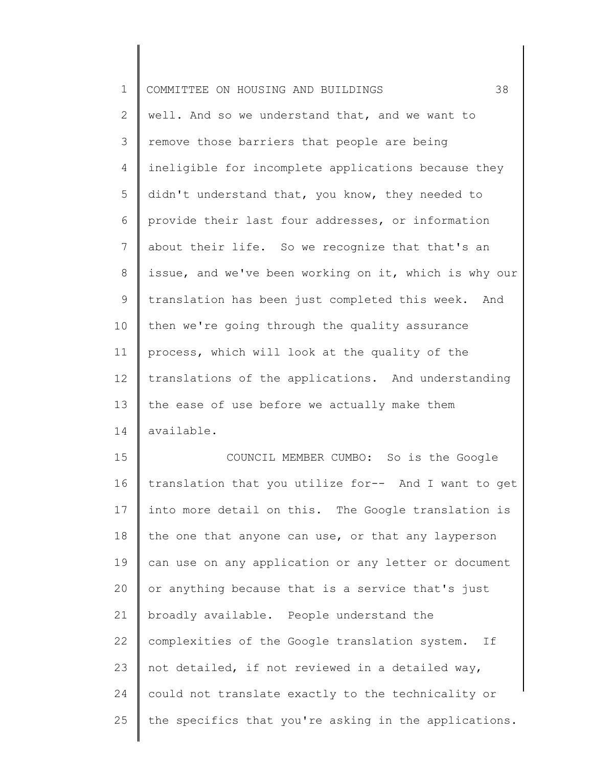| $\mathbf 1$    | 38<br>COMMITTEE ON HOUSING AND BUILDINGS              |
|----------------|-------------------------------------------------------|
| $\overline{2}$ | well. And so we understand that, and we want to       |
| 3              | remove those barriers that people are being           |
| 4              | ineligible for incomplete applications because they   |
| 5              | didn't understand that, you know, they needed to      |
| 6              | provide their last four addresses, or information     |
| 7              | about their life. So we recognize that that's an      |
| 8              | issue, and we've been working on it, which is why our |
| 9              | translation has been just completed this week. And    |
| 10             | then we're going through the quality assurance        |
| 11             | process, which will look at the quality of the        |
| 12             | translations of the applications. And understanding   |
| 13             | the ease of use before we actually make them          |
| 14             | available.                                            |
| 15             | COUNCIL MEMBER CUMBO: So is the Google                |
| 16             | translation that you utilize for-- And I want to get  |
| 17             | into more detail on this. The Google translation is   |
| 18             | the one that anyone can use, or that any layperson    |
| 19             | can use on any application or any letter or document  |
| 20             | or anything because that is a service that's just     |
| 21             | broadly available. People understand the              |
| 22             | complexities of the Google translation system.<br>If  |
| 23             | not detailed, if not reviewed in a detailed way,      |
| 24             | could not translate exactly to the technicality or    |
| 25             | the specifics that you're asking in the applications. |
|                |                                                       |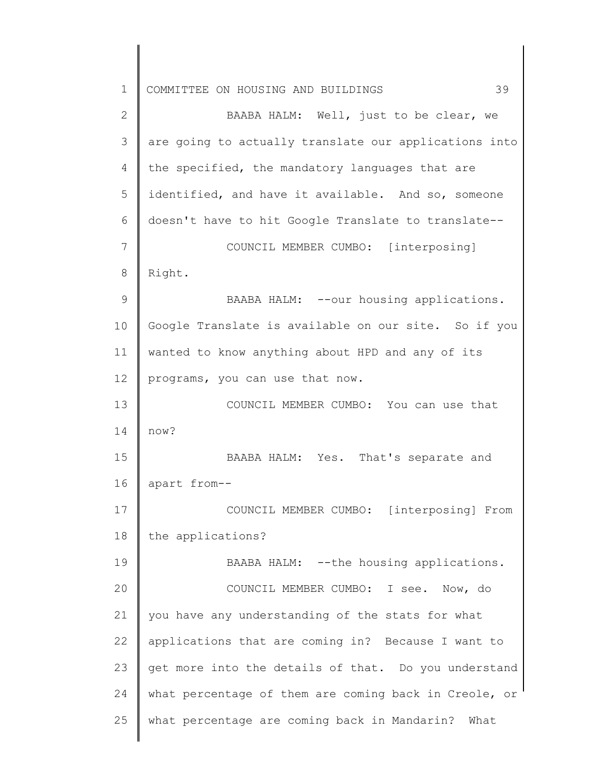| $\mathbf 1$ | 39<br>COMMITTEE ON HOUSING AND BUILDINGS              |
|-------------|-------------------------------------------------------|
| 2           | BAABA HALM: Well, just to be clear, we                |
| 3           | are going to actually translate our applications into |
| 4           | the specified, the mandatory languages that are       |
| 5           | identified, and have it available. And so, someone    |
| 6           | doesn't have to hit Google Translate to translate--   |
| 7           | COUNCIL MEMBER CUMBO: [interposing]                   |
| 8           | Right.                                                |
| 9           | BAABA HALM: -- our housing applications.              |
| 10          | Google Translate is available on our site. So if you  |
| 11          | wanted to know anything about HPD and any of its      |
| 12          | programs, you can use that now.                       |
| 13          | COUNCIL MEMBER CUMBO: You can use that                |
| 14          | now?                                                  |
| 15          | BAABA HALM: Yes. That's separate and                  |
| 16          | apart from--                                          |
| 17          | COUNCIL MEMBER CUMBO: [interposing] From              |
| 18          | the applications?                                     |
| 19          | BAABA HALM: -- the housing applications.              |
| 20          | COUNCIL MEMBER CUMBO: I see. Now, do                  |
| 21          | you have any understanding of the stats for what      |
| 22          | applications that are coming in? Because I want to    |
| 23          | get more into the details of that. Do you understand  |
| 24          | what percentage of them are coming back in Creole, or |
| 25          | what percentage are coming back in Mandarin? What     |
|             |                                                       |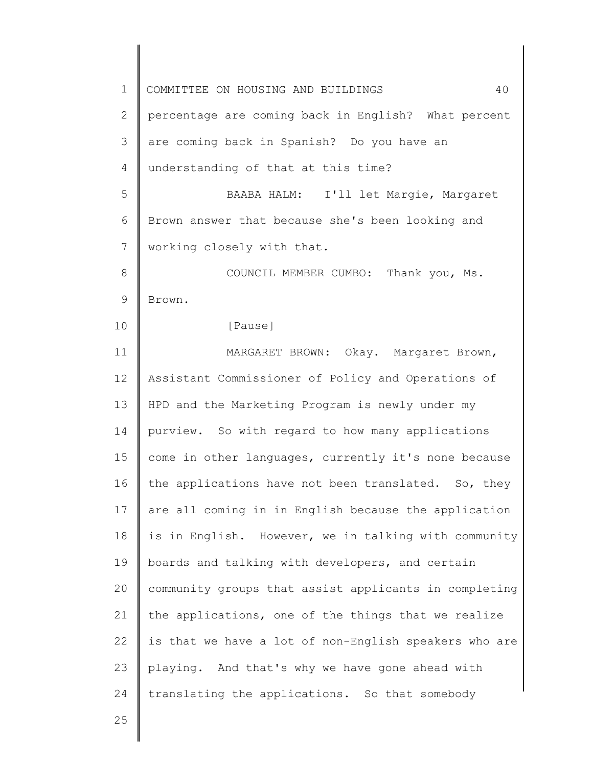1 2 3 4 5 6 7 8 9 10 11 12 13 14 15 16 17 18 19 20 21 22 23 24 25 COMMITTEE ON HOUSING AND BUILDINGS 40 percentage are coming back in English? What percent are coming back in Spanish? Do you have an understanding of that at this time? BAABA HALM: I'll let Margie, Margaret Brown answer that because she's been looking and working closely with that. COUNCIL MEMBER CUMBO: Thank you, Ms. Brown. [Pause] MARGARET BROWN: Okay. Margaret Brown, Assistant Commissioner of Policy and Operations of HPD and the Marketing Program is newly under my purview. So with regard to how many applications come in other languages, currently it's none because the applications have not been translated. So, they are all coming in in English because the application is in English. However, we in talking with community boards and talking with developers, and certain community groups that assist applicants in completing the applications, one of the things that we realize is that we have a lot of non-English speakers who are playing. And that's why we have gone ahead with translating the applications. So that somebody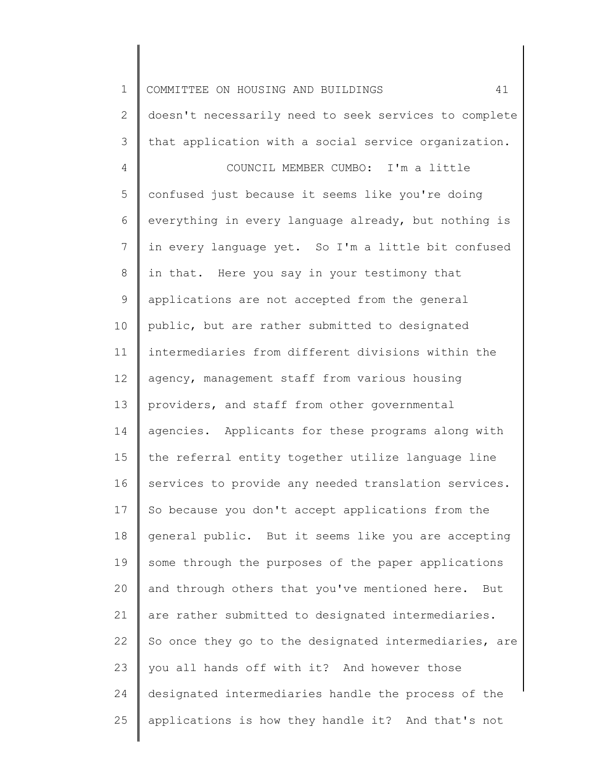1 2 3 4 5 6 7 8 9 10 11 12 13 14 15 16 17 18 19 20 21 22 23 24 25 COMMITTEE ON HOUSING AND BUILDINGS 41 doesn't necessarily need to seek services to complete that application with a social service organization. COUNCIL MEMBER CUMBO: I'm a little confused just because it seems like you're doing everything in every language already, but nothing is in every language yet. So I'm a little bit confused in that. Here you say in your testimony that applications are not accepted from the general public, but are rather submitted to designated intermediaries from different divisions within the agency, management staff from various housing providers, and staff from other governmental agencies. Applicants for these programs along with the referral entity together utilize language line services to provide any needed translation services. So because you don't accept applications from the general public. But it seems like you are accepting some through the purposes of the paper applications and through others that you've mentioned here. But are rather submitted to designated intermediaries. So once they go to the designated intermediaries, are you all hands off with it? And however those designated intermediaries handle the process of the applications is how they handle it? And that's not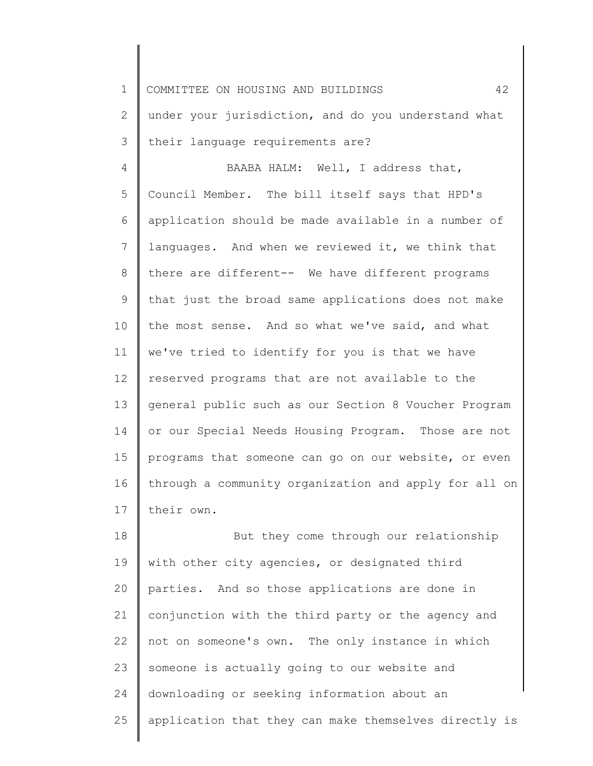2 3 under your jurisdiction, and do you understand what their language requirements are?

4 5 6 7 8 9 10 11 12 13 14 15 16 17 BAABA HALM: Well, I address that, Council Member. The bill itself says that HPD's application should be made available in a number of languages. And when we reviewed it, we think that there are different-- We have different programs that just the broad same applications does not make the most sense. And so what we've said, and what we've tried to identify for you is that we have reserved programs that are not available to the general public such as our Section 8 Voucher Program or our Special Needs Housing Program. Those are not programs that someone can go on our website, or even through a community organization and apply for all on their own.

18 19 20 21 22 23 24 25 But they come through our relationship with other city agencies, or designated third parties. And so those applications are done in conjunction with the third party or the agency and not on someone's own. The only instance in which someone is actually going to our website and downloading or seeking information about an application that they can make themselves directly is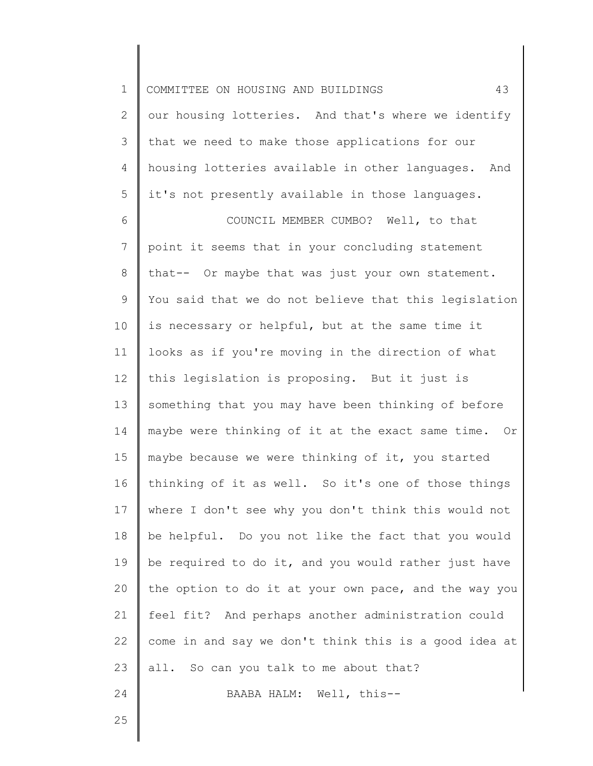| $\mathbf 1$  | 43<br>COMMITTEE ON HOUSING AND BUILDINGS               |
|--------------|--------------------------------------------------------|
| $\mathbf{2}$ | our housing lotteries. And that's where we identify    |
| 3            | that we need to make those applications for our        |
| 4            | housing lotteries available in other languages.<br>And |
| 5            | it's not presently available in those languages.       |
| 6            | COUNCIL MEMBER CUMBO? Well, to that                    |
| 7            | point it seems that in your concluding statement       |
| 8            | that-- Or maybe that was just your own statement.      |
| 9            | You said that we do not believe that this legislation  |
| 10           | is necessary or helpful, but at the same time it       |
| 11           | looks as if you're moving in the direction of what     |
| 12           | this legislation is proposing. But it just is          |
| 13           | something that you may have been thinking of before    |
| 14           | maybe were thinking of it at the exact same time. Or   |
| 15           | maybe because we were thinking of it, you started      |
| 16           | thinking of it as well. So it's one of those things    |
| 17           | where I don't see why you don't think this would not   |
| 18           | be helpful. Do you not like the fact that you would    |
| 19           | be required to do it, and you would rather just have   |
| 20           | the option to do it at your own pace, and the way you  |
| 21           | feel fit? And perhaps another administration could     |
| 22           | come in and say we don't think this is a good idea at  |
| 23           | all. So can you talk to me about that?                 |
| 24           | BAABA HALM: Well, this--                               |
| 25           |                                                        |
|              |                                                        |

║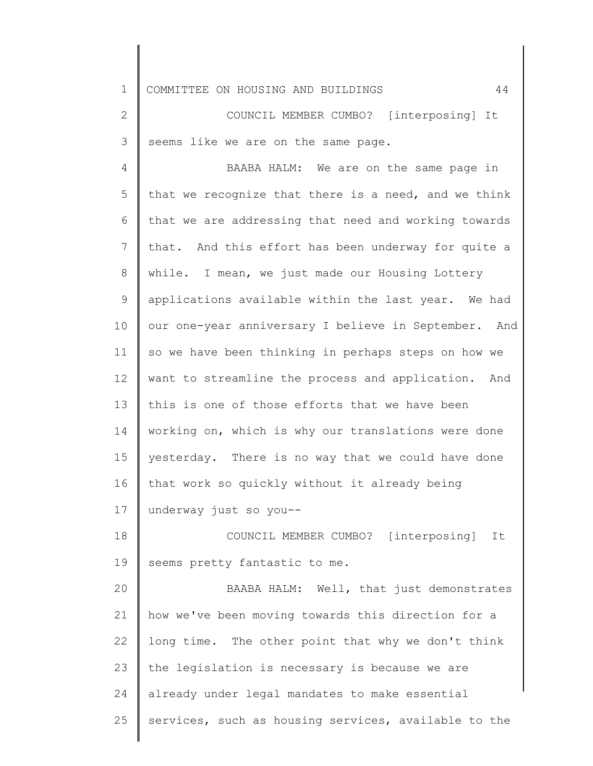2 3 COUNCIL MEMBER CUMBO? [interposing] It seems like we are on the same page.

4 5 6 7 8 9 10 11 12 13 14 15 16 17 18 BAABA HALM: We are on the same page in that we recognize that there is a need, and we think that we are addressing that need and working towards that. And this effort has been underway for quite a while. I mean, we just made our Housing Lottery applications available within the last year. We had our one-year anniversary I believe in September. And so we have been thinking in perhaps steps on how we want to streamline the process and application. And this is one of those efforts that we have been working on, which is why our translations were done yesterday. There is no way that we could have done that work so quickly without it already being underway just so you-- COUNCIL MEMBER CUMBO? [interposing] It

19 seems pretty fantastic to me.

20 21 22 23 24 25 BAABA HALM: Well, that just demonstrates how we've been moving towards this direction for a long time. The other point that why we don't think the legislation is necessary is because we are already under legal mandates to make essential services, such as housing services, available to the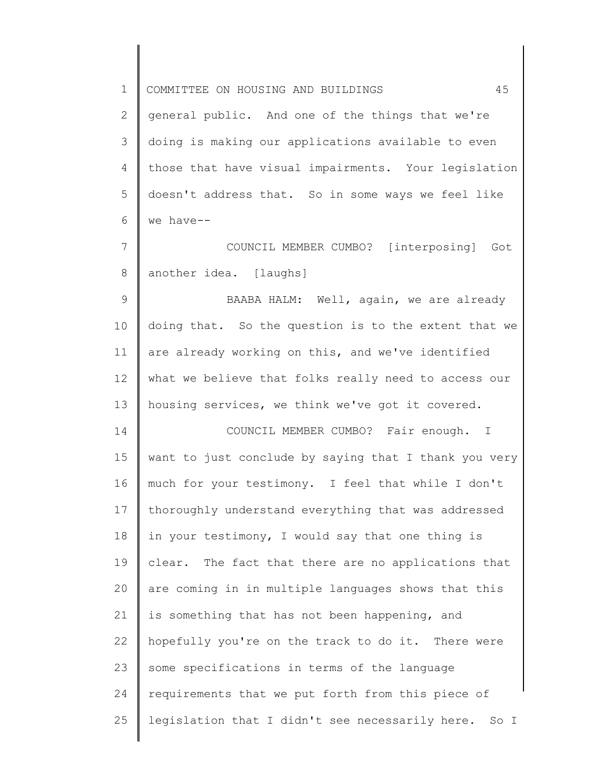1 2 3 4 5 6 7 8 9 10 11 12 13 14 15 16 17 18 19 20 21 22 23 24 25 COMMITTEE ON HOUSING AND BUILDINGS 45 general public. And one of the things that we're doing is making our applications available to even those that have visual impairments. Your legislation doesn't address that. So in some ways we feel like we have-- COUNCIL MEMBER CUMBO? [interposing] Got another idea. [laughs] BAABA HALM: Well, again, we are already doing that. So the question is to the extent that we are already working on this, and we've identified what we believe that folks really need to access our housing services, we think we've got it covered. COUNCIL MEMBER CUMBO? Fair enough. I want to just conclude by saying that I thank you very much for your testimony. I feel that while I don't thoroughly understand everything that was addressed in your testimony, I would say that one thing is clear. The fact that there are no applications that are coming in in multiple languages shows that this is something that has not been happening, and hopefully you're on the track to do it. There were some specifications in terms of the language requirements that we put forth from this piece of legislation that I didn't see necessarily here. So I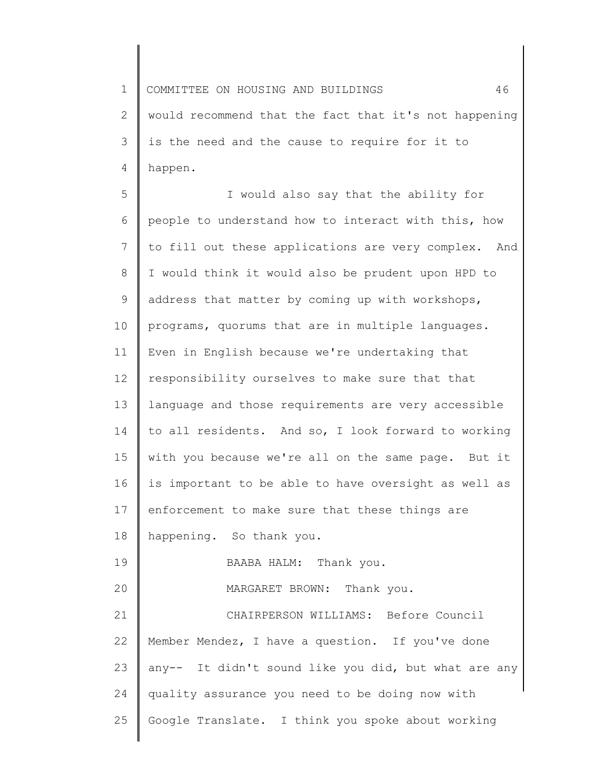1 2 3 4 COMMITTEE ON HOUSING AND BUILDINGS 46 would recommend that the fact that it's not happening is the need and the cause to require for it to happen.

5 6 7 8 9 10 11 12 13 14 15 16 17 18 19 20 21 22 23 24 25 I would also say that the ability for people to understand how to interact with this, how to fill out these applications are very complex. And I would think it would also be prudent upon HPD to address that matter by coming up with workshops, programs, quorums that are in multiple languages. Even in English because we're undertaking that responsibility ourselves to make sure that that language and those requirements are very accessible to all residents. And so, I look forward to working with you because we're all on the same page. But it is important to be able to have oversight as well as enforcement to make sure that these things are happening. So thank you. BAABA HALM: Thank you. MARGARET BROWN: Thank you. CHAIRPERSON WILLIAMS: Before Council Member Mendez, I have a question. If you've done any-- It didn't sound like you did, but what are any quality assurance you need to be doing now with Google Translate. I think you spoke about working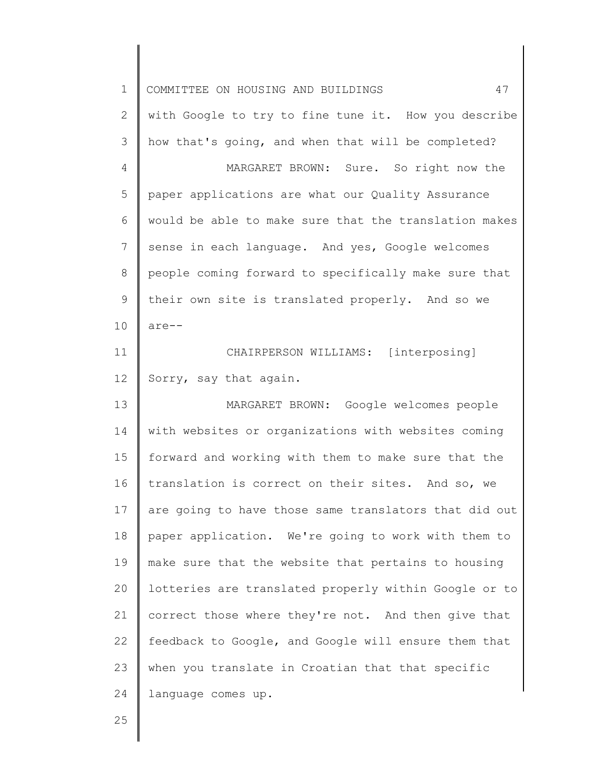| $\mathbf 1$  | 47<br>COMMITTEE ON HOUSING AND BUILDINGS              |
|--------------|-------------------------------------------------------|
| $\mathbf{2}$ | with Google to try to fine tune it. How you describe  |
| 3            | how that's going, and when that will be completed?    |
| 4            | MARGARET BROWN: Sure. So right now the                |
| 5            | paper applications are what our Quality Assurance     |
| 6            | would be able to make sure that the translation makes |
| 7            | sense in each language. And yes, Google welcomes      |
| $8\,$        | people coming forward to specifically make sure that  |
| $\mathsf 9$  | their own site is translated properly. And so we      |
| 10           | $are--$                                               |
| 11           | CHAIRPERSON WILLIAMS: [interposing]                   |
| 12           | Sorry, say that again.                                |
| 13           | MARGARET BROWN: Google welcomes people                |
| 14           | with websites or organizations with websites coming   |
| 15           | forward and working with them to make sure that the   |
| 16           | translation is correct on their sites. And so, we     |
| 17           | are going to have those same translators that did out |
| 18           | paper application. We're going to work with them to   |
| 19           | make sure that the website that pertains to housing   |
| 20           | lotteries are translated properly within Google or to |
| 21           | correct those where they're not. And then give that   |
| 22           | feedback to Google, and Google will ensure them that  |
| 23           | when you translate in Croatian that that specific     |
| 24           | language comes up.                                    |
| 25           |                                                       |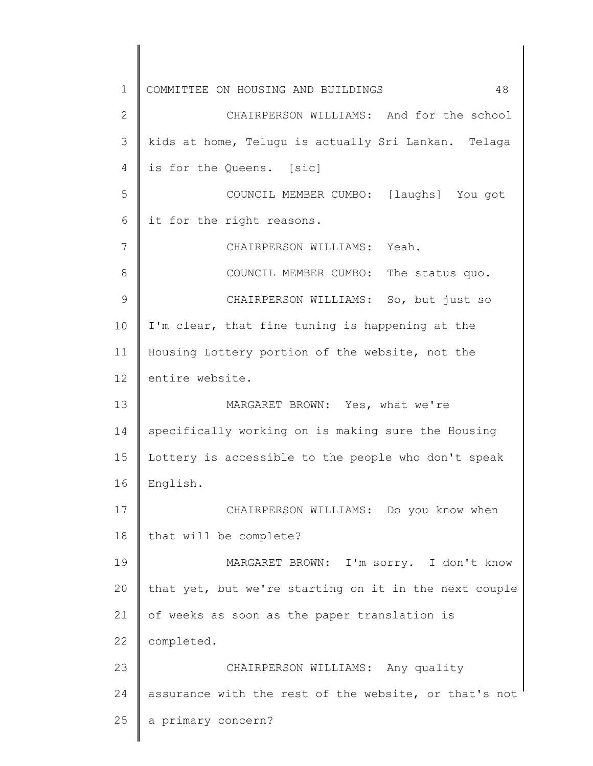1 2 3 4 5 6 7 8 9 10 11 12 13 14 15 16 17 18 19 20 21 22 23 24 25 COMMITTEE ON HOUSING AND BUILDINGS 48 CHAIRPERSON WILLIAMS: And for the school kids at home, Telugu is actually Sri Lankan. Telaga is for the Queens. [sic] COUNCIL MEMBER CUMBO: [laughs] You got it for the right reasons. CHAIRPERSON WILLIAMS: Yeah. COUNCIL MEMBER CUMBO: The status quo. CHAIRPERSON WILLIAMS: So, but just so I'm clear, that fine tuning is happening at the Housing Lottery portion of the website, not the entire website. MARGARET BROWN: Yes, what we're specifically working on is making sure the Housing Lottery is accessible to the people who don't speak English. CHAIRPERSON WILLIAMS: Do you know when that will be complete? MARGARET BROWN: I'm sorry. I don't know that yet, but we're starting on it in the next couple of weeks as soon as the paper translation is completed. CHAIRPERSON WILLIAMS: Any quality assurance with the rest of the website, or that's not a primary concern?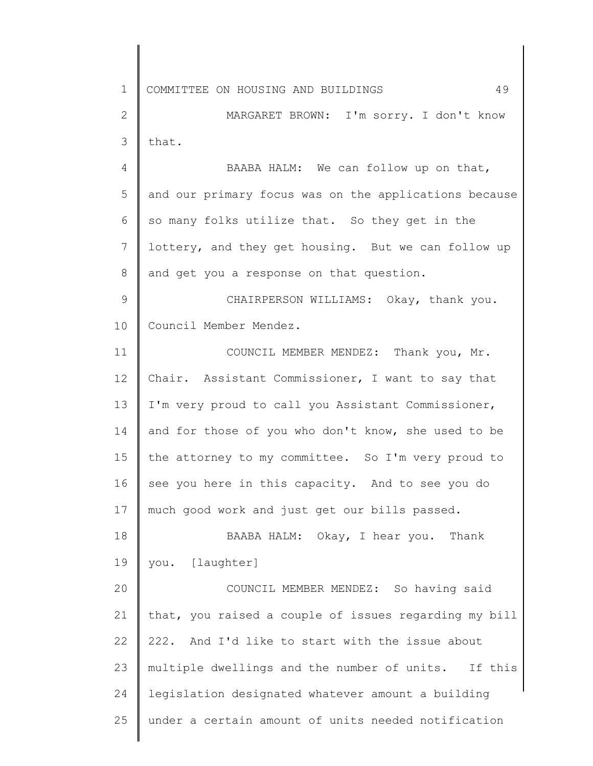1 2 3 4 5 6 7 8 9 10 11 12 13 14 15 16 17 18 19 20 21 22 23 24 25 COMMITTEE ON HOUSING AND BUILDINGS 49 MARGARET BROWN: I'm sorry. I don't know that. BAABA HALM: We can follow up on that, and our primary focus was on the applications because so many folks utilize that. So they get in the lottery, and they get housing. But we can follow up and get you a response on that question. CHAIRPERSON WILLIAMS: Okay, thank you. Council Member Mendez. COUNCIL MEMBER MENDEZ: Thank you, Mr. Chair. Assistant Commissioner, I want to say that I'm very proud to call you Assistant Commissioner, and for those of you who don't know, she used to be the attorney to my committee. So I'm very proud to see you here in this capacity. And to see you do much good work and just get our bills passed. BAABA HALM: Okay, I hear you. Thank you. [laughter] COUNCIL MEMBER MENDEZ: So having said that, you raised a couple of issues regarding my bill 222. And I'd like to start with the issue about multiple dwellings and the number of units. If this legislation designated whatever amount a building under a certain amount of units needed notification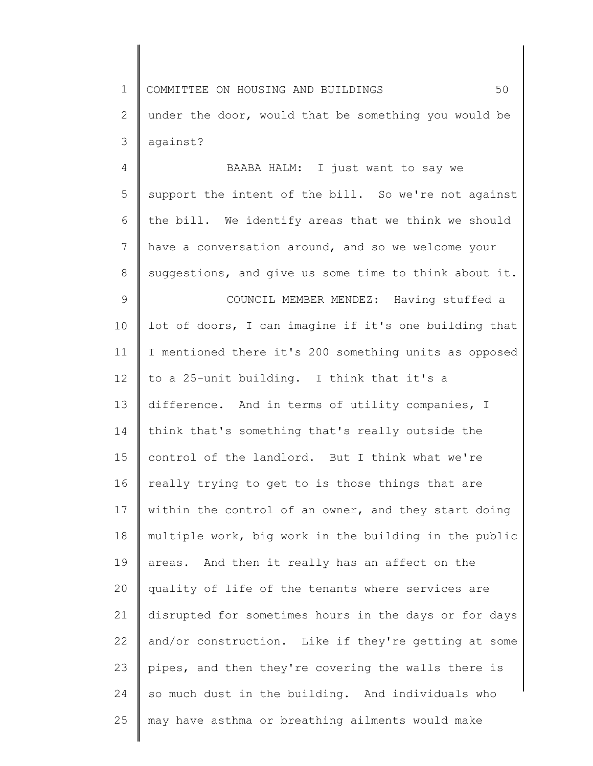1 2 3 COMMITTEE ON HOUSING AND BUILDINGS 50 under the door, would that be something you would be against?

4 5 6 7 8 9 10 11 12 13 14 15 16 17 18 19 20 21 22 23 24 25 BAABA HALM: I just want to say we support the intent of the bill. So we're not against the bill. We identify areas that we think we should have a conversation around, and so we welcome your suggestions, and give us some time to think about it. COUNCIL MEMBER MENDEZ: Having stuffed a lot of doors, I can imagine if it's one building that I mentioned there it's 200 something units as opposed to a 25-unit building. I think that it's a difference. And in terms of utility companies, I think that's something that's really outside the control of the landlord. But I think what we're really trying to get to is those things that are within the control of an owner, and they start doing multiple work, big work in the building in the public areas. And then it really has an affect on the quality of life of the tenants where services are disrupted for sometimes hours in the days or for days and/or construction. Like if they're getting at some pipes, and then they're covering the walls there is so much dust in the building. And individuals who may have asthma or breathing ailments would make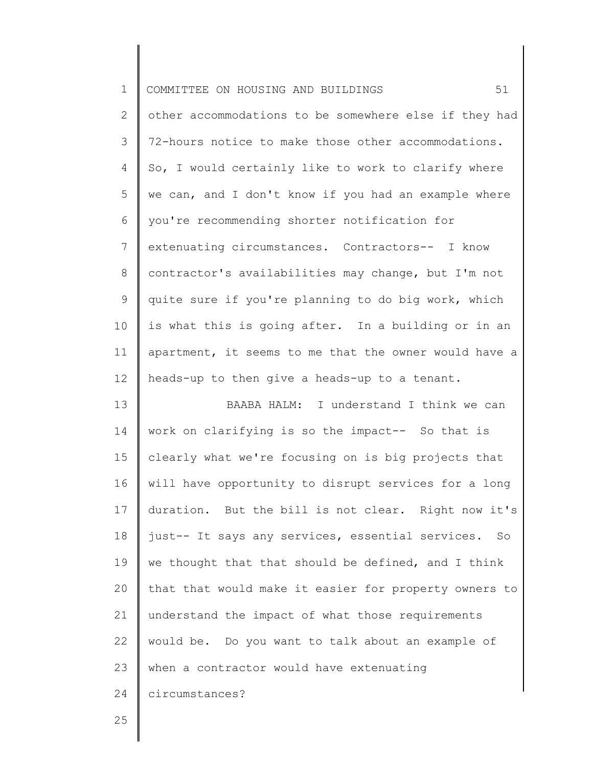| $\mathbf 1$    | 51<br>COMMITTEE ON HOUSING AND BUILDINGS              |
|----------------|-------------------------------------------------------|
| $\mathbf{2}$   | other accommodations to be somewhere else if they had |
| 3              | 72-hours notice to make those other accommodations.   |
| 4              | So, I would certainly like to work to clarify where   |
| 5              | we can, and I don't know if you had an example where  |
| 6              | you're recommending shorter notification for          |
| $7\phantom{.}$ | extenuating circumstances. Contractors-- I know       |
| 8              | contractor's availabilities may change, but I'm not   |
| $\mathsf 9$    | quite sure if you're planning to do big work, which   |
| 10             | is what this is going after. In a building or in an   |
| 11             | apartment, it seems to me that the owner would have a |
| 12             | heads-up to then give a heads-up to a tenant.         |
| 13             | BAABA HALM: I understand I think we can               |
| 14             | work on clarifying is so the impact-- So that is      |
| 15             | clearly what we're focusing on is big projects that   |
| 16             | will have opportunity to disrupt services for a long  |
| 17             | duration. But the bill is not clear. Right now it's   |
| 18             | just-- It says any services, essential services. So   |
| 19             | we thought that that should be defined, and I think   |
| 20             | that that would make it easier for property owners to |
| 21             | understand the impact of what those requirements      |
| 22             | would be. Do you want to talk about an example of     |
| 23             | when a contractor would have extenuating              |
| 24             | circumstances?                                        |
| 25             |                                                       |
|                |                                                       |

║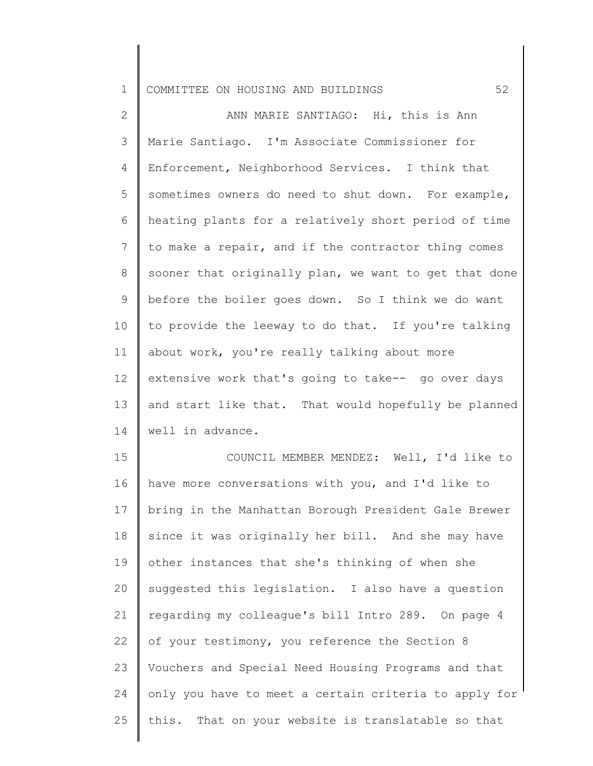2 3 4 5 6 7 8 9 10 11 12 13 14 ANN MARIE SANTIAGO: Hi, this is Ann Marie Santiago. I'm Associate Commissioner for Enforcement, Neighborhood Services. I think that sometimes owners do need to shut down. For example, heating plants for a relatively short period of time to make a repair, and if the contractor thing comes sooner that originally plan, we want to get that done before the boiler goes down. So I think we do want to provide the leeway to do that. If you're talking about work, you're really talking about more extensive work that's going to take-- go over days and start like that. That would hopefully be planned well in advance.

15 16 17 18 19 20 21 22 23 24 25 COUNCIL MEMBER MENDEZ: Well, I'd like to have more conversations with you, and I'd like to bring in the Manhattan Borough President Gale Brewer since it was originally her bill. And she may have other instances that she's thinking of when she suggested this legislation. I also have a question regarding my colleague's bill Intro 289. On page 4 of your testimony, you reference the Section 8 Vouchers and Special Need Housing Programs and that only you have to meet a certain criteria to apply for this. That on your website is translatable so that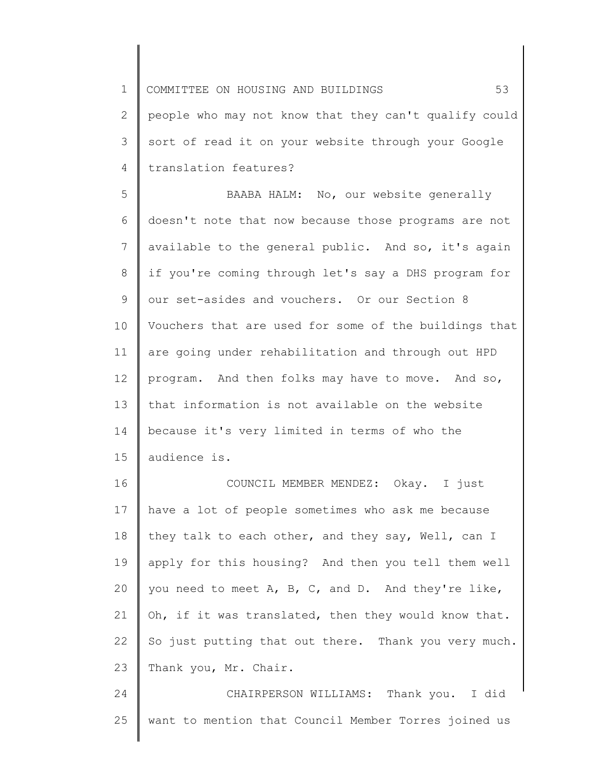1 2 3 4 5 6 7 8 9 10 11 12 13 14 15 16 17 18 19 20 21 COMMITTEE ON HOUSING AND BUILDINGS 53 people who may not know that they can't qualify could sort of read it on your website through your Google translation features? BAABA HALM: No, our website generally doesn't note that now because those programs are not available to the general public. And so, it's again if you're coming through let's say a DHS program for our set-asides and vouchers. Or our Section 8 Vouchers that are used for some of the buildings that are going under rehabilitation and through out HPD program. And then folks may have to move. And so, that information is not available on the website because it's very limited in terms of who the audience is. COUNCIL MEMBER MENDEZ: Okay. I just have a lot of people sometimes who ask me because they talk to each other, and they say, Well, can I apply for this housing? And then you tell them well you need to meet A, B, C, and D. And they're like, Oh, if it was translated, then they would know that.

22 23 So just putting that out there. Thank you very much. Thank you, Mr. Chair.

24 25 CHAIRPERSON WILLIAMS: Thank you. I did want to mention that Council Member Torres joined us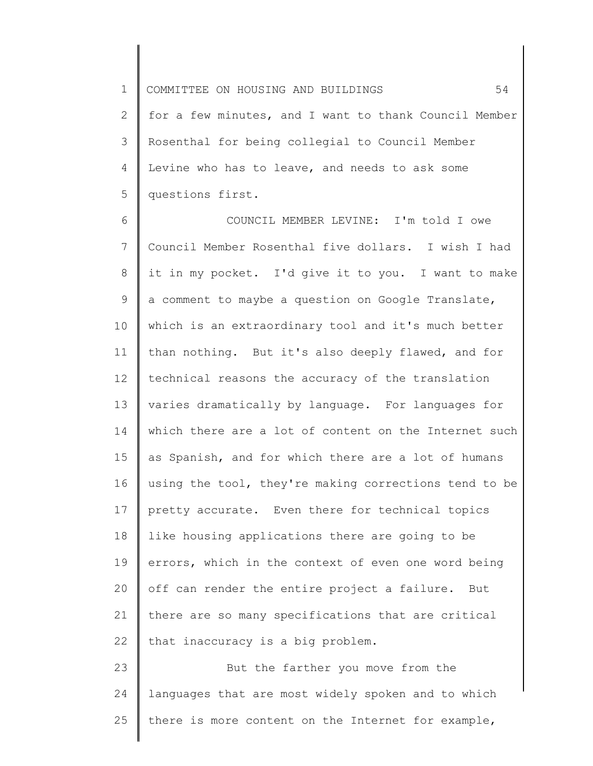2 3 4 5 for a few minutes, and I want to thank Council Member Rosenthal for being collegial to Council Member Levine who has to leave, and needs to ask some questions first.

6 7 8 9 10 11 12 13 14 15 16 17 18 19 20 21 22 COUNCIL MEMBER LEVINE: I'm told I owe Council Member Rosenthal five dollars. I wish I had it in my pocket. I'd give it to you. I want to make a comment to maybe a question on Google Translate, which is an extraordinary tool and it's much better than nothing. But it's also deeply flawed, and for technical reasons the accuracy of the translation varies dramatically by language. For languages for which there are a lot of content on the Internet such as Spanish, and for which there are a lot of humans using the tool, they're making corrections tend to be pretty accurate. Even there for technical topics like housing applications there are going to be errors, which in the context of even one word being off can render the entire project a failure. But there are so many specifications that are critical that inaccuracy is a big problem.

23 24 25 But the farther you move from the languages that are most widely spoken and to which there is more content on the Internet for example,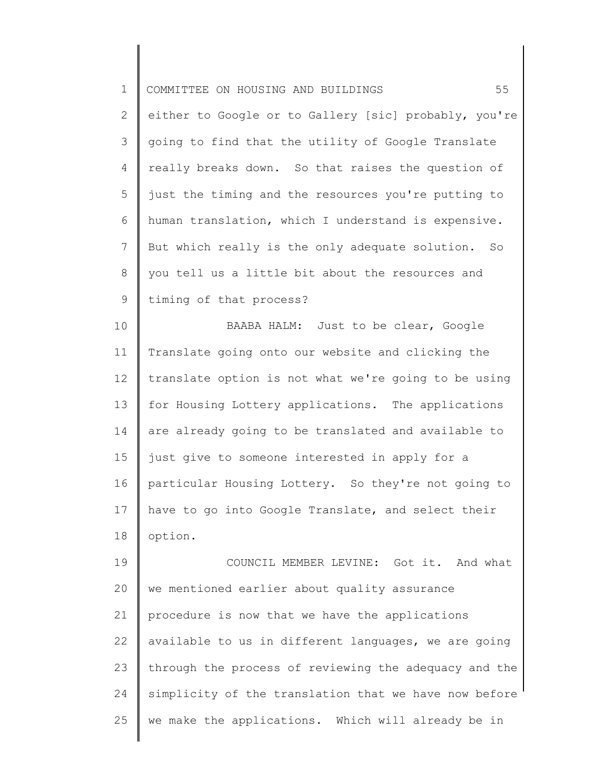| $\mathbf 1$  | 55<br>COMMITTEE ON HOUSING AND BUILDINGS              |
|--------------|-------------------------------------------------------|
| $\mathbf{2}$ | either to Google or to Gallery [sic] probably, you're |
| 3            | going to find that the utility of Google Translate    |
| 4            | really breaks down. So that raises the question of    |
| 5            | just the timing and the resources you're putting to   |
| 6            | human translation, which I understand is expensive.   |
| 7            | But which really is the only adequate solution. So    |
| 8            | you tell us a little bit about the resources and      |
| 9            | timing of that process?                               |
| 10           | BAABA HALM: Just to be clear, Google                  |
| 11           | Translate going onto our website and clicking the     |
| 12           | translate option is not what we're going to be using  |
| 13           | for Housing Lottery applications. The applications    |
| 14           | are already going to be translated and available to   |
| 15           | just give to someone interested in apply for a        |
| 16           | particular Housing Lottery. So they're not going to   |
| 17           | have to go into Google Translate, and select their    |
| 18           | option.                                               |
| 19           | COUNCIL MEMBER LEVINE: Got it. And what               |
| 20           | we mentioned earlier about quality assurance          |
| 21           | procedure is now that we have the applications        |
| 22           | available to us in different languages, we are going  |
| 23           | through the process of reviewing the adequacy and the |
| 24           | simplicity of the translation that we have now before |
| 25           | we make the applications. Which will already be in    |
|              |                                                       |

 $\begin{array}{c} \hline \end{array}$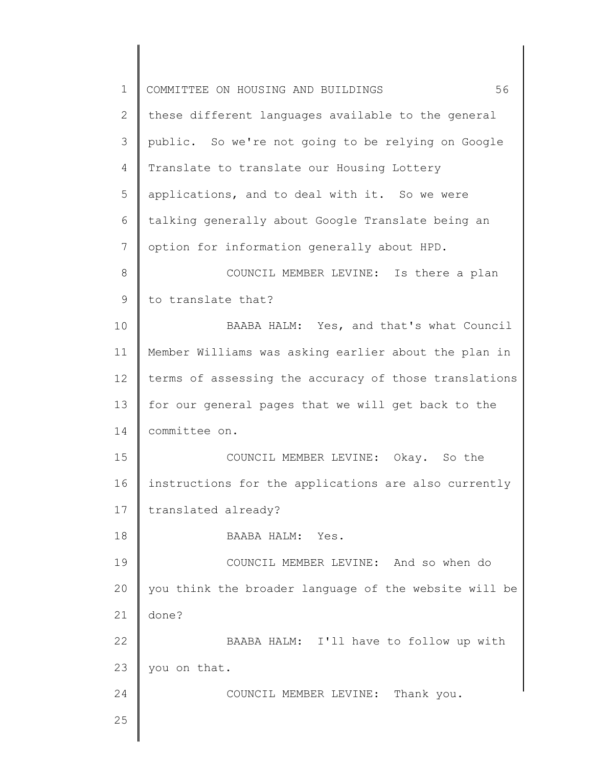| $\mathbf 1$ | 56<br>COMMITTEE ON HOUSING AND BUILDINGS              |
|-------------|-------------------------------------------------------|
| 2           | these different languages available to the general    |
| 3           | public. So we're not going to be relying on Google    |
| 4           | Translate to translate our Housing Lottery            |
| 5           | applications, and to deal with it. So we were         |
| 6           | talking generally about Google Translate being an     |
| 7           | option for information generally about HPD.           |
| 8           | COUNCIL MEMBER LEVINE: Is there a plan                |
| 9           | to translate that?                                    |
| 10          | BAABA HALM: Yes, and that's what Council              |
| 11          | Member Williams was asking earlier about the plan in  |
| 12          | terms of assessing the accuracy of those translations |
| 13          | for our general pages that we will get back to the    |
| 14          | committee on.                                         |
| 15          | COUNCIL MEMBER LEVINE: Okay. So the                   |
| 16          | instructions for the applications are also currently  |
| 17          | translated already?                                   |
| 18          | BAABA HALM: Yes.                                      |
| 19          | COUNCIL MEMBER LEVINE: And so when do                 |
| 20          | you think the broader language of the website will be |
| 21          | done?                                                 |
| 22          | BAABA HALM: I'll have to follow up with               |
| 23          | you on that.                                          |
| 24          | COUNCIL MEMBER LEVINE: Thank you.                     |
| 25          |                                                       |
|             |                                                       |

 $\begin{array}{c} \hline \end{array}$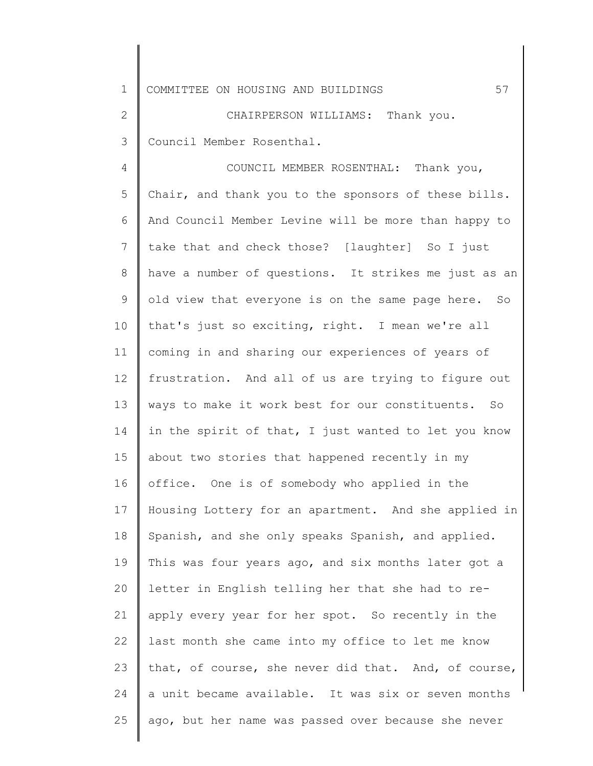2 3 CHAIRPERSON WILLIAMS: Thank you. Council Member Rosenthal.

4 5 6 7 8 9 10 11 12 13 14 15 16 17 18 19 20 21 22 23 24 25 COUNCIL MEMBER ROSENTHAL: Thank you, Chair, and thank you to the sponsors of these bills. And Council Member Levine will be more than happy to take that and check those? [laughter] So I just have a number of questions. It strikes me just as an old view that everyone is on the same page here. So that's just so exciting, right. I mean we're all coming in and sharing our experiences of years of frustration. And all of us are trying to figure out ways to make it work best for our constituents. So in the spirit of that, I just wanted to let you know about two stories that happened recently in my office. One is of somebody who applied in the Housing Lottery for an apartment. And she applied in Spanish, and she only speaks Spanish, and applied. This was four years ago, and six months later got a letter in English telling her that she had to reapply every year for her spot. So recently in the last month she came into my office to let me know that, of course, she never did that. And, of course, a unit became available. It was six or seven months ago, but her name was passed over because she never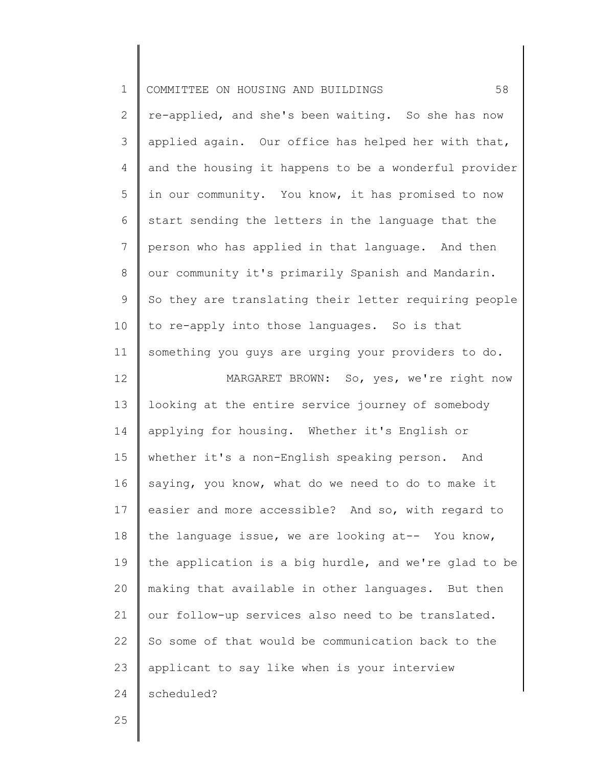| $\mathbf 1$    | 58<br>COMMITTEE ON HOUSING AND BUILDINGS              |
|----------------|-------------------------------------------------------|
| $\overline{2}$ | re-applied, and she's been waiting. So she has now    |
| 3              | applied again. Our office has helped her with that,   |
| $\overline{4}$ | and the housing it happens to be a wonderful provider |
| 5              | in our community. You know, it has promised to now    |
| 6              | start sending the letters in the language that the    |
| $7\phantom{.}$ | person who has applied in that language. And then     |
| $8\,$          | our community it's primarily Spanish and Mandarin.    |
| 9              | So they are translating their letter requiring people |
| 10             | to re-apply into those languages. So is that          |
| 11             | something you guys are urging your providers to do.   |
| 12             | MARGARET BROWN: So, yes, we're right now              |
| 13             | looking at the entire service journey of somebody     |
| 14             | applying for housing. Whether it's English or         |
| 15             | whether it's a non-English speaking person. And       |
| 16             | saying, you know, what do we need to do to make it    |
| 17             | easier and more accessible? And so, with regard to    |
| 18             | the language issue, we are looking at-- You know,     |
| 19             | the application is a big hurdle, and we're glad to be |
| 20             | making that available in other languages. But then    |
| 21             | our follow-up services also need to be translated.    |
| 22             | So some of that would be communication back to the    |
| 23             | applicant to say like when is your interview          |
| 24             | scheduled?                                            |
| 25             |                                                       |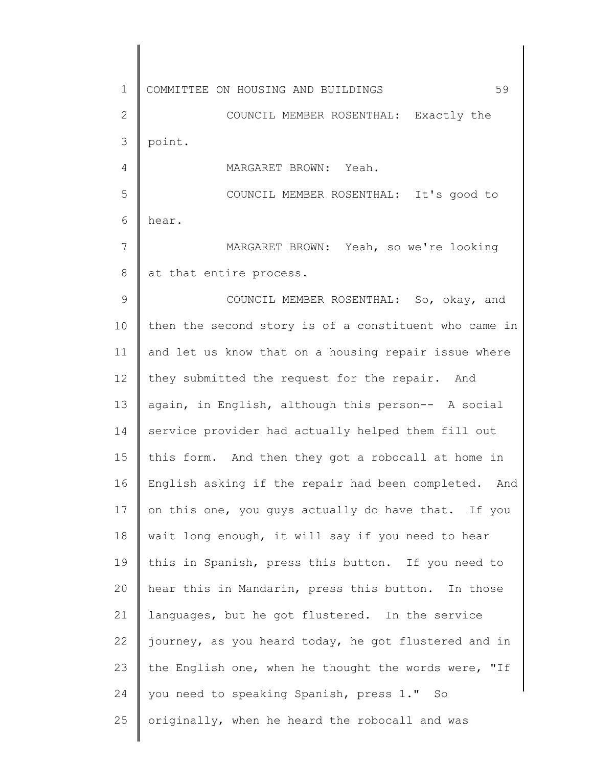1 2 3 4 5 6 7 8 9 10 11 12 13 14 15 16 17 18 19 20 21 22 23 24 25 COMMITTEE ON HOUSING AND BUILDINGS 59 COUNCIL MEMBER ROSENTHAL: Exactly the point. MARGARET BROWN: Yeah. COUNCIL MEMBER ROSENTHAL: It's good to hear. MARGARET BROWN: Yeah, so we're looking at that entire process. COUNCIL MEMBER ROSENTHAL: So, okay, and then the second story is of a constituent who came in and let us know that on a housing repair issue where they submitted the request for the repair. And again, in English, although this person-- A social service provider had actually helped them fill out this form. And then they got a robocall at home in English asking if the repair had been completed. And on this one, you guys actually do have that. If you wait long enough, it will say if you need to hear this in Spanish, press this button. If you need to hear this in Mandarin, press this button. In those languages, but he got flustered. In the service journey, as you heard today, he got flustered and in the English one, when he thought the words were, "If you need to speaking Spanish, press 1." So originally, when he heard the robocall and was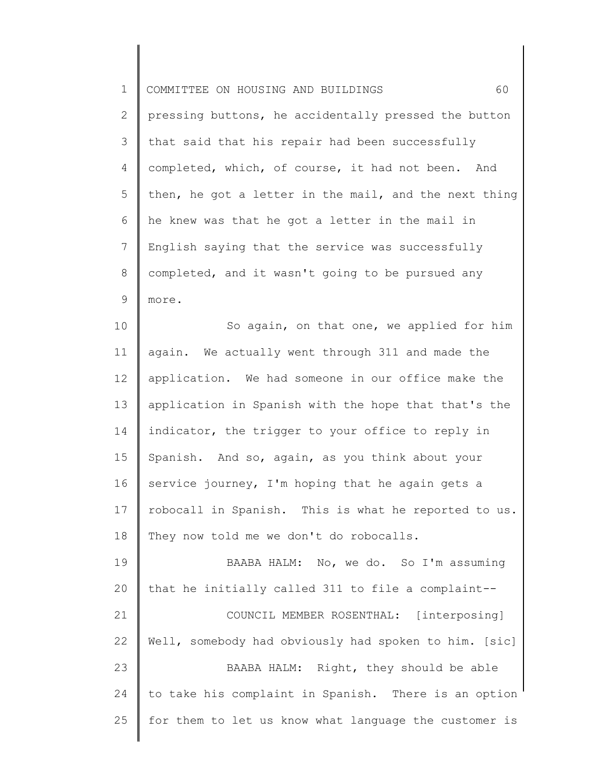1 2 3 4 5 6 7 8 9 COMMITTEE ON HOUSING AND BUILDINGS 60 pressing buttons, he accidentally pressed the button that said that his repair had been successfully completed, which, of course, it had not been. And then, he got a letter in the mail, and the next thing he knew was that he got a letter in the mail in English saying that the service was successfully completed, and it wasn't going to be pursued any more.

10 11 12 13 14 15 16 17 18 So again, on that one, we applied for him again. We actually went through 311 and made the application. We had someone in our office make the application in Spanish with the hope that that's the indicator, the trigger to your office to reply in Spanish. And so, again, as you think about your service journey, I'm hoping that he again gets a robocall in Spanish. This is what he reported to us. They now told me we don't do robocalls.

19 20 21 22 23 24 25 BAABA HALM: No, we do. So I'm assuming that he initially called 311 to file a complaint-- COUNCIL MEMBER ROSENTHAL: [interposing] Well, somebody had obviously had spoken to him. [sic] BAABA HALM: Right, they should be able to take his complaint in Spanish. There is an option for them to let us know what language the customer is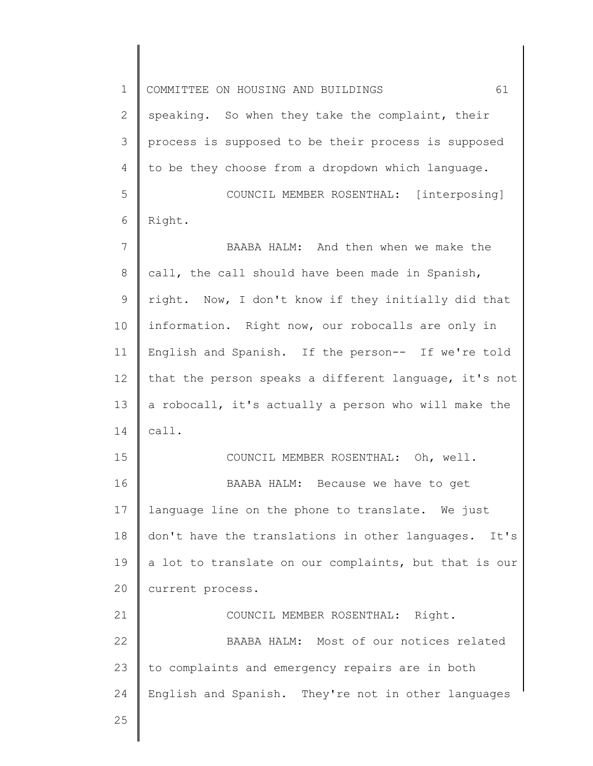1 2 3 4 5 6 7 8 9 10 11 12 13 14 15 16 17 18 19 20 21 22 23 24 25 COMMITTEE ON HOUSING AND BUILDINGS 61 speaking. So when they take the complaint, their process is supposed to be their process is supposed to be they choose from a dropdown which language. COUNCIL MEMBER ROSENTHAL: [interposing] Right. BAABA HALM: And then when we make the call, the call should have been made in Spanish, right. Now, I don't know if they initially did that information. Right now, our robocalls are only in English and Spanish. If the person-- If we're told that the person speaks a different language, it's not a robocall, it's actually a person who will make the call. COUNCIL MEMBER ROSENTHAL: Oh, well. BAABA HALM: Because we have to get language line on the phone to translate. We just don't have the translations in other languages. It's a lot to translate on our complaints, but that is our current process. COUNCIL MEMBER ROSENTHAL: Right. BAABA HALM: Most of our notices related to complaints and emergency repairs are in both English and Spanish. They're not in other languages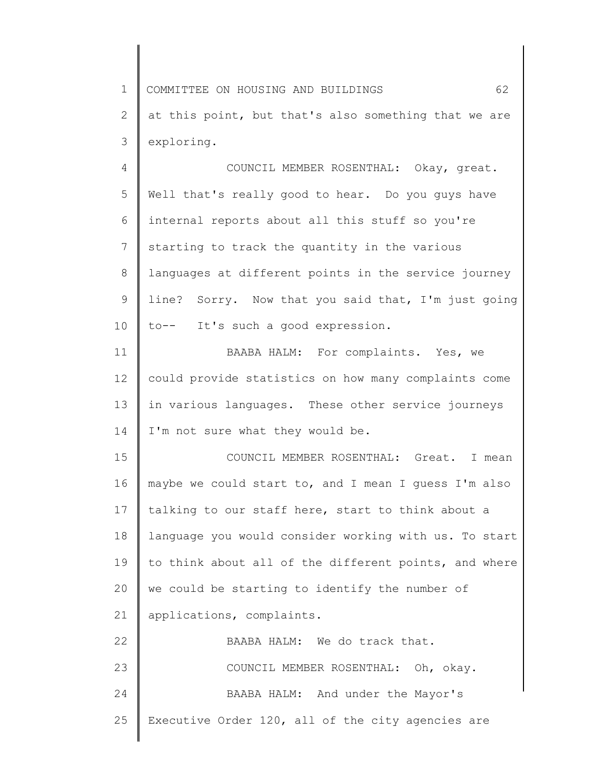1 2 3 COMMITTEE ON HOUSING AND BUILDINGS 62 at this point, but that's also something that we are exploring.

4 5 6 7 8 9 10 COUNCIL MEMBER ROSENTHAL: Okay, great. Well that's really good to hear. Do you guys have internal reports about all this stuff so you're starting to track the quantity in the various languages at different points in the service journey line? Sorry. Now that you said that, I'm just going to-- It's such a good expression.

11 12 13 14 BAABA HALM: For complaints. Yes, we could provide statistics on how many complaints come in various languages. These other service journeys I'm not sure what they would be.

15 16 17 18 19 20 21 COUNCIL MEMBER ROSENTHAL: Great. I mean maybe we could start to, and I mean I guess I'm also talking to our staff here, start to think about a language you would consider working with us. To start to think about all of the different points, and where we could be starting to identify the number of applications, complaints.

| 22 | BAABA HALM: We do track that.                        |
|----|------------------------------------------------------|
| 23 | COUNCIL MEMBER ROSENTHAL: Oh, okay.                  |
| 24 | BAABA HALM: And under the Mayor's                    |
|    | 25 Executive Order 120, all of the city agencies are |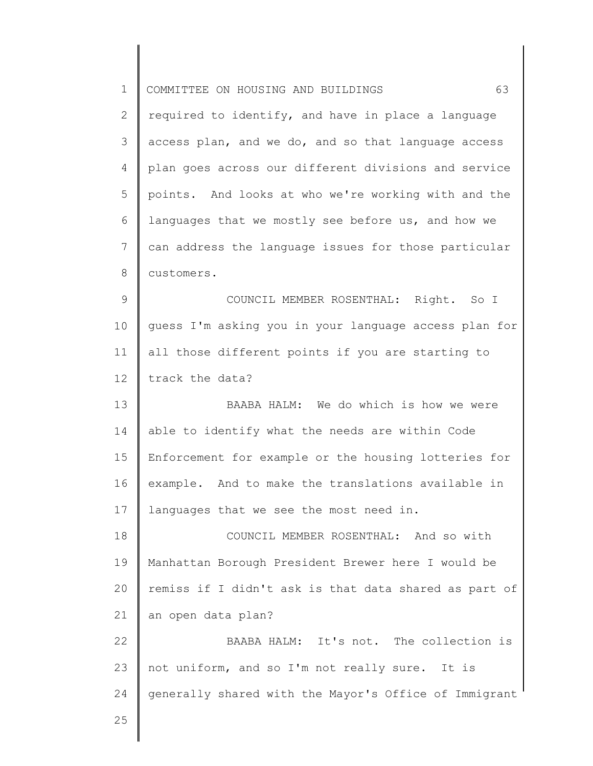| $\mathbf 1$ | 63<br>COMMITTEE ON HOUSING AND BUILDINGS              |
|-------------|-------------------------------------------------------|
| 2           | required to identify, and have in place a language    |
| 3           | access plan, and we do, and so that language access   |
| 4           | plan goes across our different divisions and service  |
| 5           | points. And looks at who we're working with and the   |
| 6           | languages that we mostly see before us, and how we    |
| 7           | can address the language issues for those particular  |
| 8           | customers.                                            |
| 9           | COUNCIL MEMBER ROSENTHAL: Right. So I                 |
| 10          | guess I'm asking you in your language access plan for |
| 11          | all those different points if you are starting to     |
| 12          | track the data?                                       |
| 13          | BAABA HALM: We do which is how we were                |
| 14          | able to identify what the needs are within Code       |
| 15          | Enforcement for example or the housing lotteries for  |
| 16          | example. And to make the translations available in    |
| 17          | languages that we see the most need in.               |
| 18          | COUNCIL MEMBER ROSENTHAL: And so with                 |
| 19          | Manhattan Borough President Brewer here I would be    |
| 20          | remiss if I didn't ask is that data shared as part of |
| 21          | an open data plan?                                    |
| 22          | BAABA HALM: It's not. The collection is               |
| 23          | not uniform, and so I'm not really sure. It is        |
| 24          | generally shared with the Mayor's Office of Immigrant |
| 25          |                                                       |
|             |                                                       |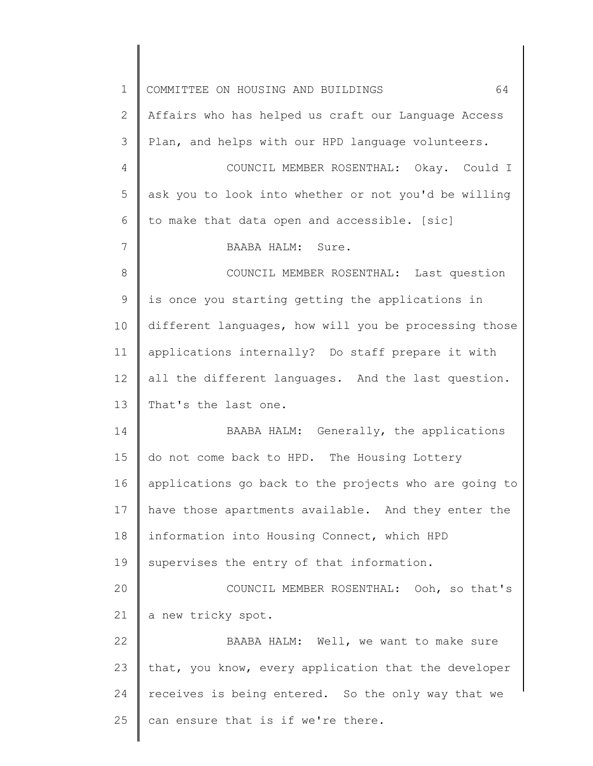| $\mathbf 1$     | 64<br>COMMITTEE ON HOUSING AND BUILDINGS              |
|-----------------|-------------------------------------------------------|
| 2               | Affairs who has helped us craft our Language Access   |
| 3               | Plan, and helps with our HPD language volunteers.     |
| 4               | COUNCIL MEMBER ROSENTHAL: Okay. Could I               |
| 5               | ask you to look into whether or not you'd be willing  |
| 6               | to make that data open and accessible. [sic]          |
| $7\phantom{.0}$ | BAABA HALM: Sure.                                     |
| 8               | COUNCIL MEMBER ROSENTHAL: Last question               |
| $\mathsf 9$     | is once you starting getting the applications in      |
| 10              | different languages, how will you be processing those |
| 11              | applications internally? Do staff prepare it with     |
| 12              | all the different languages. And the last question.   |
| 13              | That's the last one.                                  |
| 14              | BAABA HALM: Generally, the applications               |
| 15              | do not come back to HPD. The Housing Lottery          |
| 16              | applications go back to the projects who are going to |
| 17              | have those apartments available. And they enter the   |
| 18              | information into Housing Connect, which HPD           |
| 19              | supervises the entry of that information.             |
| 20              | COUNCIL MEMBER ROSENTHAL: Ooh, so that's              |
| 21              | a new tricky spot.                                    |
| 22              | BAABA HALM: Well, we want to make sure                |
| 23              | that, you know, every application that the developer  |
| 24              | receives is being entered. So the only way that we    |
| 25              | can ensure that is if we're there.                    |
|                 |                                                       |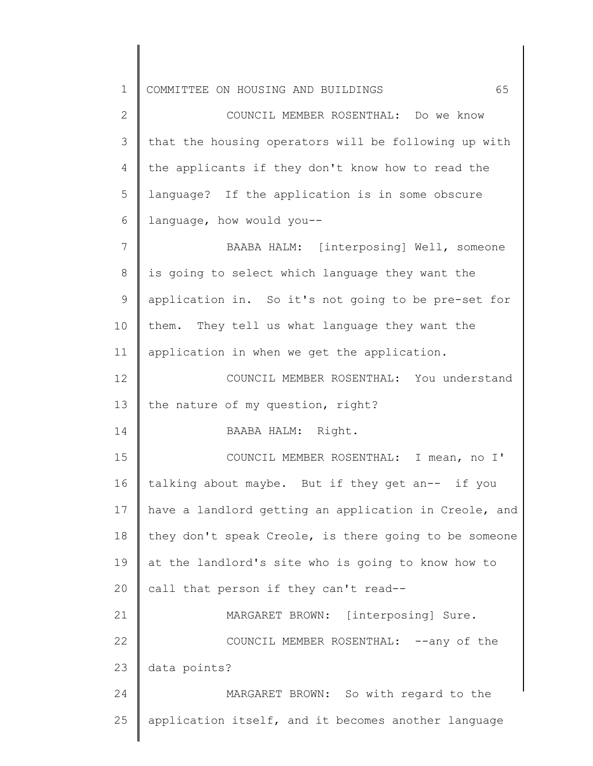2 3 4 5 6 COUNCIL MEMBER ROSENTHAL: Do we know that the housing operators will be following up with the applicants if they don't know how to read the language? If the application is in some obscure language, how would you--

7 8 9 10 11 BAABA HALM: [interposing] Well, someone is going to select which language they want the application in. So it's not going to be pre-set for them. They tell us what language they want the application in when we get the application.

12 13 COUNCIL MEMBER ROSENTHAL: You understand the nature of my question, right?

BAABA HALM: Right.

14

15 16 17 18 19 20 COUNCIL MEMBER ROSENTHAL: I mean, no I' talking about maybe. But if they get an-- if you have a landlord getting an application in Creole, and they don't speak Creole, is there going to be someone at the landlord's site who is going to know how to call that person if they can't read--

21 22 23 MARGARET BROWN: [interposing] Sure. COUNCIL MEMBER ROSENTHAL: --any of the data points?

24 25 MARGARET BROWN: So with regard to the application itself, and it becomes another language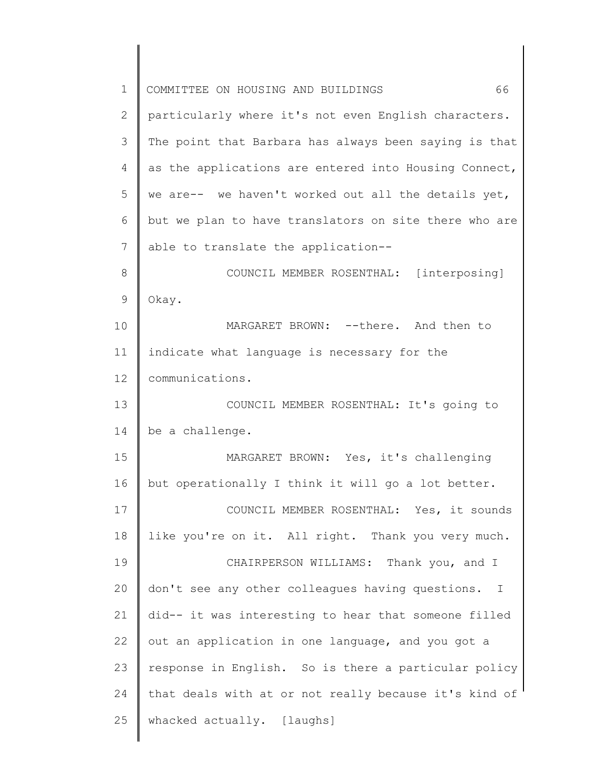| $\mathbf{1}$  | 66<br>COMMITTEE ON HOUSING AND BUILDINGS              |
|---------------|-------------------------------------------------------|
| 2             | particularly where it's not even English characters.  |
| 3             | The point that Barbara has always been saying is that |
| 4             | as the applications are entered into Housing Connect, |
| 5             | we are-- we haven't worked out all the details yet,   |
| 6             | but we plan to have translators on site there who are |
| 7             | able to translate the application--                   |
| 8             | COUNCIL MEMBER ROSENTHAL: [interposing]               |
| $\mathcal{G}$ | Okay.                                                 |
| 10            | MARGARET BROWN: --there. And then to                  |
| 11            | indicate what language is necessary for the           |
| 12            | communications.                                       |
| 13            | COUNCIL MEMBER ROSENTHAL: It's going to               |
| 14            | be a challenge.                                       |
| 15            | MARGARET BROWN: Yes, it's challenging                 |
| 16            | but operationally I think it will go a lot better.    |
| 17            | COUNCIL MEMBER ROSENTHAL: Yes, it sounds              |
| 18            | like you're on it. All right. Thank you very much.    |
| 19            | CHAIRPERSON WILLIAMS: Thank you, and I                |
| 20            | don't see any other colleagues having questions. I    |
| 21            | did-- it was interesting to hear that someone filled  |
| 22            | out an application in one language, and you got a     |
| 23            | response in English. So is there a particular policy  |
| 24            | that deals with at or not really because it's kind of |
| 25            | whacked actually. [laughs]                            |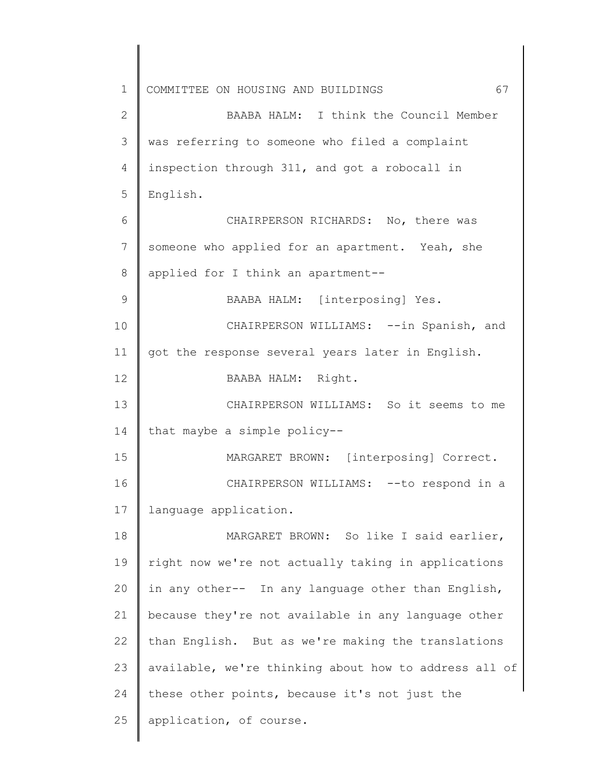1 2 3 4 5 6 7 8 9 10 11 12 13 14 15 16 17 18 19 20 21 22 23 24 25 COMMITTEE ON HOUSING AND BUILDINGS 67 BAABA HALM: I think the Council Member was referring to someone who filed a complaint inspection through 311, and got a robocall in English. CHAIRPERSON RICHARDS: No, there was someone who applied for an apartment. Yeah, she applied for I think an apartment-- BAABA HALM: [interposing] Yes. CHAIRPERSON WILLIAMS: --in Spanish, and got the response several years later in English. BAABA HALM: Right. CHAIRPERSON WILLIAMS: So it seems to me that maybe a simple policy-- MARGARET BROWN: [interposing] Correct. CHAIRPERSON WILLIAMS: -- to respond in a language application. MARGARET BROWN: So like I said earlier, right now we're not actually taking in applications in any other-- In any language other than English, because they're not available in any language other than English. But as we're making the translations available, we're thinking about how to address all of these other points, because it's not just the application, of course.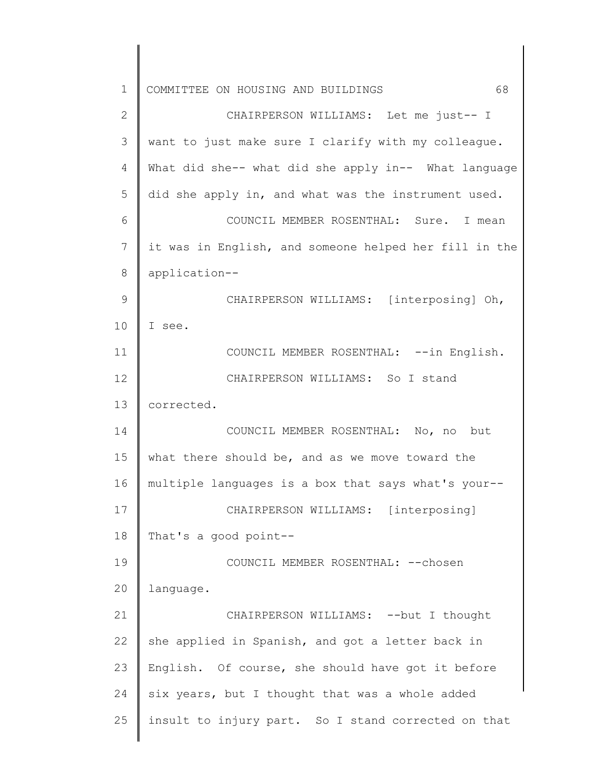| $\mathbf 1$   | 68<br>COMMITTEE ON HOUSING AND BUILDINGS              |
|---------------|-------------------------------------------------------|
| $\mathbf{2}$  | CHAIRPERSON WILLIAMS: Let me just-- I                 |
| 3             | want to just make sure I clarify with my colleague.   |
| 4             | What did she-- what did she apply in-- What language  |
| 5             | did she apply in, and what was the instrument used.   |
| 6             | COUNCIL MEMBER ROSENTHAL: Sure. I mean                |
| 7             | it was in English, and someone helped her fill in the |
| $\,8\,$       | application--                                         |
| $\mathcal{G}$ | CHAIRPERSON WILLIAMS: [interposing] Oh,               |
| 10            | I see.                                                |
| 11            | COUNCIL MEMBER ROSENTHAL: --in English.               |
| 12            | CHAIRPERSON WILLIAMS: So I stand                      |
| 13            | corrected.                                            |
| 14            | COUNCIL MEMBER ROSENTHAL: No, no but                  |
| 15            | what there should be, and as we move toward the       |
| 16            | multiple languages is a box that says what's your--   |
| 17            | CHAIRPERSON WILLIAMS: [interposing]                   |
| 18            | That's a good point--                                 |
| 19            | COUNCIL MEMBER ROSENTHAL: -- chosen                   |
| 20            | language.                                             |
| 21            | CHAIRPERSON WILLIAMS: -- but I thought                |
| 22            | she applied in Spanish, and got a letter back in      |
| 23            | English. Of course, she should have got it before     |
| 24            | six years, but I thought that was a whole added       |
| 25            | insult to injury part. So I stand corrected on that   |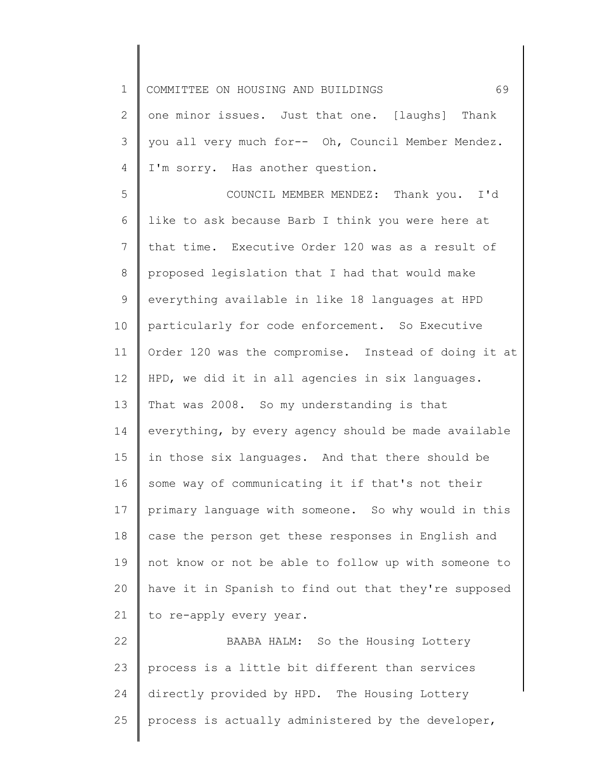1 2 3 4 5 6 7 8 9 10 11 12 13 14 15 16 17 18 19 20 21 22 23 24 25 COMMITTEE ON HOUSING AND BUILDINGS 69 one minor issues. Just that one. [laughs] Thank you all very much for-- Oh, Council Member Mendez. I'm sorry. Has another question. COUNCIL MEMBER MENDEZ: Thank you. I'd like to ask because Barb I think you were here at that time. Executive Order 120 was as a result of proposed legislation that I had that would make everything available in like 18 languages at HPD particularly for code enforcement. So Executive Order 120 was the compromise. Instead of doing it at HPD, we did it in all agencies in six languages. That was 2008. So my understanding is that everything, by every agency should be made available in those six languages. And that there should be some way of communicating it if that's not their primary language with someone. So why would in this case the person get these responses in English and not know or not be able to follow up with someone to have it in Spanish to find out that they're supposed to re-apply every year. BAABA HALM: So the Housing Lottery process is a little bit different than services directly provided by HPD. The Housing Lottery process is actually administered by the developer,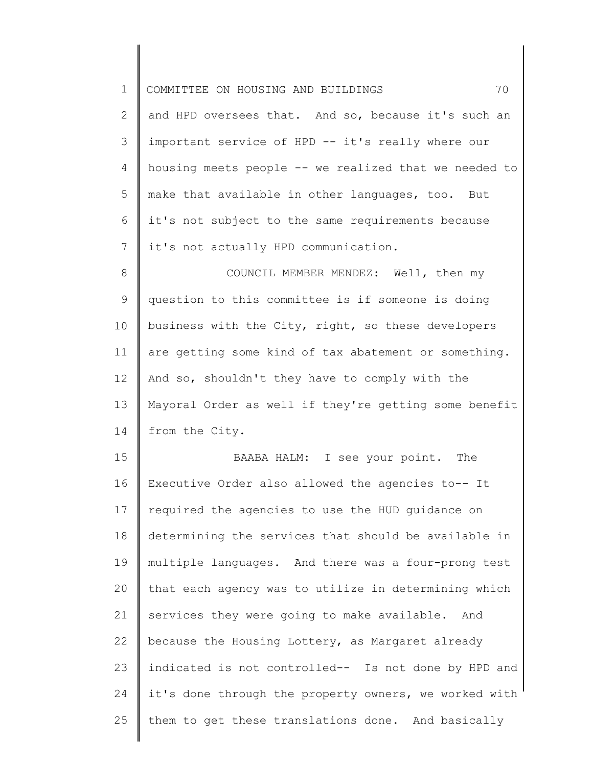| $\mathbf 1$ | 70<br>COMMITTEE ON HOUSING AND BUILDINGS              |
|-------------|-------------------------------------------------------|
| 2           | and HPD oversees that. And so, because it's such an   |
| 3           | important service of HPD -- it's really where our     |
| 4           | housing meets people -- we realized that we needed to |
| 5           | make that available in other languages, too. But      |
| 6           | it's not subject to the same requirements because     |
| 7           | it's not actually HPD communication.                  |
| $\,8\,$     | COUNCIL MEMBER MENDEZ: Well, then my                  |
| $\mathsf 9$ | question to this committee is if someone is doing     |
| 10          | business with the City, right, so these developers    |
| 11          | are getting some kind of tax abatement or something.  |
| 12          | And so, shouldn't they have to comply with the        |
| 13          | Mayoral Order as well if they're getting some benefit |
| 14          | from the City.                                        |
| 15          | BAABA HALM: I see your point. The                     |
| 16          | Executive Order also allowed the agencies to-- It     |
| 17          | required the agencies to use the HUD guidance on      |
| 18          | determining the services that should be available in  |
| 19          | multiple languages. And there was a four-prong test   |
| 20          | that each agency was to utilize in determining which  |
| 21          | services they were going to make available. And       |
| 22          | because the Housing Lottery, as Margaret already      |
| 23          | indicated is not controlled-- Is not done by HPD and  |
| 24          | it's done through the property owners, we worked with |
| 25          | them to get these translations done. And basically    |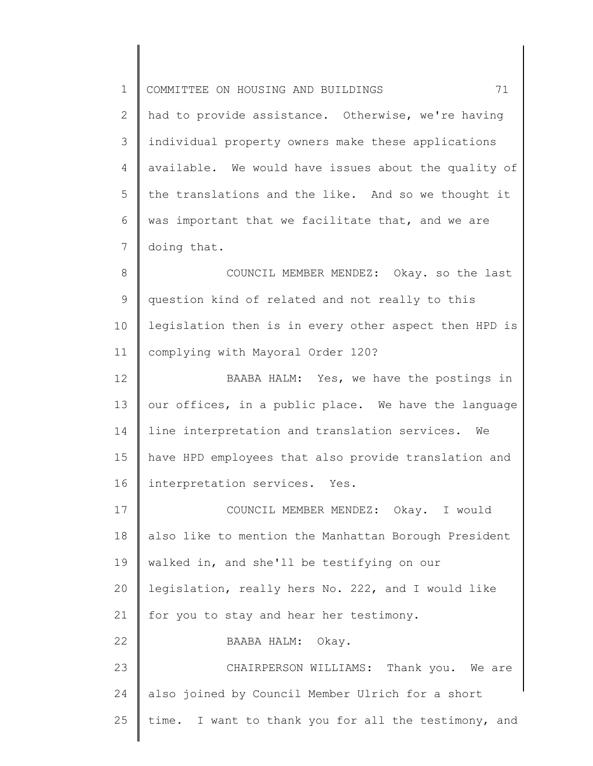1 2 3 4 5 6 7 8 9 10 11 12 13 14 15 16 17 18 19 20 21 22 23 24 25 COMMITTEE ON HOUSING AND BUILDINGS 71 had to provide assistance. Otherwise, we're having individual property owners make these applications available. We would have issues about the quality of the translations and the like. And so we thought it was important that we facilitate that, and we are doing that. COUNCIL MEMBER MENDEZ: Okay. so the last question kind of related and not really to this legislation then is in every other aspect then HPD is complying with Mayoral Order 120? BAABA HALM: Yes, we have the postings in our offices, in a public place. We have the language line interpretation and translation services. We have HPD employees that also provide translation and interpretation services. Yes. COUNCIL MEMBER MENDEZ: Okay. I would also like to mention the Manhattan Borough President walked in, and she'll be testifying on our legislation, really hers No. 222, and I would like for you to stay and hear her testimony. BAABA HALM: Okay. CHAIRPERSON WILLIAMS: Thank you. We are also joined by Council Member Ulrich for a short time. I want to thank you for all the testimony, and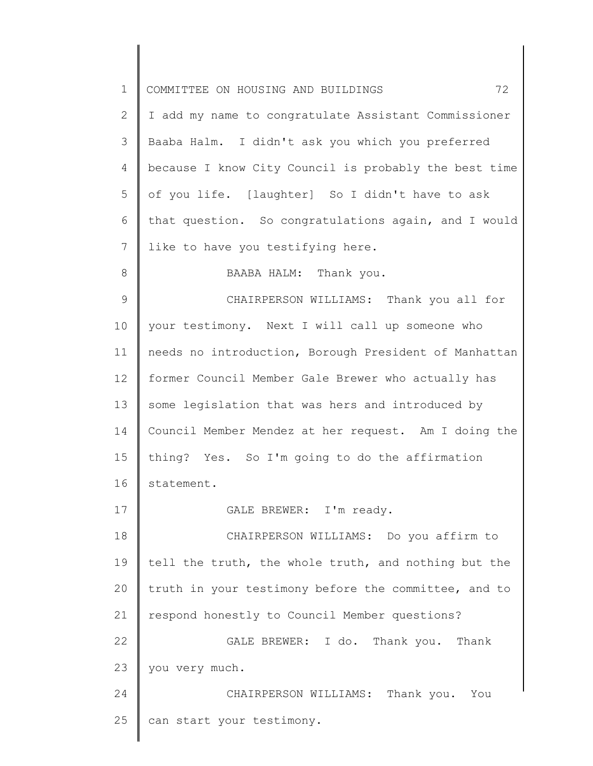| $\mathbf 1$  | 72<br>COMMITTEE ON HOUSING AND BUILDINGS              |
|--------------|-------------------------------------------------------|
| $\mathbf{2}$ | I add my name to congratulate Assistant Commissioner  |
| 3            | Baaba Halm. I didn't ask you which you preferred      |
| 4            | because I know City Council is probably the best time |
| 5            | of you life. [laughter] So I didn't have to ask       |
| 6            | that question. So congratulations again, and I would  |
| 7            | like to have you testifying here.                     |
| $8\,$        | BAABA HALM: Thank you.                                |
| 9            | CHAIRPERSON WILLIAMS: Thank you all for               |
| 10           | your testimony. Next I will call up someone who       |
| 11           | needs no introduction, Borough President of Manhattan |
| 12           | former Council Member Gale Brewer who actually has    |
| 13           | some legislation that was hers and introduced by      |
| 14           | Council Member Mendez at her request. Am I doing the  |
| 15           | thing? Yes. So I'm going to do the affirmation        |
| 16           | statement.                                            |
| 17           | GALE BREWER: I'm ready.                               |
| 18           | CHAIRPERSON WILLIAMS: Do you affirm to                |
| 19           | tell the truth, the whole truth, and nothing but the  |
| 20           | truth in your testimony before the committee, and to  |
| 21           | respond honestly to Council Member questions?         |
| 22           | GALE BREWER: I do. Thank you. Thank                   |
| 23           | you very much.                                        |
| 24           | CHAIRPERSON WILLIAMS: Thank you. You                  |
| 25           | can start your testimony.                             |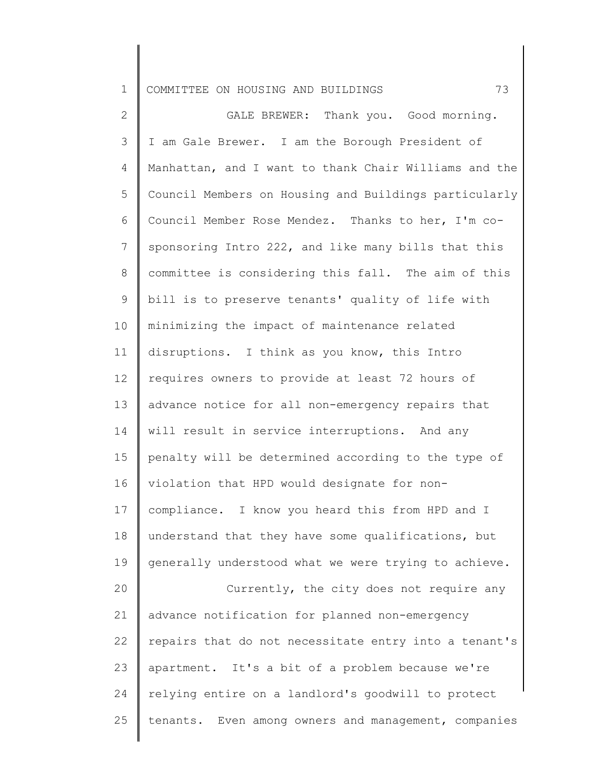1 COMMITTEE ON HOUSING AND BUILDINGS 73

2 3 4 5 6 7 8 9 10 11 12 13 14 15 16 17 18 19 20 21 22 23 24 25 GALE BREWER: Thank you. Good morning. I am Gale Brewer. I am the Borough President of Manhattan, and I want to thank Chair Williams and the Council Members on Housing and Buildings particularly Council Member Rose Mendez. Thanks to her, I'm cosponsoring Intro 222, and like many bills that this committee is considering this fall. The aim of this bill is to preserve tenants' quality of life with minimizing the impact of maintenance related disruptions. I think as you know, this Intro requires owners to provide at least 72 hours of advance notice for all non-emergency repairs that will result in service interruptions. And any penalty will be determined according to the type of violation that HPD would designate for noncompliance. I know you heard this from HPD and I understand that they have some qualifications, but generally understood what we were trying to achieve. Currently, the city does not require any advance notification for planned non-emergency repairs that do not necessitate entry into a tenant's apartment. It's a bit of a problem because we're relying entire on a landlord's goodwill to protect tenants. Even among owners and management, companies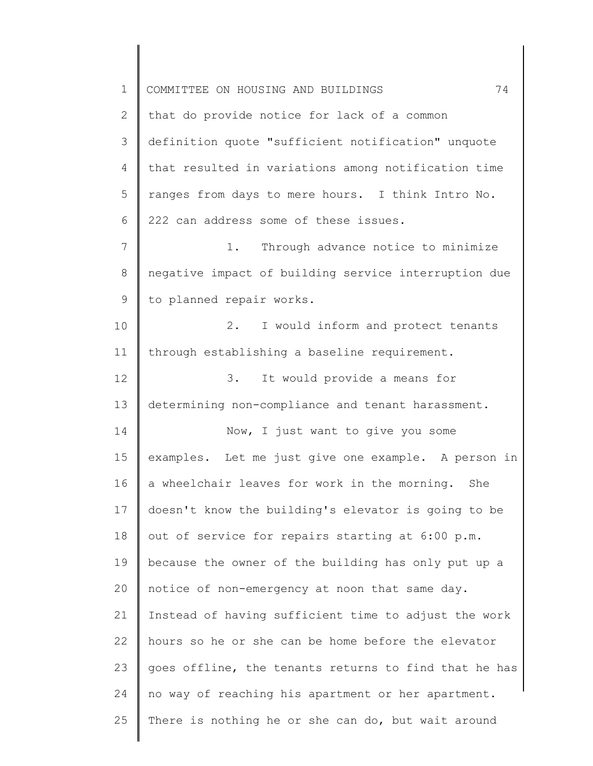| $\mathbf 1$ | 74<br>COMMITTEE ON HOUSING AND BUILDINGS              |
|-------------|-------------------------------------------------------|
| 2           | that do provide notice for lack of a common           |
| 3           | definition quote "sufficient notification" unquote    |
| 4           | that resulted in variations among notification time   |
| 5           | ranges from days to mere hours. I think Intro No.     |
| 6           | 222 can address some of these issues.                 |
| 7           | Through advance notice to minimize<br>1.              |
| 8           | negative impact of building service interruption due  |
| 9           | to planned repair works.                              |
| 10          | 2.<br>I would inform and protect tenants              |
| 11          | through establishing a baseline requirement.          |
| 12          | 3.<br>It would provide a means for                    |
| 13          | determining non-compliance and tenant harassment.     |
| 14          | Now, I just want to give you some                     |
| 15          | examples. Let me just give one example. A person in   |
| 16          | a wheelchair leaves for work in the morning. She      |
| 17          | doesn't know the building's elevator is going to be   |
| 18          | out of service for repairs starting at 6:00 p.m.      |
| 19          | because the owner of the building has only put up a   |
| 20          | notice of non-emergency at noon that same day.        |
| 21          | Instead of having sufficient time to adjust the work  |
| 22          | hours so he or she can be home before the elevator    |
| 23          | goes offline, the tenants returns to find that he has |
| 24          | no way of reaching his apartment or her apartment.    |
| 25          | There is nothing he or she can do, but wait around    |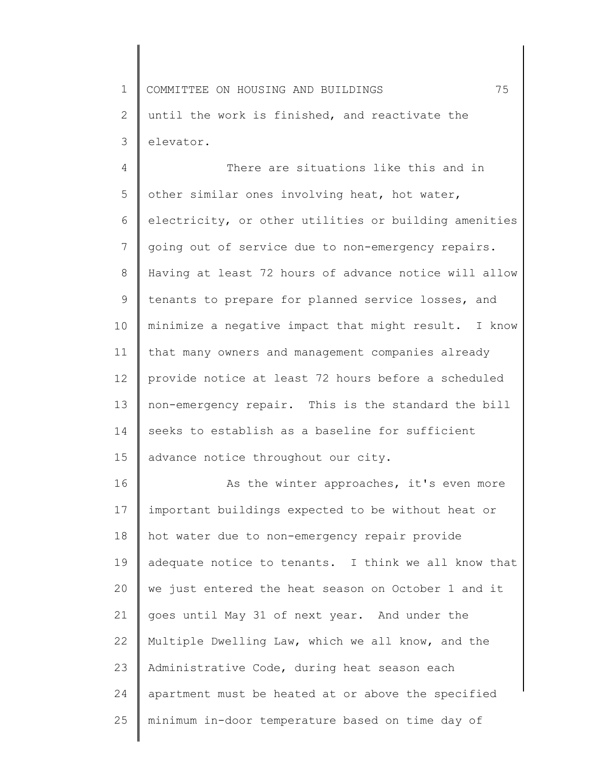1 2 3 COMMITTEE ON HOUSING AND BUILDINGS 75 until the work is finished, and reactivate the elevator.

4 5 6 7 8 9 10 11 12 13 14 15 There are situations like this and in other similar ones involving heat, hot water, electricity, or other utilities or building amenities going out of service due to non-emergency repairs. Having at least 72 hours of advance notice will allow tenants to prepare for planned service losses, and minimize a negative impact that might result. I know that many owners and management companies already provide notice at least 72 hours before a scheduled non-emergency repair. This is the standard the bill seeks to establish as a baseline for sufficient advance notice throughout our city.

16 17 18 19 20 21 22 23 24 25 As the winter approaches, it's even more important buildings expected to be without heat or hot water due to non-emergency repair provide adequate notice to tenants. I think we all know that we just entered the heat season on October 1 and it goes until May 31 of next year. And under the Multiple Dwelling Law, which we all know, and the Administrative Code, during heat season each apartment must be heated at or above the specified minimum in-door temperature based on time day of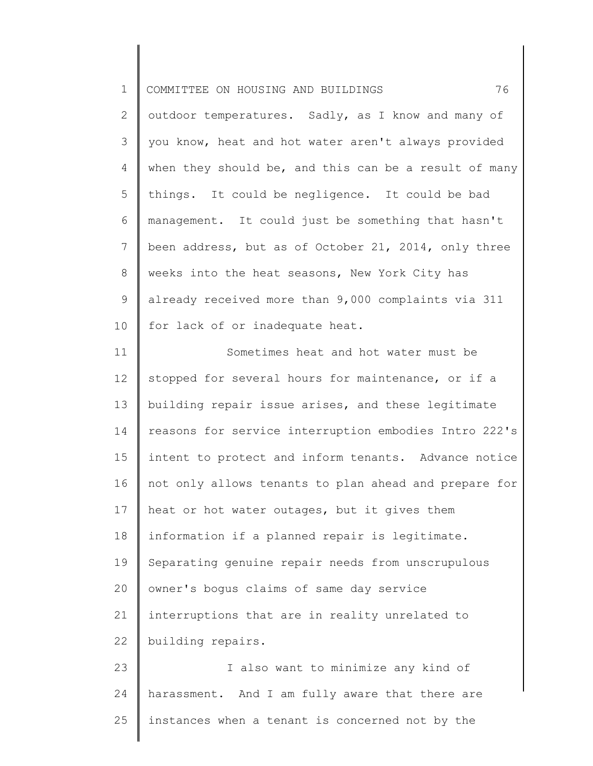| $\mathbf 1$     | 76<br>COMMITTEE ON HOUSING AND BUILDINGS              |
|-----------------|-------------------------------------------------------|
| 2               | outdoor temperatures. Sadly, as I know and many of    |
| 3               | you know, heat and hot water aren't always provided   |
| 4               | when they should be, and this can be a result of many |
| 5               | things. It could be negligence. It could be bad       |
| 6               | management. It could just be something that hasn't    |
| $7\phantom{.0}$ | been address, but as of October 21, 2014, only three  |
| 8               | weeks into the heat seasons, New York City has        |
| 9               | already received more than 9,000 complaints via 311   |
| 10              | for lack of or inadequate heat.                       |
| 11              | Sometimes heat and hot water must be                  |
| 12              | stopped for several hours for maintenance, or if a    |
| 13              | building repair issue arises, and these legitimate    |
| 14              | reasons for service interruption embodies Intro 222's |
| 15              | intent to protect and inform tenants. Advance notice  |
| 16              | not only allows tenants to plan ahead and prepare for |
| 17              | heat or hot water outages, but it gives them          |
| 18              | information if a planned repair is legitimate.        |
| 19              | Separating genuine repair needs from unscrupulous     |
| 20              | owner's bogus claims of same day service              |
| 21              | interruptions that are in reality unrelated to        |
| 22              | building repairs.                                     |
| 23              | I also want to minimize any kind of                   |
| 24              | harassment. And I am fully aware that there are       |

25 instances when a tenant is concerned not by the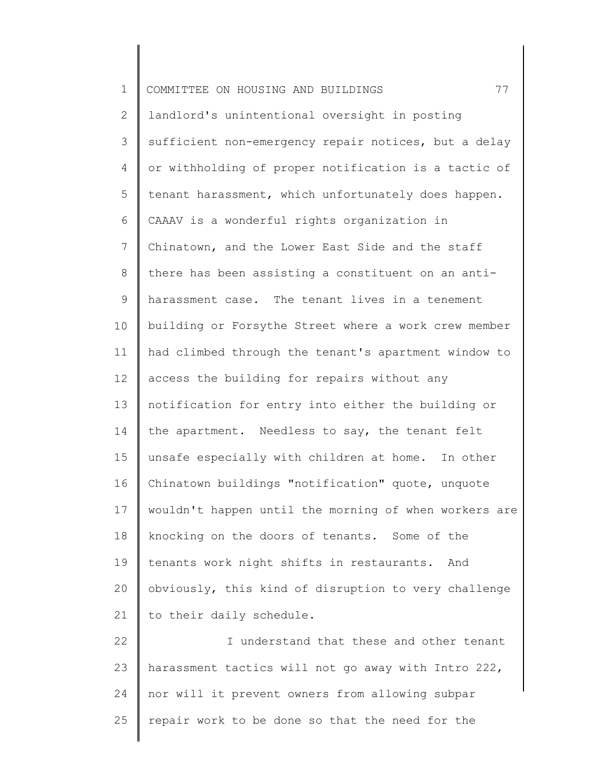| $\mathbf 1$ | 77<br>COMMITTEE ON HOUSING AND BUILDINGS              |
|-------------|-------------------------------------------------------|
| 2           | landlord's unintentional oversight in posting         |
| 3           | sufficient non-emergency repair notices, but a delay  |
| 4           | or withholding of proper notification is a tactic of  |
| 5           | tenant harassment, which unfortunately does happen.   |
| 6           | CAAAV is a wonderful rights organization in           |
| 7           | Chinatown, and the Lower East Side and the staff      |
| 8           | there has been assisting a constituent on an anti-    |
| 9           | harassment case. The tenant lives in a tenement       |
| 10          | building or Forsythe Street where a work crew member  |
| 11          | had climbed through the tenant's apartment window to  |
| 12          | access the building for repairs without any           |
| 13          | notification for entry into either the building or    |
| 14          | the apartment. Needless to say, the tenant felt       |
| 15          | unsafe especially with children at home. In other     |
| 16          | Chinatown buildings "notification" quote, unquote     |
| 17          | wouldn't happen until the morning of when workers are |
| 18          | knocking on the doors of tenants. Some of the         |
| 19          | tenants work night shifts in restaurants. And         |
| 20          | obviously, this kind of disruption to very challenge  |
| 21          | to their daily schedule.                              |
| 22          | I understand that these and other tenant              |
| 23          | harassment tactics will not go away with Intro 222,   |
| 24          | nor will it prevent owners from allowing subpar       |
| 25          | repair work to be done so that the need for the       |
|             |                                                       |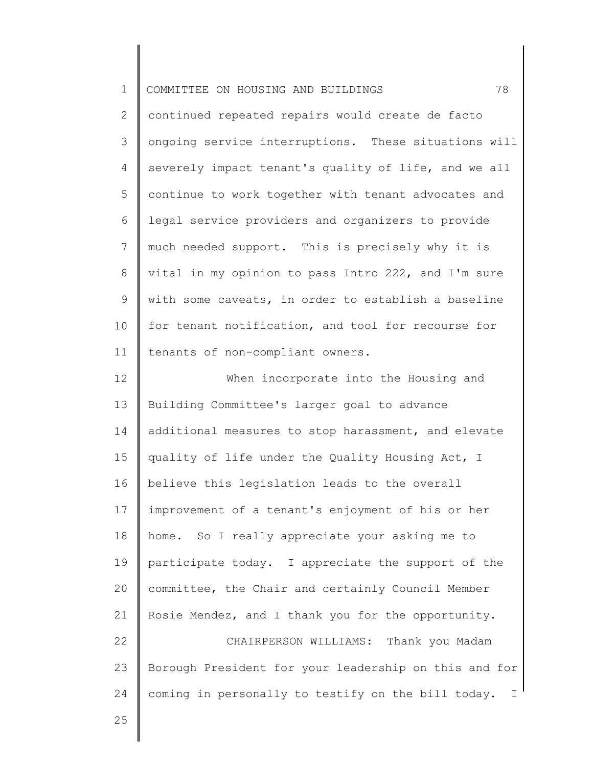| $\mathbf 1$    | 78<br>COMMITTEE ON HOUSING AND BUILDINGS                           |
|----------------|--------------------------------------------------------------------|
| $\overline{2}$ | continued repeated repairs would create de facto                   |
| 3              | ongoing service interruptions. These situations will               |
| 4              | severely impact tenant's quality of life, and we all               |
| 5              | continue to work together with tenant advocates and                |
| 6              | legal service providers and organizers to provide                  |
| $7\phantom{.}$ | much needed support. This is precisely why it is                   |
| 8              | vital in my opinion to pass Intro 222, and I'm sure                |
| $\mathsf 9$    | with some caveats, in order to establish a baseline                |
| 10             | for tenant notification, and tool for recourse for                 |
| 11             | tenants of non-compliant owners.                                   |
| 12             | When incorporate into the Housing and                              |
| 13             | Building Committee's larger goal to advance                        |
| 14             | additional measures to stop harassment, and elevate                |
| 15             | quality of life under the Quality Housing Act, I                   |
| 16             | believe this legislation leads to the overall                      |
| 17             | improvement of a tenant's enjoyment of his or her                  |
| 18             | home. So I really appreciate your asking me to                     |
| 19             | participate today. I appreciate the support of the                 |
| 20             | committee, the Chair and certainly Council Member                  |
| 21             | Rosie Mendez, and I thank you for the opportunity.                 |
| 22             | CHAIRPERSON WILLIAMS:<br>Thank you Madam                           |
| 23             | Borough President for your leadership on this and for              |
| 24             | coming in personally to testify on the bill today.<br>$\mathbb{I}$ |
| 25             |                                                                    |
|                |                                                                    |

∥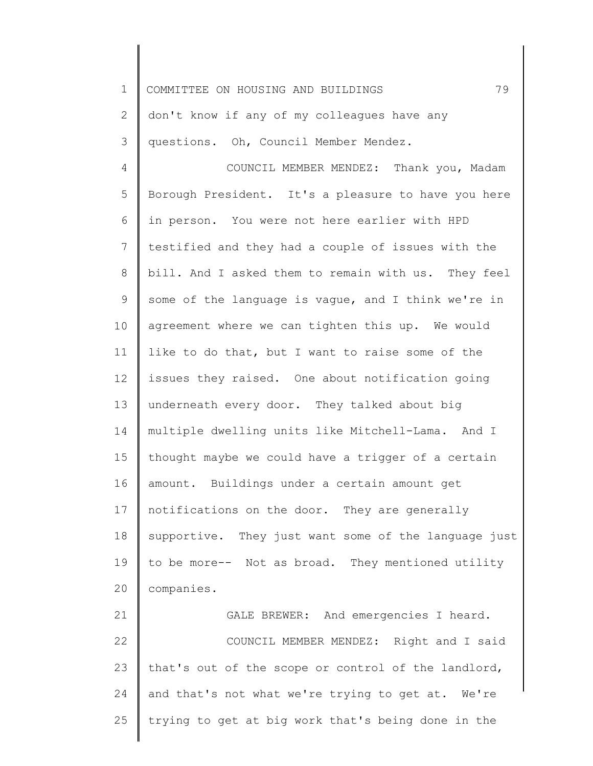1 2 3 4 5 6 7 8 9 10 11 12 13 14 15 16 17 18 19 20 21 22 23 24 COMMITTEE ON HOUSING AND BUILDINGS 79 don't know if any of my colleagues have any questions. Oh, Council Member Mendez. COUNCIL MEMBER MENDEZ: Thank you, Madam Borough President. It's a pleasure to have you here in person. You were not here earlier with HPD testified and they had a couple of issues with the bill. And I asked them to remain with us. They feel some of the language is vague, and I think we're in agreement where we can tighten this up. We would like to do that, but I want to raise some of the issues they raised. One about notification going underneath every door. They talked about big multiple dwelling units like Mitchell-Lama. And I thought maybe we could have a trigger of a certain amount. Buildings under a certain amount get notifications on the door. They are generally supportive. They just want some of the language just to be more-- Not as broad. They mentioned utility companies. GALE BREWER: And emergencies I heard. COUNCIL MEMBER MENDEZ: Right and I said that's out of the scope or control of the landlord, and that's not what we're trying to get at. We're

trying to get at big work that's being done in the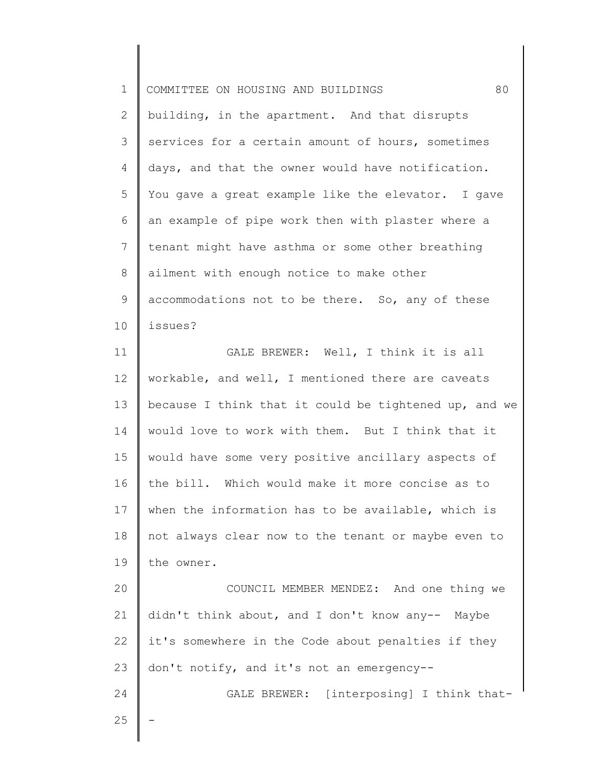| $\mathbf 1$     | 80<br>COMMITTEE ON HOUSING AND BUILDINGS              |
|-----------------|-------------------------------------------------------|
| 2               | building, in the apartment. And that disrupts         |
| 3               | services for a certain amount of hours, sometimes     |
| 4               | days, and that the owner would have notification.     |
| 5               | You gave a great example like the elevator. I gave    |
| 6               | an example of pipe work then with plaster where a     |
| 7               | tenant might have asthma or some other breathing      |
| 8               | ailment with enough notice to make other              |
| 9               | accommodations not to be there. So, any of these      |
| 10              | issues?                                               |
| 11              | GALE BREWER: Well, I think it is all                  |
| 12 <sup>°</sup> | workable, and well, I mentioned there are caveats     |
| 13              | because I think that it could be tightened up, and we |
| 14              | would love to work with them. But I think that it     |
| 15              | would have some very positive ancillary aspects of    |
| 16              | the bill. Which would make it more concise as to      |
| 17              | when the information has to be available, which is    |
| 18              | not always clear now to the tenant or maybe even to   |
| 19              | the owner.                                            |
| 20              | COUNCIL MEMBER MENDEZ: And one thing we               |
| 21              | didn't think about, and I don't know any-- Maybe      |
| 22              | it's somewhere in the Code about penalties if they    |
| 23              | don't notify, and it's not an emergency--             |
| 24              | GALE BREWER: [interposing] I think that-              |
| 25              |                                                       |
|                 |                                                       |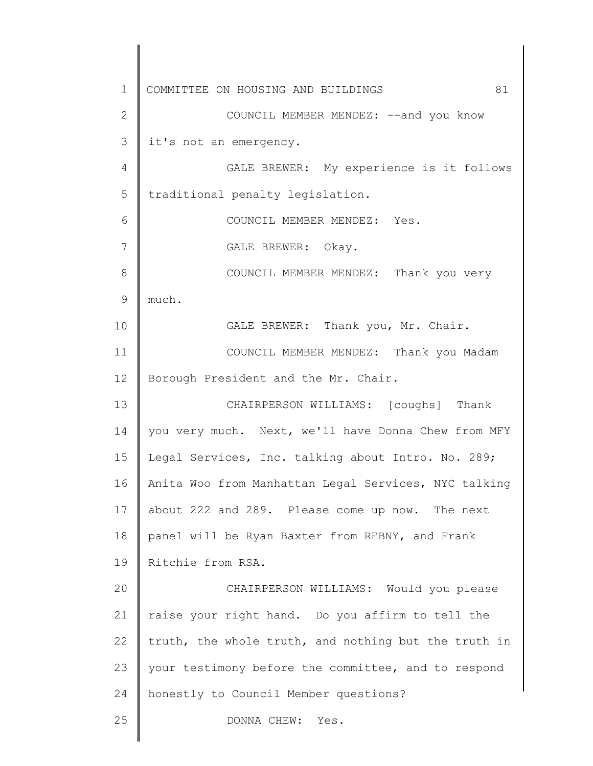1 2 3 4 5 6 7 8 9 10 11 12 13 14 15 16 17 18 19 20 21 22 23 24 25 COMMITTEE ON HOUSING AND BUILDINGS 81 COUNCIL MEMBER MENDEZ: --and you know it's not an emergency. GALE BREWER: My experience is it follows traditional penalty legislation. COUNCIL MEMBER MENDEZ: Yes. GALE BREWER: Okay. COUNCIL MEMBER MENDEZ: Thank you very much. GALE BREWER: Thank you, Mr. Chair. COUNCIL MEMBER MENDEZ: Thank you Madam Borough President and the Mr. Chair. CHAIRPERSON WILLIAMS: [coughs] Thank you very much. Next, we'll have Donna Chew from MFY Legal Services, Inc. talking about Intro. No. 289; Anita Woo from Manhattan Legal Services, NYC talking about 222 and 289. Please come up now. The next panel will be Ryan Baxter from REBNY, and Frank Ritchie from RSA. CHAIRPERSON WILLIAMS: Would you please raise your right hand. Do you affirm to tell the truth, the whole truth, and nothing but the truth in your testimony before the committee, and to respond honestly to Council Member questions? DONNA CHEW: Yes.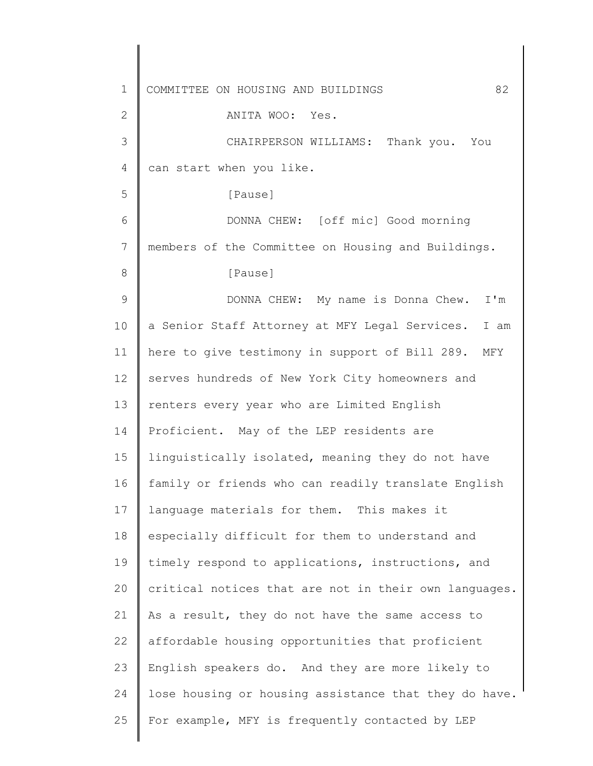1 2 3 4 5 6 7 8 9 10 11 12 13 14 15 16 17 18 19 20 21 22 23 24 25 COMMITTEE ON HOUSING AND BUILDINGS 82 ANITA WOO: Yes. CHAIRPERSON WILLIAMS: Thank you. You can start when you like. [Pause] DONNA CHEW: [off mic] Good morning members of the Committee on Housing and Buildings. [Pause] DONNA CHEW: My name is Donna Chew. I'm a Senior Staff Attorney at MFY Legal Services. I am here to give testimony in support of Bill 289. MFY serves hundreds of New York City homeowners and renters every year who are Limited English Proficient. May of the LEP residents are linguistically isolated, meaning they do not have family or friends who can readily translate English language materials for them. This makes it especially difficult for them to understand and timely respond to applications, instructions, and critical notices that are not in their own languages. As a result, they do not have the same access to affordable housing opportunities that proficient English speakers do. And they are more likely to lose housing or housing assistance that they do have. For example, MFY is frequently contacted by LEP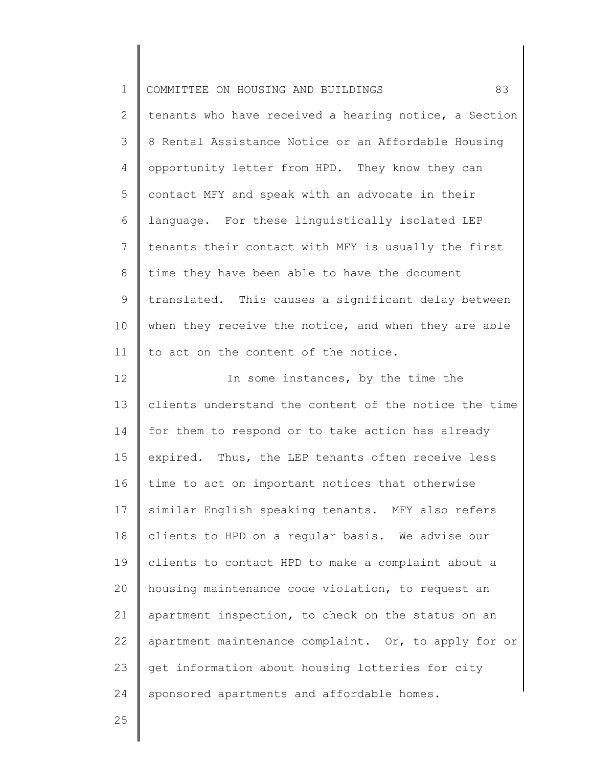| $\mathbf 1$    | 83<br>COMMITTEE ON HOUSING AND BUILDINGS              |
|----------------|-------------------------------------------------------|
| $\overline{2}$ | tenants who have received a hearing notice, a Section |
| 3              | 8 Rental Assistance Notice or an Affordable Housing   |
| 4              | opportunity letter from HPD. They know they can       |
| 5              | contact MFY and speak with an advocate in their       |
| 6              | language. For these linguistically isolated LEP       |
| $\overline{7}$ | tenants their contact with MFY is usually the first   |
| 8              | time they have been able to have the document         |
| 9              | translated. This causes a significant delay between   |
| 10             | when they receive the notice, and when they are able  |
| 11             | to act on the content of the notice.                  |
| 12             | In some instances, by the time the                    |
| 13             | clients understand the content of the notice the time |
| 14             | for them to respond or to take action has already     |
| 15             | expired. Thus, the LEP tenants often receive less     |
| 16             | time to act on important notices that otherwise       |
| 17             | similar English speaking tenants. MFY also refers     |
| 18             | clients to HPD on a regular basis. We advise our      |
| 19             | clients to contact HPD to make a complaint about a    |
| 20             | housing maintenance code violation, to request an     |
| 21             | apartment inspection, to check on the status on an    |
| 22             | apartment maintenance complaint. Or, to apply for or  |
| 23             | get information about housing lotteries for city      |
| 24             | sponsored apartments and affordable homes.            |
| $\cap$         |                                                       |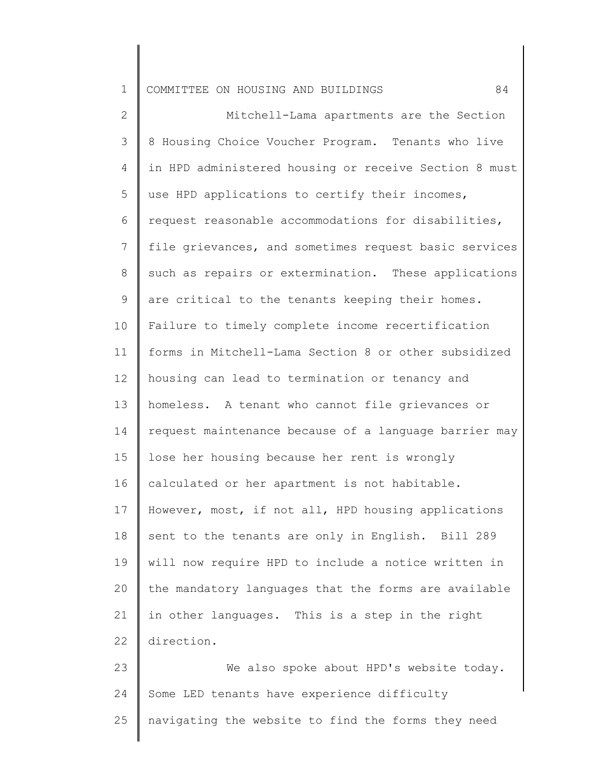1 COMMITTEE ON HOUSING AND BUILDINGS 84

2 3 4 5 6 7 8 9 10 11 12 13 14 15 16 17 18 19 20 21 22 23 Mitchell-Lama apartments are the Section 8 Housing Choice Voucher Program. Tenants who live in HPD administered housing or receive Section 8 must use HPD applications to certify their incomes, request reasonable accommodations for disabilities, file grievances, and sometimes request basic services such as repairs or extermination. These applications are critical to the tenants keeping their homes. Failure to timely complete income recertification forms in Mitchell-Lama Section 8 or other subsidized housing can lead to termination or tenancy and homeless. A tenant who cannot file grievances or request maintenance because of a language barrier may lose her housing because her rent is wrongly calculated or her apartment is not habitable. However, most, if not all, HPD housing applications sent to the tenants are only in English. Bill 289 will now require HPD to include a notice written in the mandatory languages that the forms are available in other languages. This is a step in the right direction. We also spoke about HPD's website today.

24 25 Some LED tenants have experience difficulty navigating the website to find the forms they need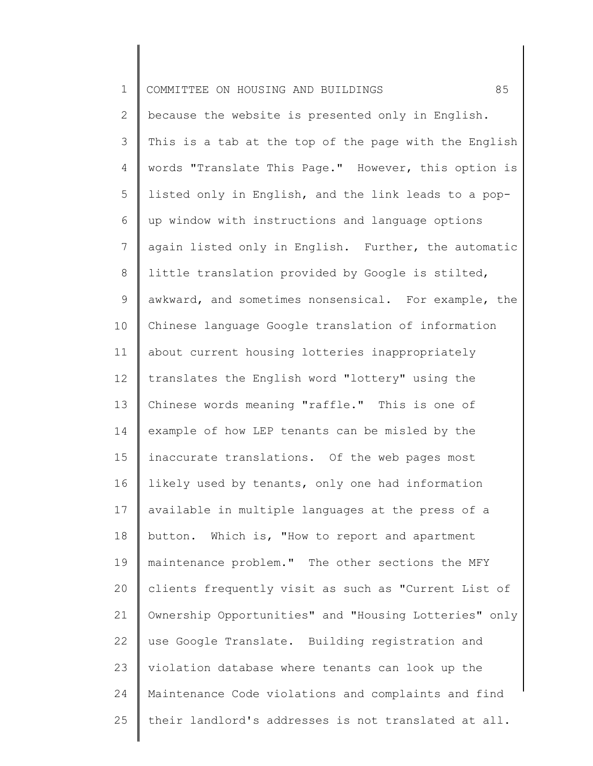| $\mathbf 1$    | 85<br>COMMITTEE ON HOUSING AND BUILDINGS              |
|----------------|-------------------------------------------------------|
| $\overline{2}$ | because the website is presented only in English.     |
| 3              | This is a tab at the top of the page with the English |
| 4              | words "Translate This Page." However, this option is  |
| 5              | listed only in English, and the link leads to a pop-  |
| 6              | up window with instructions and language options      |
| $7\phantom{.}$ | again listed only in English. Further, the automatic  |
| 8              | little translation provided by Google is stilted,     |
| 9              | awkward, and sometimes nonsensical. For example, the  |
| 10             | Chinese language Google translation of information    |
| 11             | about current housing lotteries inappropriately       |
| 12             | translates the English word "lottery" using the       |
| 13             | Chinese words meaning "raffle." This is one of        |
| 14             | example of how LEP tenants can be misled by the       |
| 15             | inaccurate translations. Of the web pages most        |
| 16             | likely used by tenants, only one had information      |
| 17             | available in multiple languages at the press of a     |
| 18             | button. Which is, "How to report and apartment        |
| 19             | maintenance problem." The other sections the MFY      |
| 20             | clients frequently visit as such as "Current List of  |
| 21             | Ownership Opportunities" and "Housing Lotteries" only |
| 22             | use Google Translate. Building registration and       |
| 23             | violation database where tenants can look up the      |
| 24             | Maintenance Code violations and complaints and find   |
| 25             | their landlord's addresses is not translated at all.  |
|                |                                                       |

║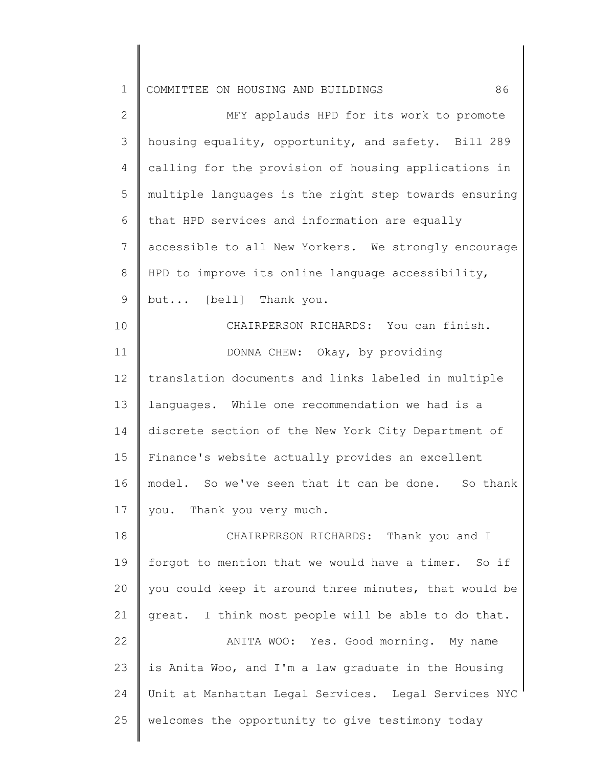| $\mathbf 1$    | 86<br>COMMITTEE ON HOUSING AND BUILDINGS              |
|----------------|-------------------------------------------------------|
| $\mathbf{2}$   | MFY applauds HPD for its work to promote              |
| 3              | housing equality, opportunity, and safety. Bill 289   |
| 4              | calling for the provision of housing applications in  |
| 5              | multiple languages is the right step towards ensuring |
| 6              | that HPD services and information are equally         |
| $\overline{7}$ | accessible to all New Yorkers. We strongly encourage  |
| $8\,$          | HPD to improve its online language accessibility,     |
| 9              | but [bell] Thank you.                                 |
| 10             | CHAIRPERSON RICHARDS: You can finish.                 |
| 11             | DONNA CHEW: Okay, by providing                        |
| 12             | translation documents and links labeled in multiple   |
| 13             | languages. While one recommendation we had is a       |
| 14             | discrete section of the New York City Department of   |
| 15             | Finance's website actually provides an excellent      |
| 16             | model. So we've seen that it can be done. So thank    |
| 17             | you. Thank you very much.                             |
| 18             | CHAIRPERSON RICHARDS: Thank you and I                 |
| 19             | forgot to mention that we would have a timer. So if   |
| 20             | you could keep it around three minutes, that would be |
| 21             | great. I think most people will be able to do that.   |
| 22             | ANITA WOO: Yes. Good morning. My name                 |
| 23             | is Anita Woo, and I'm a law graduate in the Housing   |
| 24             | Unit at Manhattan Legal Services. Legal Services NYC  |
| 25             | welcomes the opportunity to give testimony today      |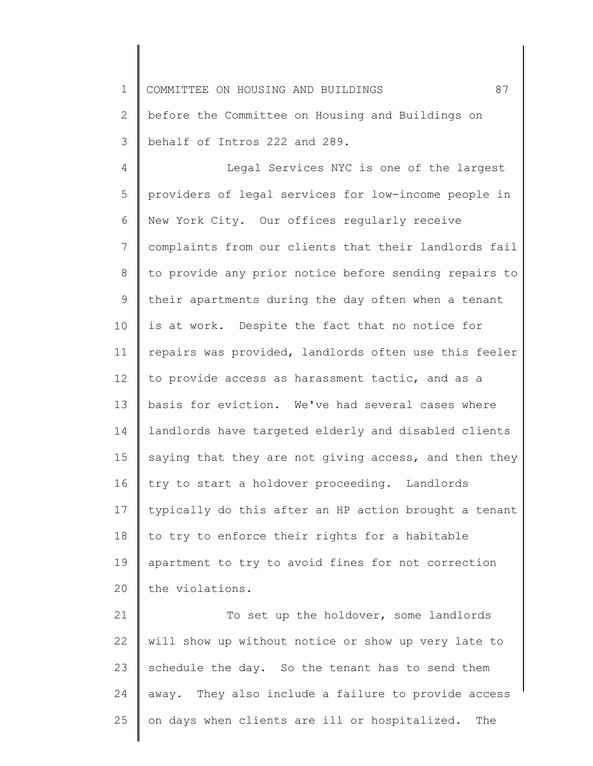1 COMMITTEE ON HOUSING AND BUILDINGS 87

2 3 before the Committee on Housing and Buildings on behalf of Intros 222 and 289.

4 5 6 7 8 9 10 11 12 13 14 15 16 17 18 19 20 Legal Services NYC is one of the largest providers of legal services for low-income people in New York City. Our offices regularly receive complaints from our clients that their landlords fail to provide any prior notice before sending repairs to their apartments during the day often when a tenant is at work. Despite the fact that no notice for repairs was provided, landlords often use this feeler to provide access as harassment tactic, and as a basis for eviction. We've had several cases where landlords have targeted elderly and disabled clients saying that they are not giving access, and then they try to start a holdover proceeding. Landlords typically do this after an HP action brought a tenant to try to enforce their rights for a habitable apartment to try to avoid fines for not correction the violations.

21 22 23 24 25 To set up the holdover, some landlords will show up without notice or show up very late to schedule the day. So the tenant has to send them away. They also include a failure to provide access on days when clients are ill or hospitalized. The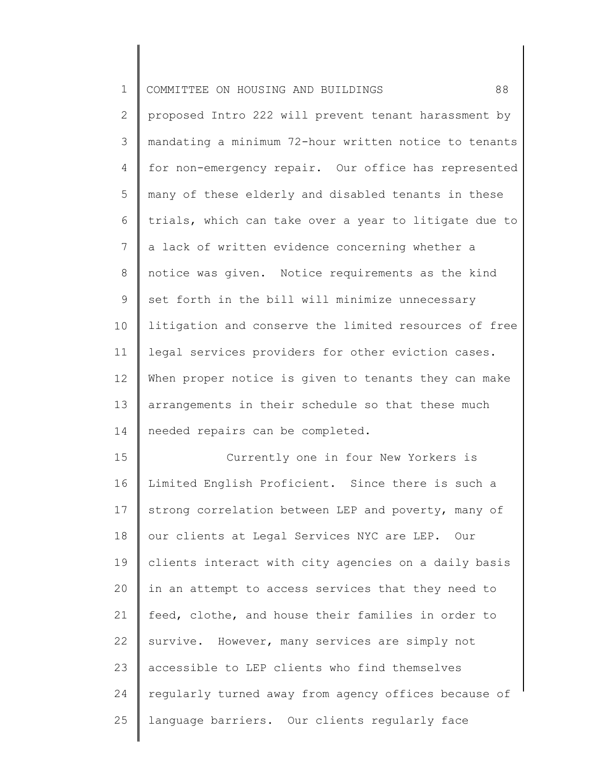| $\mathbf 1$  | 88<br>COMMITTEE ON HOUSING AND BUILDINGS              |
|--------------|-------------------------------------------------------|
| $\mathbf{2}$ | proposed Intro 222 will prevent tenant harassment by  |
| 3            | mandating a minimum 72-hour written notice to tenants |
| 4            | for non-emergency repair. Our office has represented  |
| 5            | many of these elderly and disabled tenants in these   |
| 6            | trials, which can take over a year to litigate due to |
| 7            | a lack of written evidence concerning whether a       |
| 8            | notice was given. Notice requirements as the kind     |
| $\mathsf 9$  | set forth in the bill will minimize unnecessary       |
| 10           | litigation and conserve the limited resources of free |
| 11           | legal services providers for other eviction cases.    |
| 12           | When proper notice is given to tenants they can make  |
| 13           | arrangements in their schedule so that these much     |
| 14           | needed repairs can be completed.                      |
| 15           | Currently one in four New Yorkers is                  |
| 16           | Limited English Proficient. Since there is such a     |
| 17           | strong correlation between LEP and poverty, many of   |
| 18           | our clients at Legal Services NYC are LEP. Our        |
| 19           | clients interact with city agencies on a daily basis  |
| 20           | in an attempt to access services that they need to    |
| 21           | feed, clothe, and house their families in order to    |
| 22           | survive. However, many services are simply not        |
| 23           | accessible to LEP clients who find themselves         |
| 24           | regularly turned away from agency offices because of  |
| 25           | language barriers. Our clients regularly face         |
|              |                                                       |

║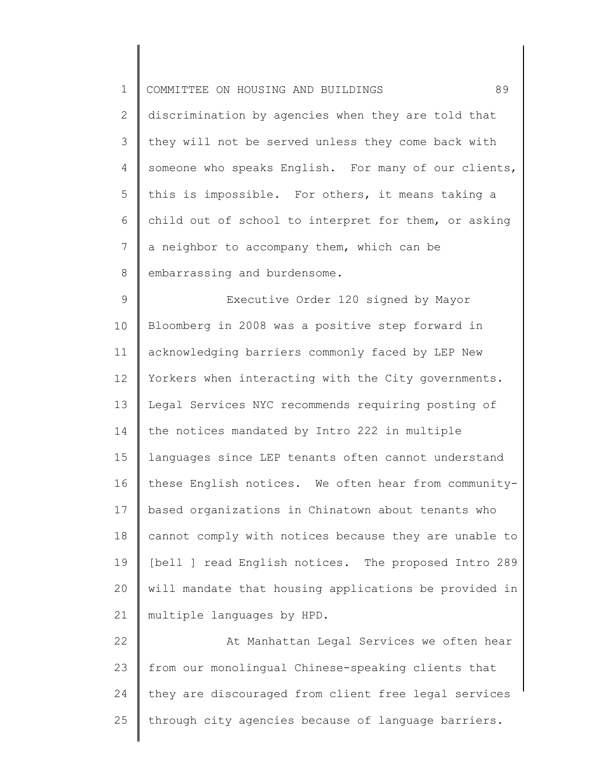| $\mathbf 1$ | 89<br>COMMITTEE ON HOUSING AND BUILDINGS              |
|-------------|-------------------------------------------------------|
| 2           | discrimination by agencies when they are told that    |
| 3           | they will not be served unless they come back with    |
| 4           | someone who speaks English. For many of our clients,  |
| 5           | this is impossible. For others, it means taking a     |
| 6           | child out of school to interpret for them, or asking  |
| 7           | a neighbor to accompany them, which can be            |
| 8           | embarrassing and burdensome.                          |
| 9           | Executive Order 120 signed by Mayor                   |
| 10          | Bloomberg in 2008 was a positive step forward in      |
| 11          | acknowledging barriers commonly faced by LEP New      |
| 12          | Yorkers when interacting with the City governments.   |
| 13          | Legal Services NYC recommends requiring posting of    |
| 14          | the notices mandated by Intro 222 in multiple         |
| 15          | languages since LEP tenants often cannot understand   |
| 16          | these English notices. We often hear from community-  |
| 17          | based organizations in Chinatown about tenants who    |
| 18          | cannot comply with notices because they are unable to |
| 19          | [bell ] read English notices. The proposed Intro 289  |
| 20          | will mandate that housing applications be provided in |
| 21          | multiple languages by HPD.                            |
| 22          | At Manhattan Legal Services we often hear             |
| 23          | from our monolingual Chinese-speaking clients that    |
| 24          | they are discouraged from client free legal services  |
| 25          | through city agencies because of language barriers.   |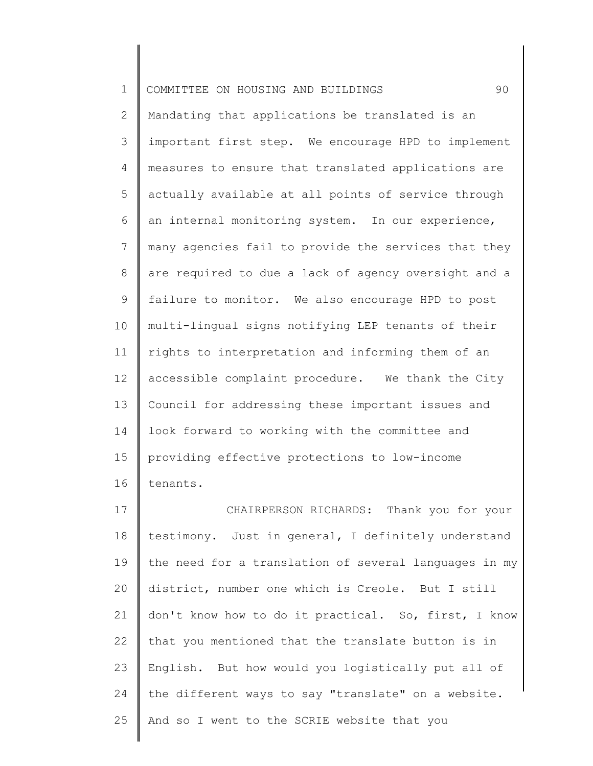| $\mathbf 1$     | 90<br>COMMITTEE ON HOUSING AND BUILDINGS              |
|-----------------|-------------------------------------------------------|
| $\mathbf{2}$    | Mandating that applications be translated is an       |
| 3               | important first step. We encourage HPD to implement   |
| 4               | measures to ensure that translated applications are   |
| 5               | actually available at all points of service through   |
| 6               | an internal monitoring system. In our experience,     |
| $7\phantom{.0}$ | many agencies fail to provide the services that they  |
| 8               | are required to due a lack of agency oversight and a  |
| $\mathsf 9$     | failure to monitor. We also encourage HPD to post     |
| 10              | multi-lingual signs notifying LEP tenants of their    |
| 11              | rights to interpretation and informing them of an     |
| 12              | accessible complaint procedure. We thank the City     |
| 13              | Council for addressing these important issues and     |
| 14              | look forward to working with the committee and        |
| 15              | providing effective protections to low-income         |
| 16              | tenants.                                              |
| 17              | CHAIRPERSON RICHARDS: Thank you for your              |
| 18              | testimony. Just in general, I definitely understand   |
| 19              | the need for a translation of several languages in my |
| 20              | district, number one which is Creole. But I still     |

21 22 23 24 25 don't know how to do it practical. So, first, I know that you mentioned that the translate button is in English. But how would you logistically put all of the different ways to say "translate" on a website. And so I went to the SCRIE website that you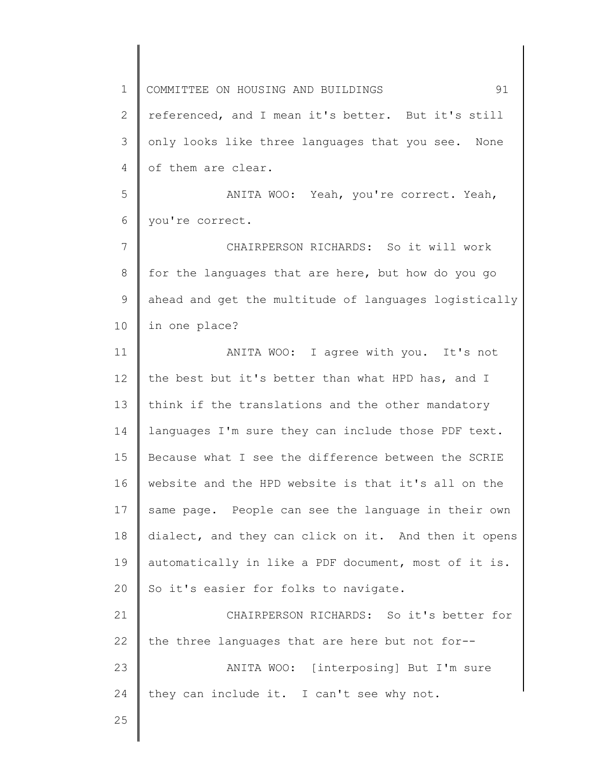1 2 3 4 5 6 7 8 9 10 11 12 13 14 15 16 17 18 19 20 21 22 23 24 25 COMMITTEE ON HOUSING AND BUILDINGS 91 referenced, and I mean it's better. But it's still only looks like three languages that you see. None of them are clear. ANITA WOO: Yeah, you're correct. Yeah, you're correct. CHAIRPERSON RICHARDS: So it will work for the languages that are here, but how do you go ahead and get the multitude of languages logistically in one place? ANITA WOO: I agree with you. It's not the best but it's better than what HPD has, and I think if the translations and the other mandatory languages I'm sure they can include those PDF text. Because what I see the difference between the SCRIE website and the HPD website is that it's all on the same page. People can see the language in their own dialect, and they can click on it. And then it opens automatically in like a PDF document, most of it is. So it's easier for folks to navigate. CHAIRPERSON RICHARDS: So it's better for the three languages that are here but not for-- ANITA WOO: [interposing] But I'm sure they can include it. I can't see why not.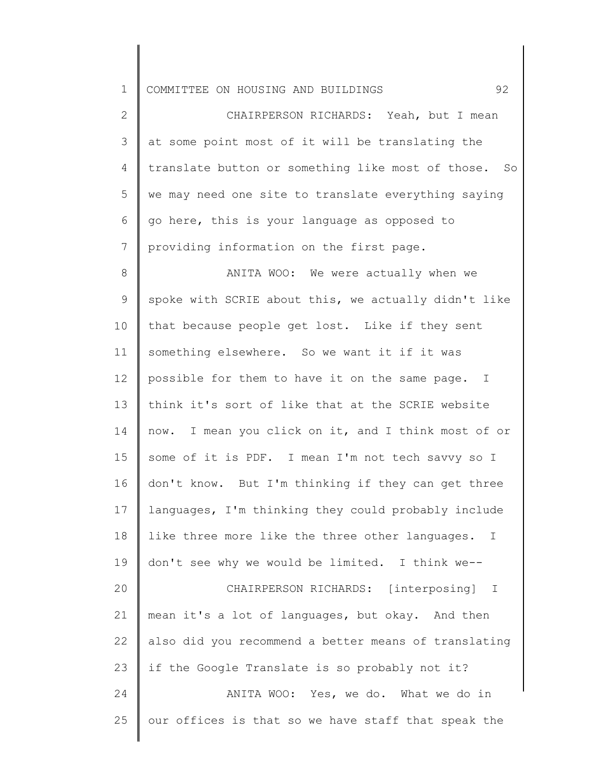1 COMMITTEE ON HOUSING AND BUILDINGS 92

2 3 4 5 6 7 CHAIRPERSON RICHARDS: Yeah, but I mean at some point most of it will be translating the translate button or something like most of those. So we may need one site to translate everything saying go here, this is your language as opposed to providing information on the first page.

8 9 10 11 12 13 14 15 16 17 18 19 20 21 22 23 24 25 ANITA WOO: We were actually when we spoke with SCRIE about this, we actually didn't like that because people get lost. Like if they sent something elsewhere. So we want it if it was possible for them to have it on the same page. I think it's sort of like that at the SCRIE website now. I mean you click on it, and I think most of or some of it is PDF. I mean I'm not tech savvy so I don't know. But I'm thinking if they can get three languages, I'm thinking they could probably include like three more like the three other languages. I don't see why we would be limited. I think we-- CHAIRPERSON RICHARDS: [interposing] I mean it's a lot of languages, but okay. And then also did you recommend a better means of translating if the Google Translate is so probably not it? ANITA WOO: Yes, we do. What we do in our offices is that so we have staff that speak the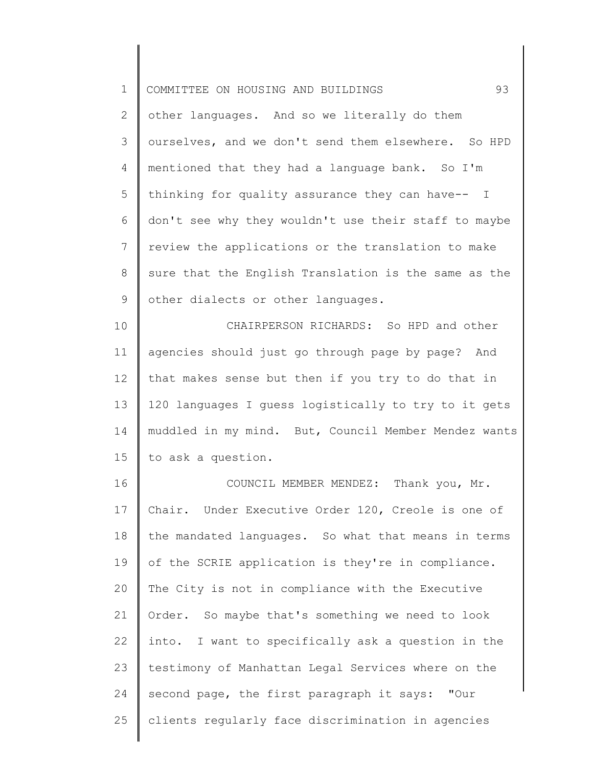| 93<br>COMMITTEE ON HOUSING AND BUILDINGS             |
|------------------------------------------------------|
| other languages. And so we literally do them         |
| ourselves, and we don't send them elsewhere. So HPD  |
| mentioned that they had a language bank. So I'm      |
| thinking for quality assurance they can have-- I     |
| don't see why they wouldn't use their staff to maybe |
| review the applications or the translation to make   |
| sure that the English Translation is the same as the |
| other dialects or other languages.                   |
| CHAIRPERSON RICHARDS: So HPD and other               |
| agencies should just go through page by page? And    |
| that makes sense but then if you try to do that in   |
| 120 languages I guess logistically to try to it gets |
| muddled in my mind. But, Council Member Mendez wants |
| to ask a question.                                   |
| COUNCIL MEMBER MENDEZ: Thank you, Mr.                |
| Chair. Under Executive Order 120, Creole is one of   |
| the mandated languages. So what that means in terms  |
| of the SCRIE application is they're in compliance.   |
| The City is not in compliance with the Executive     |
| Order. So maybe that's something we need to look     |
| into. I want to specifically ask a question in the   |
| testimony of Manhattan Legal Services where on the   |
|                                                      |

25 clients regularly face discrimination in agencies

second page, the first paragraph it says: "Our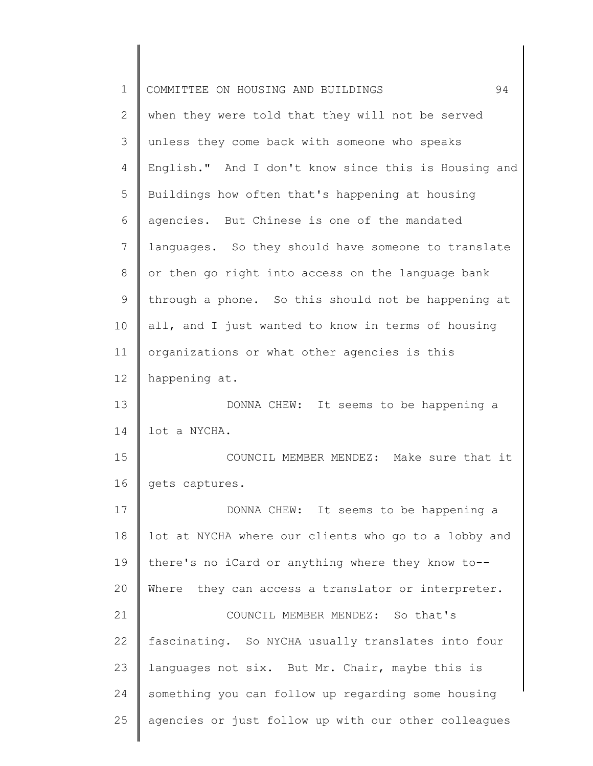| $\mathbf 1$  | 94<br>COMMITTEE ON HOUSING AND BUILDINGS             |
|--------------|------------------------------------------------------|
| $\mathbf{2}$ | when they were told that they will not be served     |
| 3            | unless they come back with someone who speaks        |
| 4            | English." And I don't know since this is Housing and |
| 5            | Buildings how often that's happening at housing      |
| 6            | agencies. But Chinese is one of the mandated         |
| 7            | languages. So they should have someone to translate  |
| 8            | or then go right into access on the language bank    |
| $\mathsf 9$  | through a phone. So this should not be happening at  |
| 10           | all, and I just wanted to know in terms of housing   |
| 11           | organizations or what other agencies is this         |
| 12           | happening at.                                        |
| 13           | DONNA CHEW: It seems to be happening a               |
| 14           | lot a NYCHA.                                         |
| 15           | COUNCIL MEMBER MENDEZ: Make sure that it             |
| 16           | gets captures.                                       |
| 17           | DONNA CHEW: It seems to be happening a               |
| 18           | lot at NYCHA where our clients who go to a lobby and |
| 19           | there's no iCard or anything where they know to--    |
| 20           | Where they can access a translator or interpreter.   |
| 21           | COUNCIL MEMBER MENDEZ: So that's                     |
| 22           | fascinating. So NYCHA usually translates into four   |
| 23           | languages not six. But Mr. Chair, maybe this is      |
| 24           | something you can follow up regarding some housing   |
| 25           | agencies or just follow up with our other colleagues |
|              |                                                      |

 $\begin{array}{c} \hline \end{array}$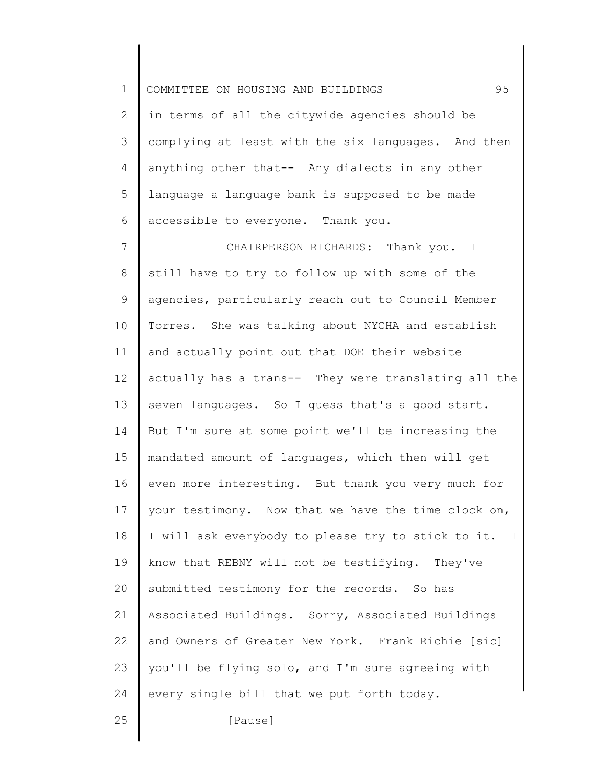1 2 3 4 5 6 7 8 9 10 11 12 13 14 15 16 17 18 19 20 21 22 23 24 25 COMMITTEE ON HOUSING AND BUILDINGS 95 in terms of all the citywide agencies should be complying at least with the six languages. And then anything other that-- Any dialects in any other language a language bank is supposed to be made accessible to everyone. Thank you. CHAIRPERSON RICHARDS: Thank you. I still have to try to follow up with some of the agencies, particularly reach out to Council Member Torres. She was talking about NYCHA and establish and actually point out that DOE their website actually has a trans-- They were translating all the seven languages. So I guess that's a good start. But I'm sure at some point we'll be increasing the mandated amount of languages, which then will get even more interesting. But thank you very much for your testimony. Now that we have the time clock on, I will ask everybody to please try to stick to it. I know that REBNY will not be testifying. They've submitted testimony for the records. So has Associated Buildings. Sorry, Associated Buildings and Owners of Greater New York. Frank Richie [sic] you'll be flying solo, and I'm sure agreeing with every single bill that we put forth today. [Pause]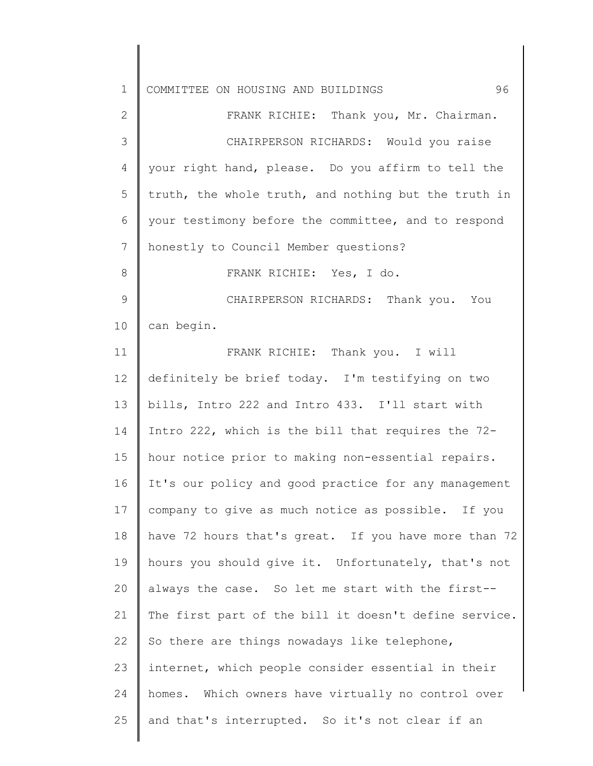| $\mathbf 1$   | 96<br>COMMITTEE ON HOUSING AND BUILDINGS              |
|---------------|-------------------------------------------------------|
| $\mathbf{2}$  | FRANK RICHIE: Thank you, Mr. Chairman.                |
| 3             | CHAIRPERSON RICHARDS: Would you raise                 |
| 4             | your right hand, please. Do you affirm to tell the    |
| 5             | truth, the whole truth, and nothing but the truth in  |
| 6             | your testimony before the committee, and to respond   |
| 7             | honestly to Council Member questions?                 |
| 8             | FRANK RICHIE: Yes, I do.                              |
| $\mathcal{G}$ | CHAIRPERSON RICHARDS: Thank you. You                  |
| 10            | can begin.                                            |
| 11            | FRANK RICHIE: Thank you. I will                       |
| 12            | definitely be brief today. I'm testifying on two      |
| 13            | bills, Intro 222 and Intro 433. I'll start with       |
| 14            | Intro 222, which is the bill that requires the 72-    |
| 15            | hour notice prior to making non-essential repairs.    |
| 16            | It's our policy and good practice for any management  |
| 17            | company to give as much notice as possible. If you    |
| 18            | have 72 hours that's great. If you have more than 72  |
| 19            | hours you should give it. Unfortunately, that's not   |
| 20            | always the case. So let me start with the first--     |
| 21            | The first part of the bill it doesn't define service. |
| 22            | So there are things nowadays like telephone,          |
| 23            | internet, which people consider essential in their    |
| 24            | homes. Which owners have virtually no control over    |
| 25            | and that's interrupted. So it's not clear if an       |
|               |                                                       |

║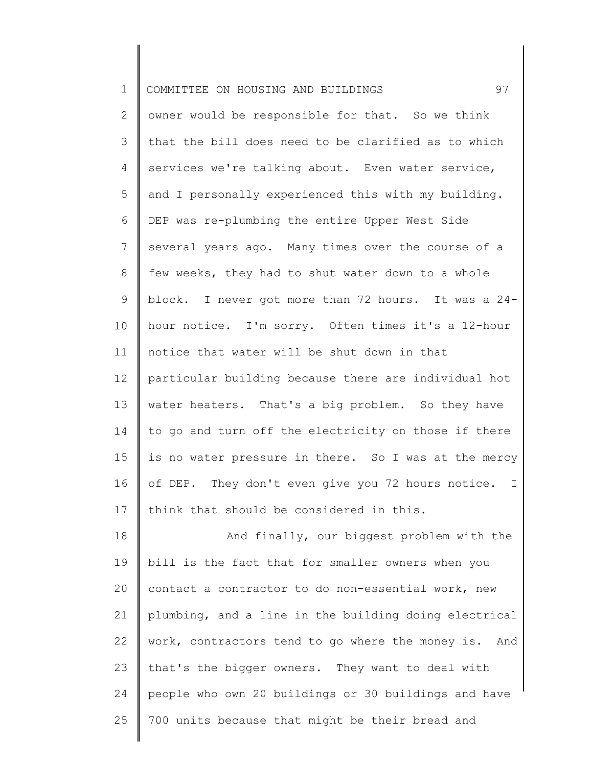| $\mathbf 1$    | 97<br>COMMITTEE ON HOUSING AND BUILDINGS              |
|----------------|-------------------------------------------------------|
| $\mathbf{2}$   | owner would be responsible for that. So we think      |
| 3              | that the bill does need to be clarified as to which   |
| 4              | services we're talking about. Even water service,     |
| 5              | and I personally experienced this with my building.   |
| 6              | DEP was re-plumbing the entire Upper West Side        |
| $\overline{7}$ | several years ago. Many times over the course of a    |
| 8              | few weeks, they had to shut water down to a whole     |
| 9              | block. I never got more than 72 hours. It was a 24-   |
| 10             | hour notice. I'm sorry. Often times it's a 12-hour    |
| 11             | notice that water will be shut down in that           |
| 12             | particular building because there are individual hot  |
| 13             | water heaters. That's a big problem. So they have     |
| 14             | to go and turn off the electricity on those if there  |
| 15             | is no water pressure in there. So I was at the mercy  |
| 16             | of DEP. They don't even give you 72 hours notice. I   |
| 17             | think that should be considered in this.              |
| 18             | And finally, our biggest problem with the             |
| 19             | bill is the fact that for smaller owners when you     |
| 20             | contact a contractor to do non-essential work, new    |
| 21             | plumbing, and a line in the building doing electrical |
| 22             | work, contractors tend to go where the money is. And  |
| 23             | that's the bigger owners. They want to deal with      |
| 24             | people who own 20 buildings or 30 buildings and have  |
| 25             | 700 units because that might be their bread and       |
|                |                                                       |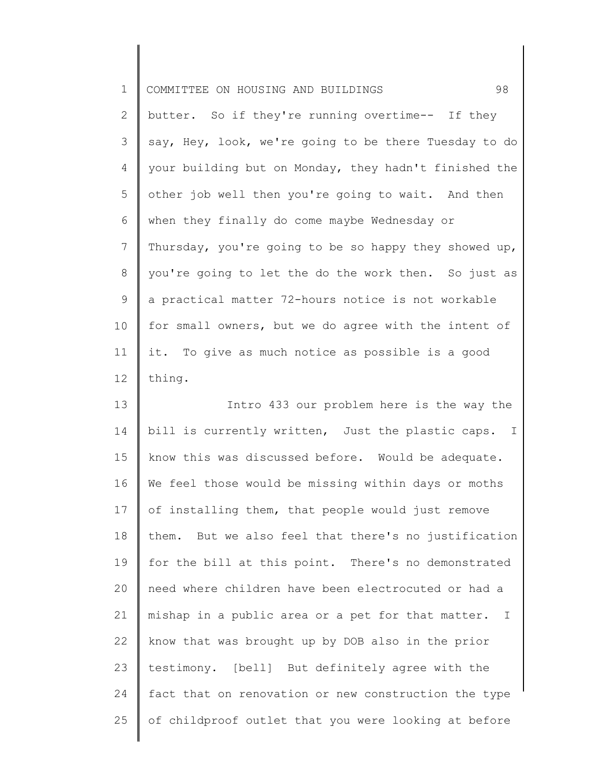| $\mathbf 1$    | 98<br>COMMITTEE ON HOUSING AND BUILDINGS                          |
|----------------|-------------------------------------------------------------------|
| $\mathbf{2}$   | butter. So if they're running overtime-- If they                  |
| 3              | say, Hey, look, we're going to be there Tuesday to do             |
| 4              | your building but on Monday, they hadn't finished the             |
| 5              | other job well then you're going to wait. And then                |
| 6              | when they finally do come maybe Wednesday or                      |
| $7\phantom{.}$ | Thursday, you're going to be so happy they showed up,             |
| $8\,$          | you're going to let the do the work then. So just as              |
| 9              | a practical matter 72-hours notice is not workable                |
| 10             | for small owners, but we do agree with the intent of              |
| 11             | it. To give as much notice as possible is a good                  |
| 12             | thing.                                                            |
| 13             | Intro 433 our problem here is the way the                         |
| 14             | bill is currently written, Just the plastic caps. I               |
| 15             | know this was discussed before. Would be adequate.                |
| 16             | We feel those would be missing within days or moths               |
| 17             | of installing them, that people would just remove                 |
| 18             | them. But we also feel that there's no justification              |
| 19             | for the bill at this point. There's no demonstrated               |
| 20             | need where children have been electrocuted or had a               |
| 21             | mishap in a public area or a pet for that matter.<br>$\mathbb{I}$ |
| 22             | know that was brought up by DOB also in the prior                 |
| 23             | testimony. [bell] But definitely agree with the                   |
| 24             | fact that on renovation or new construction the type              |

25 of childproof outlet that you were looking at before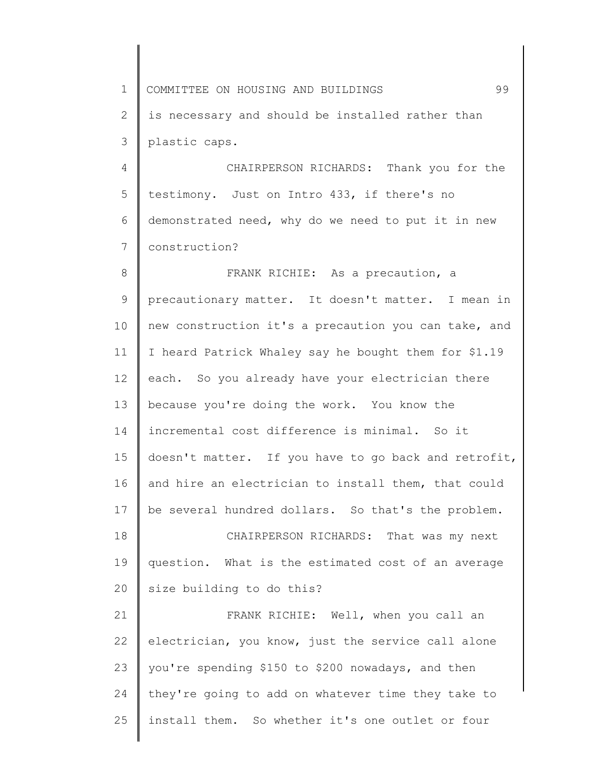1 2 3 4 5 6 7 8 9 10 11 12 13 14 15 16 17 18 19 20 21 22 23 24 COMMITTEE ON HOUSING AND BUILDINGS 99 is necessary and should be installed rather than plastic caps. CHAIRPERSON RICHARDS: Thank you for the testimony. Just on Intro 433, if there's no demonstrated need, why do we need to put it in new construction? FRANK RICHIE: As a precaution, a precautionary matter. It doesn't matter. I mean in new construction it's a precaution you can take, and I heard Patrick Whaley say he bought them for \$1.19 each. So you already have your electrician there because you're doing the work. You know the incremental cost difference is minimal. So it doesn't matter. If you have to go back and retrofit, and hire an electrician to install them, that could be several hundred dollars. So that's the problem. CHAIRPERSON RICHARDS: That was my next question. What is the estimated cost of an average size building to do this? FRANK RICHIE: Well, when you call an electrician, you know, just the service call alone you're spending \$150 to \$200 nowadays, and then they're going to add on whatever time they take to

install them. So whether it's one outlet or four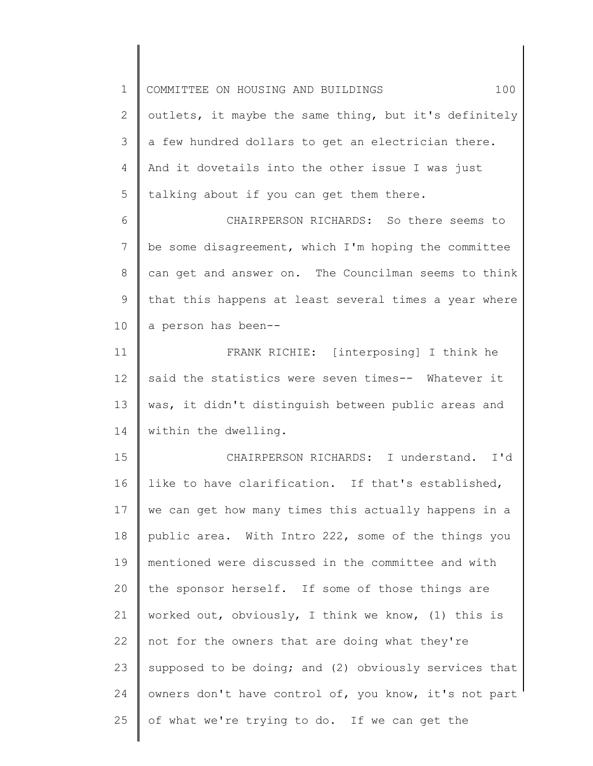1 2 3 4 5 COMMITTEE ON HOUSING AND BUILDINGS  $100$ outlets, it maybe the same thing, but it's definitely a few hundred dollars to get an electrician there. And it dovetails into the other issue I was just talking about if you can get them there.

6 7 8 9 10 CHAIRPERSON RICHARDS: So there seems to be some disagreement, which I'm hoping the committee can get and answer on. The Councilman seems to think that this happens at least several times a year where a person has been--

11 12 13 14 FRANK RICHIE: [interposing] I think he said the statistics were seven times-- Whatever it was, it didn't distinguish between public areas and within the dwelling.

15 16 17 18 19 20 21 22 23 24 25 CHAIRPERSON RICHARDS: I understand. I'd like to have clarification. If that's established, we can get how many times this actually happens in a public area. With Intro 222, some of the things you mentioned were discussed in the committee and with the sponsor herself. If some of those things are worked out, obviously, I think we know, (1) this is not for the owners that are doing what they're supposed to be doing; and (2) obviously services that owners don't have control of, you know, it's not part of what we're trying to do. If we can get the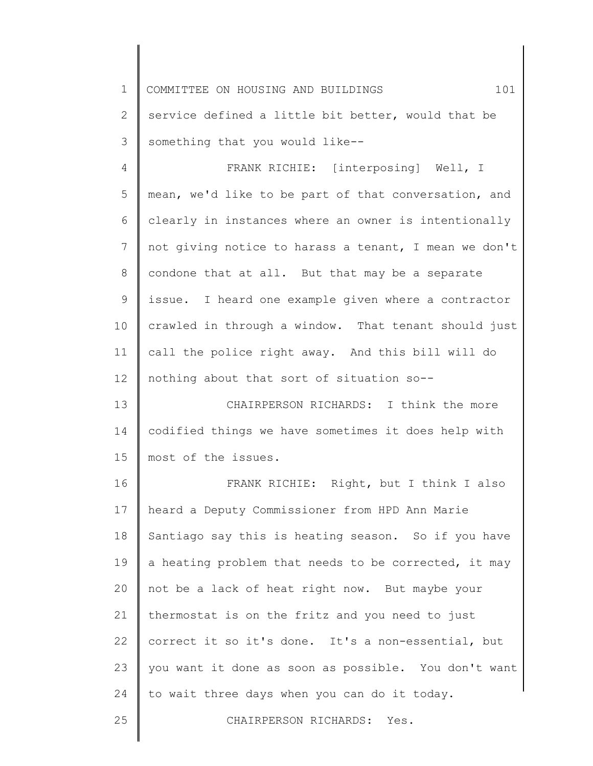1 2 3 COMMITTEE ON HOUSING AND BUILDINGS  $101$ service defined a little bit better, would that be something that you would like--

4 5 6 7 8 9 10 11 12 FRANK RICHIE: [interposing] Well, I mean, we'd like to be part of that conversation, and clearly in instances where an owner is intentionally not giving notice to harass a tenant, I mean we don't condone that at all. But that may be a separate issue. I heard one example given where a contractor crawled in through a window. That tenant should just call the police right away. And this bill will do nothing about that sort of situation so--

13 14 15 CHAIRPERSON RICHARDS: I think the more codified things we have sometimes it does help with most of the issues.

16 17 18 19 20 21 22 23 24 FRANK RICHIE: Right, but I think I also heard a Deputy Commissioner from HPD Ann Marie Santiago say this is heating season. So if you have a heating problem that needs to be corrected, it may not be a lack of heat right now. But maybe your thermostat is on the fritz and you need to just correct it so it's done. It's a non-essential, but you want it done as soon as possible. You don't want to wait three days when you can do it today.

25

CHAIRPERSON RICHARDS: Yes.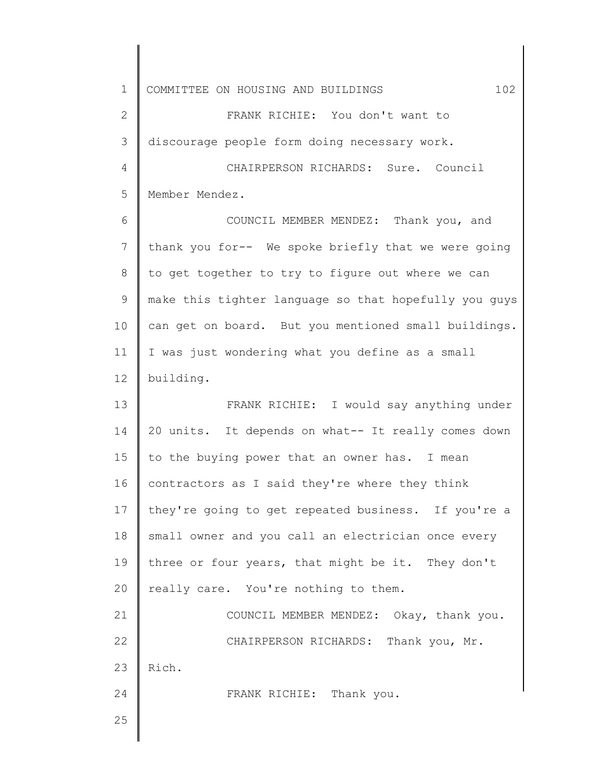1 2 3 4 5 6 7 8 9 10 11 12 13 14 15 16 17 18 19 20 21 22 23 24 25 COMMITTEE ON HOUSING AND BUILDINGS  $102$ FRANK RICHIE: You don't want to discourage people form doing necessary work. CHAIRPERSON RICHARDS: Sure. Council Member Mendez. COUNCIL MEMBER MENDEZ: Thank you, and thank you for-- We spoke briefly that we were going to get together to try to figure out where we can make this tighter language so that hopefully you guys can get on board. But you mentioned small buildings. I was just wondering what you define as a small building. FRANK RICHIE: I would say anything under 20 units. It depends on what-- It really comes down to the buying power that an owner has. I mean contractors as I said they're where they think they're going to get repeated business. If you're a small owner and you call an electrician once every three or four years, that might be it. They don't really care. You're nothing to them. COUNCIL MEMBER MENDEZ: Okay, thank you. CHAIRPERSON RICHARDS: Thank you, Mr. Rich. FRANK RICHIE: Thank you.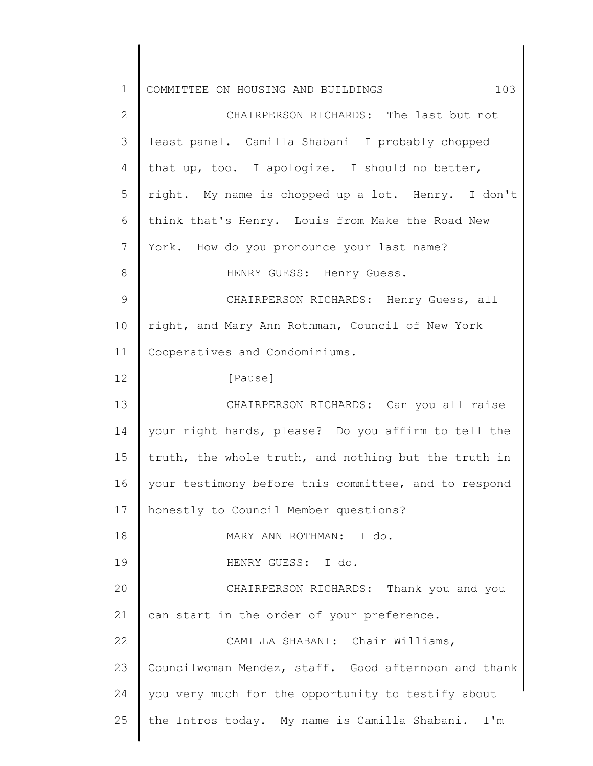| $\mathbf 1$ | COMMITTEE ON HOUSING AND BUILDINGS<br>103            |
|-------------|------------------------------------------------------|
| 2           | CHAIRPERSON RICHARDS: The last but not               |
| 3           | least panel. Camilla Shabani I probably chopped      |
| 4           | that up, too. I apologize. I should no better,       |
| 5           | right. My name is chopped up a lot. Henry. I don't   |
| 6           | think that's Henry. Louis from Make the Road New     |
| 7           | York. How do you pronounce your last name?           |
| 8           | HENRY GUESS: Henry Guess.                            |
| 9           | CHAIRPERSON RICHARDS: Henry Guess, all               |
| 10          | right, and Mary Ann Rothman, Council of New York     |
| 11          | Cooperatives and Condominiums.                       |
| 12          | [Pause]                                              |
| 13          | CHAIRPERSON RICHARDS: Can you all raise              |
| 14          | your right hands, please? Do you affirm to tell the  |
| 15          | truth, the whole truth, and nothing but the truth in |
| 16          | your testimony before this committee, and to respond |
| 17          | honestly to Council Member questions?                |
| 18          | MARY ANN ROTHMAN: I do.                              |
| 19          | HENRY GUESS: I do.                                   |
| 20          | CHAIRPERSON RICHARDS: Thank you and you              |
| 21          | can start in the order of your preference.           |
| 22          | CAMILLA SHABANI: Chair Williams,                     |
| 23          | Councilwoman Mendez, staff. Good afternoon and thank |
| 24          | you very much for the opportunity to testify about   |
| 25          | the Intros today. My name is Camilla Shabani. I'm    |
|             |                                                      |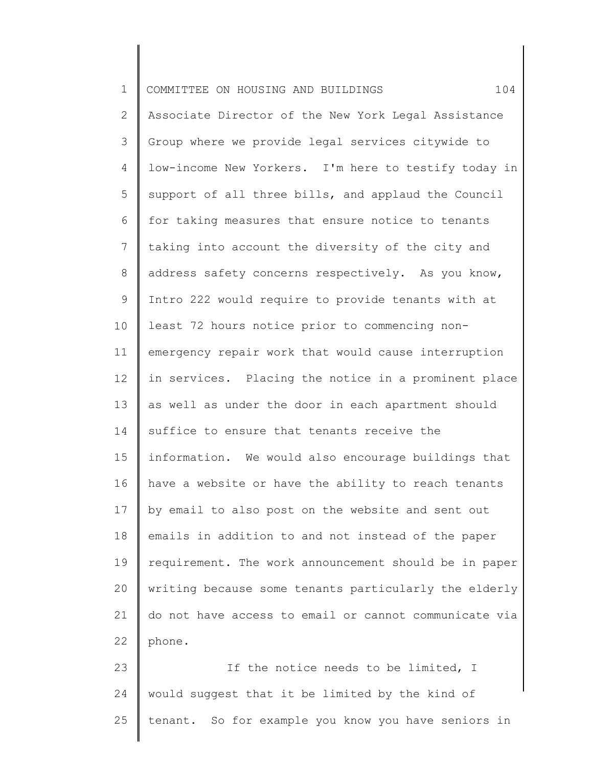| $\mathbf 1$     | 104<br>COMMITTEE ON HOUSING AND BUILDINGS             |
|-----------------|-------------------------------------------------------|
| $\mathbf{2}$    | Associate Director of the New York Legal Assistance   |
| 3               | Group where we provide legal services citywide to     |
| 4               | low-income New Yorkers. I'm here to testify today in  |
| 5               | support of all three bills, and applaud the Council   |
| 6               | for taking measures that ensure notice to tenants     |
| $7\phantom{.0}$ | taking into account the diversity of the city and     |
| 8               | address safety concerns respectively. As you know,    |
| $\mathsf 9$     | Intro 222 would require to provide tenants with at    |
| 10              | least 72 hours notice prior to commencing non-        |
| 11              | emergency repair work that would cause interruption   |
| 12              | in services. Placing the notice in a prominent place  |
| 13              | as well as under the door in each apartment should    |
| 14              | suffice to ensure that tenants receive the            |
| 15              | information. We would also encourage buildings that   |
| 16              | have a website or have the ability to reach tenants   |
| 17              | by email to also post on the website and sent out     |
| 18              | emails in addition to and not instead of the paper    |
| 19              | requirement. The work announcement should be in paper |
| 20              | writing because some tenants particularly the elderly |
| 21              | do not have access to email or cannot communicate via |
| 22              | phone.                                                |
| 23              | If the notice needs to be limited, I                  |
| 24              | would suggest that it be limited by the kind of       |
| 25              | tenant. So for example you know you have seniors in   |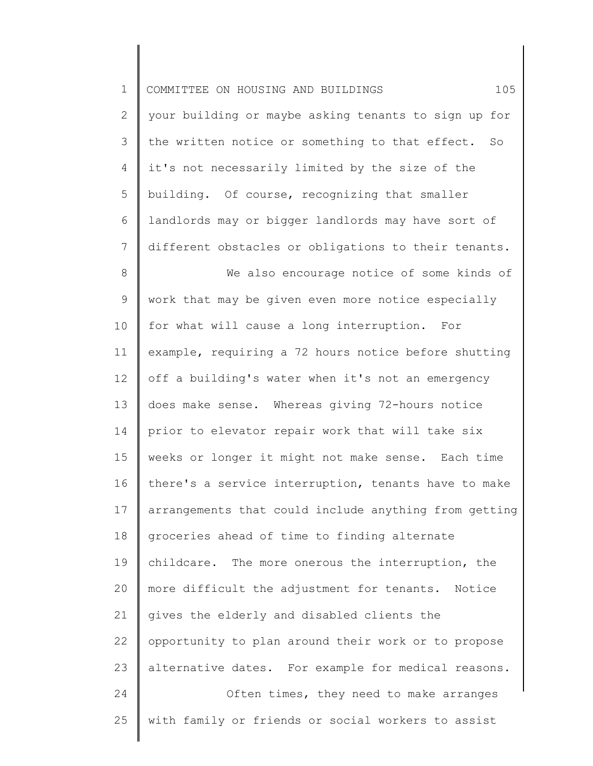| $\mathbf 1$    | 105<br>COMMITTEE ON HOUSING AND BUILDINGS             |
|----------------|-------------------------------------------------------|
| $\mathbf{2}$   | your building or maybe asking tenants to sign up for  |
| 3              | the written notice or something to that effect. So    |
| 4              | it's not necessarily limited by the size of the       |
| 5              | building. Of course, recognizing that smaller         |
| 6              | landlords may or bigger landlords may have sort of    |
| $7\phantom{.}$ | different obstacles or obligations to their tenants.  |
| 8              | We also encourage notice of some kinds of             |
| $\mathsf 9$    | work that may be given even more notice especially    |
| 10             | for what will cause a long interruption.<br>For       |
| 11             | example, requiring a 72 hours notice before shutting  |
| 12             | off a building's water when it's not an emergency     |
| 13             | does make sense. Whereas giving 72-hours notice       |
| 14             | prior to elevator repair work that will take six      |
| 15             | weeks or longer it might not make sense. Each time    |
| 16             | there's a service interruption, tenants have to make  |
| 17             | arrangements that could include anything from getting |
| 18             | groceries ahead of time to finding alternate          |
| 19             | childcare. The more onerous the interruption, the     |
| 20             | more difficult the adjustment for tenants.<br>Notice  |
| 21             | gives the elderly and disabled clients the            |
| 22             | opportunity to plan around their work or to propose   |
| 23             | alternative dates. For example for medical reasons.   |
| 24             | Often times, they need to make arranges               |
| 25             | with family or friends or social workers to assist    |
|                |                                                       |

║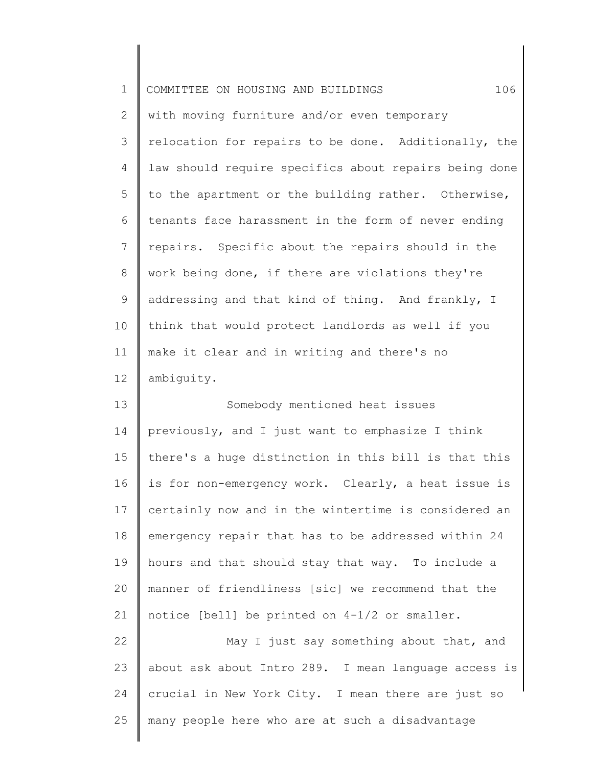| $\mathbf 1$    | 106<br>COMMITTEE ON HOUSING AND BUILDINGS             |
|----------------|-------------------------------------------------------|
| $\mathbf{2}$   | with moving furniture and/or even temporary           |
| 3              | relocation for repairs to be done. Additionally, the  |
| 4              | law should require specifics about repairs being done |
| 5              | to the apartment or the building rather. Otherwise,   |
| 6              | tenants face harassment in the form of never ending   |
| $\overline{7}$ | repairs. Specific about the repairs should in the     |
| $\,8\,$        | work being done, if there are violations they're      |
| $\mathsf 9$    | addressing and that kind of thing. And frankly, I     |
| 10             | think that would protect landlords as well if you     |
| 11             | make it clear and in writing and there's no           |
| 12             | ambiguity.                                            |
| 13             | Somebody mentioned heat issues                        |
| 14             | previously, and I just want to emphasize I think      |
| 15             | there's a huge distinction in this bill is that this  |
| 16             | is for non-emergency work. Clearly, a heat issue is   |
| 17             | certainly now and in the wintertime is considered an  |
| 18             | emergency repair that has to be addressed within 24   |
| 19             | hours and that should stay that way. To include a     |
| 20             | manner of friendliness [sic] we recommend that the    |
| 21             | notice [bell] be printed on 4-1/2 or smaller.         |
| 22             | May I just say something about that, and              |
| 23             | about ask about Intro 289. I mean language access is  |
| 24             | crucial in New York City. I mean there are just so    |
| 25             | many people here who are at such a disadvantage       |
|                |                                                       |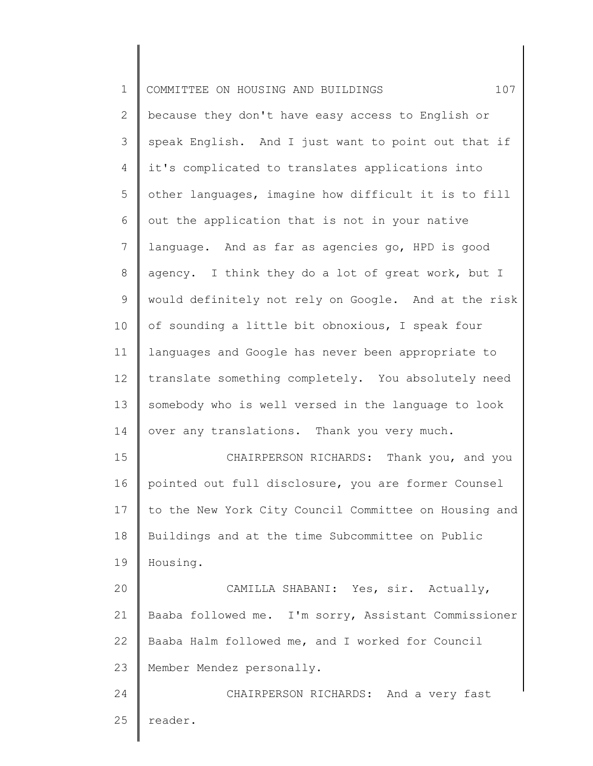| $\mathbf 1$ | 107<br>COMMITTEE ON HOUSING AND BUILDINGS             |
|-------------|-------------------------------------------------------|
| 2           | because they don't have easy access to English or     |
| 3           | speak English. And I just want to point out that if   |
| 4           | it's complicated to translates applications into      |
| 5           | other languages, imagine how difficult it is to fill  |
| 6           | out the application that is not in your native        |
| 7           | language. And as far as agencies go, HPD is good      |
| 8           | agency. I think they do a lot of great work, but I    |
| 9           | would definitely not rely on Google. And at the risk  |
| 10          | of sounding a little bit obnoxious, I speak four      |
| 11          | languages and Google has never been appropriate to    |
| 12          | translate something completely. You absolutely need   |
| 13          | somebody who is well versed in the language to look   |
| 14          | over any translations. Thank you very much.           |
| 15          | CHAIRPERSON RICHARDS:<br>Thank you, and you           |
| 16          | pointed out full disclosure, you are former Counsel   |
| 17          | to the New York City Council Committee on Housing and |
| 18          | Buildings and at the time Subcommittee on Public      |
| 19          | Housing.                                              |
| 20          | CAMILLA SHABANI: Yes, sir. Actually,                  |
| 21          | Baaba followed me. I'm sorry, Assistant Commissioner  |
| 22          | Baaba Halm followed me, and I worked for Council      |
| 23          | Member Mendez personally.                             |
| 24          | CHAIRPERSON RICHARDS: And a very fast                 |
| 25          | reader.                                               |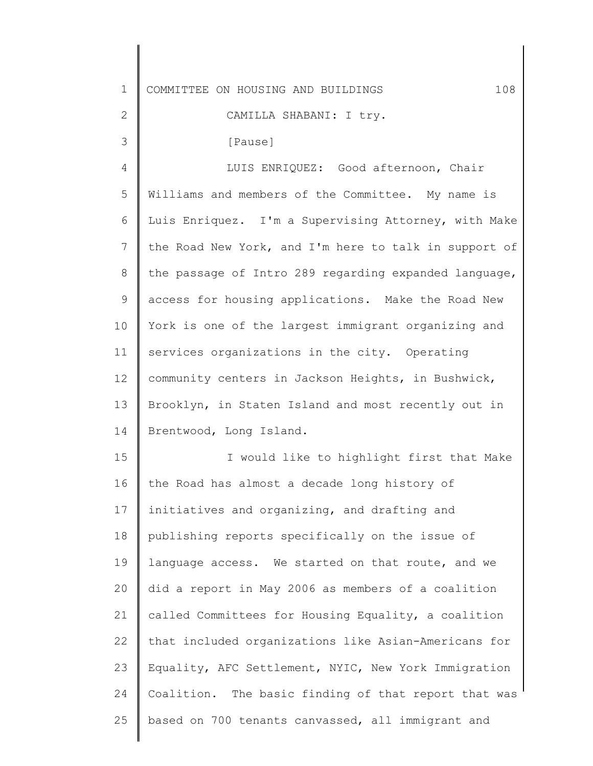| $\mathbf 1$  | COMMITTEE ON HOUSING AND BUILDINGS<br>108             |
|--------------|-------------------------------------------------------|
| $\mathbf{2}$ | CAMILLA SHABANI: I try.                               |
| 3            | [Pause]                                               |
| 4            | LUIS ENRIQUEZ: Good afternoon, Chair                  |
| 5            | Williams and members of the Committee. My name is     |
| 6            | Luis Enriquez. I'm a Supervising Attorney, with Make  |
| 7            | the Road New York, and I'm here to talk in support of |
| 8            | the passage of Intro 289 regarding expanded language, |
| 9            | access for housing applications. Make the Road New    |
| 10           | York is one of the largest immigrant organizing and   |
| 11           | services organizations in the city. Operating         |
| 12           | community centers in Jackson Heights, in Bushwick,    |
| 13           | Brooklyn, in Staten Island and most recently out in   |
| 14           | Brentwood, Long Island.                               |
| 15           | I would like to highlight first that Make             |
| 16           | the Road has almost a decade long history of          |
| 17           | initiatives and organizing, and drafting and          |
| 18           | publishing reports specifically on the issue of       |
| 19           | language access. We started on that route, and we     |
| 20           | did a report in May 2006 as members of a coalition    |
| 21           | called Committees for Housing Equality, a coalition   |
| 22           | that included organizations like Asian-Americans for  |
| 23           | Equality, AFC Settlement, NYIC, New York Immigration  |
| 24           | Coalition. The basic finding of that report that was  |
| 25           | based on 700 tenants canvassed, all immigrant and     |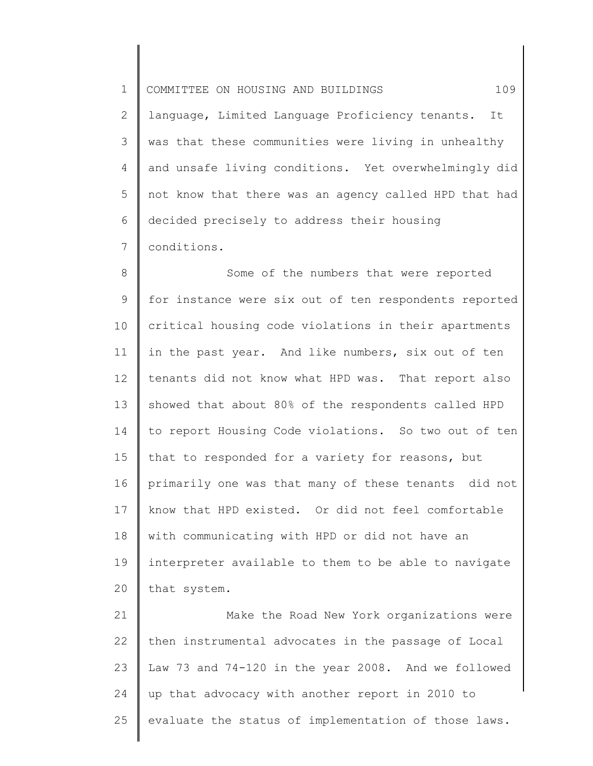1 2 3 4 5 6 7 COMMITTEE ON HOUSING AND BUILDINGS  $109$ language, Limited Language Proficiency tenants. It was that these communities were living in unhealthy and unsafe living conditions. Yet overwhelmingly did not know that there was an agency called HPD that had decided precisely to address their housing conditions.

8 9 10 11 12 13 14 15 16 17 18 19 20 Some of the numbers that were reported for instance were six out of ten respondents reported critical housing code violations in their apartments in the past year. And like numbers, six out of ten tenants did not know what HPD was. That report also showed that about 80% of the respondents called HPD to report Housing Code violations. So two out of ten that to responded for a variety for reasons, but primarily one was that many of these tenants did not know that HPD existed. Or did not feel comfortable with communicating with HPD or did not have an interpreter available to them to be able to navigate that system.

21 22 23 24 25 Make the Road New York organizations were then instrumental advocates in the passage of Local Law 73 and 74-120 in the year 2008. And we followed up that advocacy with another report in 2010 to evaluate the status of implementation of those laws.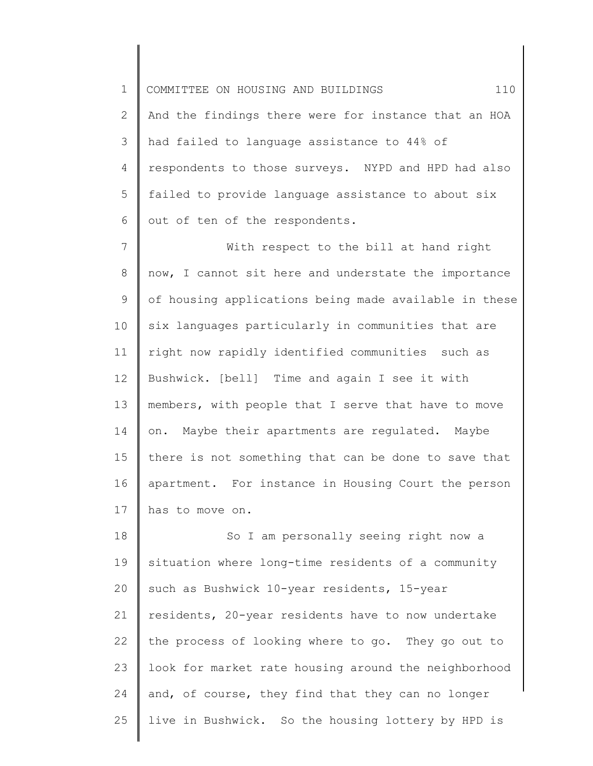1 2 3 4 5 6 COMMITTEE ON HOUSING AND BUILDINGS  $110$ And the findings there were for instance that an HOA had failed to language assistance to 44% of respondents to those surveys. NYPD and HPD had also failed to provide language assistance to about six out of ten of the respondents.

7 8 9 10 11 12 13 14 15 16 17 With respect to the bill at hand right now, I cannot sit here and understate the importance of housing applications being made available in these six languages particularly in communities that are right now rapidly identified communities such as Bushwick. [bell] Time and again I see it with members, with people that I serve that have to move on. Maybe their apartments are regulated. Maybe there is not something that can be done to save that apartment. For instance in Housing Court the person has to move on.

18 19 20 21 22 23 24 25 So I am personally seeing right now a situation where long-time residents of a community such as Bushwick 10-year residents, 15-year residents, 20-year residents have to now undertake the process of looking where to go. They go out to look for market rate housing around the neighborhood and, of course, they find that they can no longer live in Bushwick. So the housing lottery by HPD is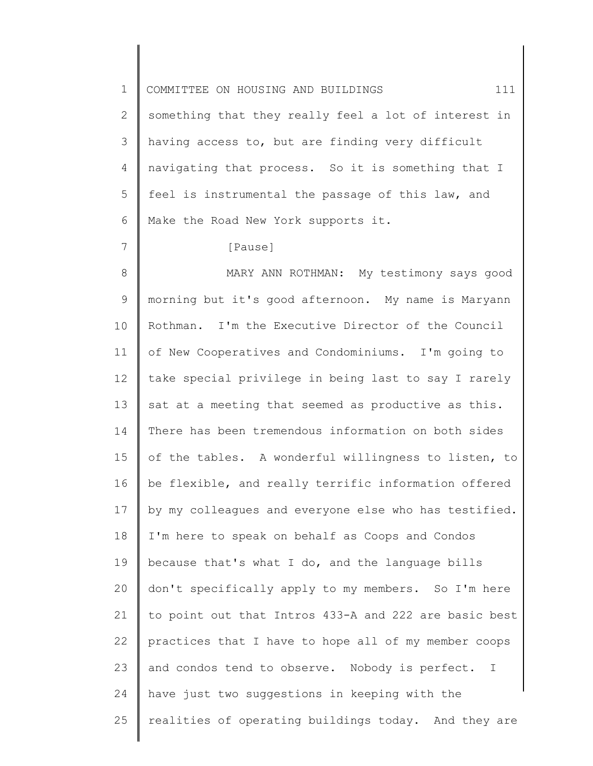1 2 3 4 5 6 COMMITTEE ON HOUSING AND BUILDINGS  $111$ something that they really feel a lot of interest in having access to, but are finding very difficult navigating that process. So it is something that I feel is instrumental the passage of this law, and Make the Road New York supports it.

[Pause]

7

8 9 10 11 12 13 14 15 16 17 18 19 20 21 22 23 24 25 MARY ANN ROTHMAN: My testimony says good morning but it's good afternoon. My name is Maryann Rothman. I'm the Executive Director of the Council of New Cooperatives and Condominiums. I'm going to take special privilege in being last to say I rarely sat at a meeting that seemed as productive as this. There has been tremendous information on both sides of the tables. A wonderful willingness to listen, to be flexible, and really terrific information offered by my colleagues and everyone else who has testified. I'm here to speak on behalf as Coops and Condos because that's what I do, and the language bills don't specifically apply to my members. So I'm here to point out that Intros 433-A and 222 are basic best practices that I have to hope all of my member coops and condos tend to observe. Nobody is perfect. I have just two suggestions in keeping with the realities of operating buildings today. And they are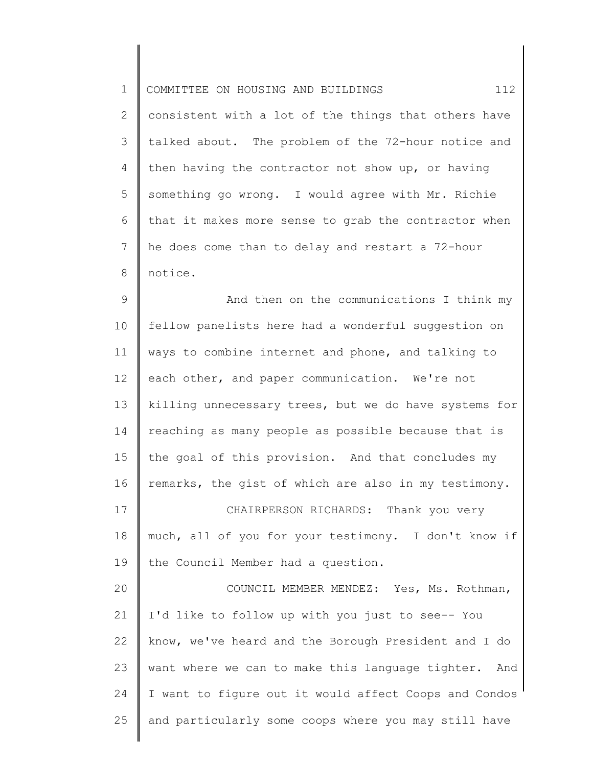1 2 3 4 5 6 7 8 COMMITTEE ON HOUSING AND BUILDINGS  $112$ consistent with a lot of the things that others have talked about. The problem of the 72-hour notice and then having the contractor not show up, or having something go wrong. I would agree with Mr. Richie that it makes more sense to grab the contractor when he does come than to delay and restart a 72-hour notice.

9 10 11 12 13 14 15 16 And then on the communications I think my fellow panelists here had a wonderful suggestion on ways to combine internet and phone, and talking to each other, and paper communication. We're not killing unnecessary trees, but we do have systems for reaching as many people as possible because that is the goal of this provision. And that concludes my remarks, the gist of which are also in my testimony.

17 18 19 CHAIRPERSON RICHARDS: Thank you very much, all of you for your testimony. I don't know if the Council Member had a question.

20 21 22 23 24 25 COUNCIL MEMBER MENDEZ: Yes, Ms. Rothman, I'd like to follow up with you just to see-- You know, we've heard and the Borough President and I do want where we can to make this language tighter. And I want to figure out it would affect Coops and Condos and particularly some coops where you may still have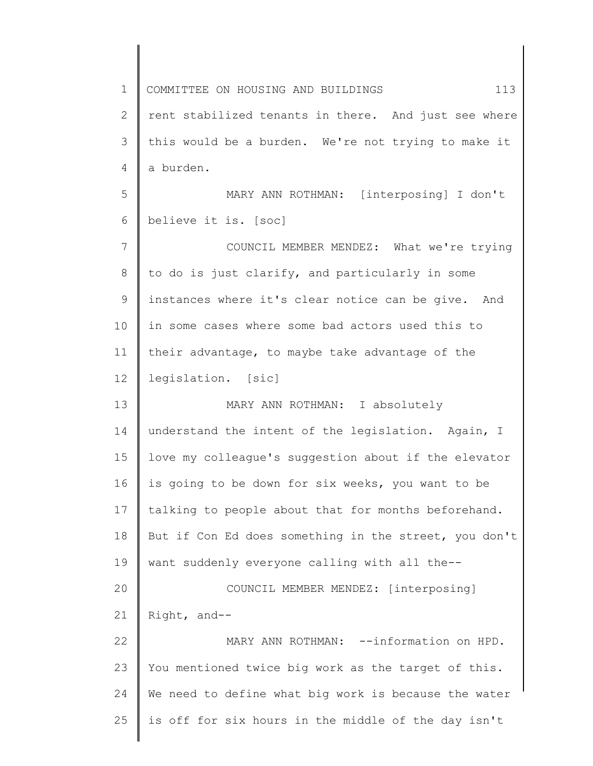1 2 3 4 5 6 7 8 9 10 11 12 13 14 15 16 17 18 19 20 21 22 23 24 25 COMMITTEE ON HOUSING AND BUILDINGS 413 rent stabilized tenants in there. And just see where this would be a burden. We're not trying to make it a burden. MARY ANN ROTHMAN: [interposing] I don't believe it is. [soc] COUNCIL MEMBER MENDEZ: What we're trying to do is just clarify, and particularly in some instances where it's clear notice can be give. And in some cases where some bad actors used this to their advantage, to maybe take advantage of the legislation. [sic] MARY ANN ROTHMAN: I absolutely understand the intent of the legislation. Again, I love my colleague's suggestion about if the elevator is going to be down for six weeks, you want to be talking to people about that for months beforehand. But if Con Ed does something in the street, you don't want suddenly everyone calling with all the-- COUNCIL MEMBER MENDEZ: [interposing] Right, and-- MARY ANN ROTHMAN: --information on HPD. You mentioned twice big work as the target of this. We need to define what big work is because the water is off for six hours in the middle of the day isn't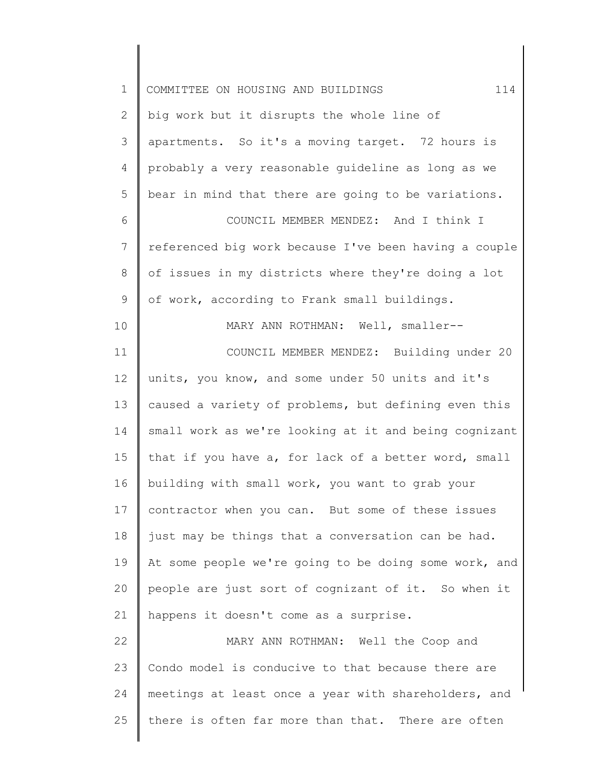| $\mathbf 1$    | 114<br>COMMITTEE ON HOUSING AND BUILDINGS             |
|----------------|-------------------------------------------------------|
| $\overline{2}$ | big work but it disrupts the whole line of            |
| 3              | apartments. So it's a moving target. 72 hours is      |
| 4              | probably a very reasonable guideline as long as we    |
| 5              | bear in mind that there are going to be variations.   |
| 6              | COUNCIL MEMBER MENDEZ: And I think I                  |
| 7              | referenced big work because I've been having a couple |
| 8              | of issues in my districts where they're doing a lot   |
| 9              | of work, according to Frank small buildings.          |
| 10             | MARY ANN ROTHMAN: Well, smaller--                     |
| 11             | COUNCIL MEMBER MENDEZ: Building under 20              |
| 12             | units, you know, and some under 50 units and it's     |
| 13             | caused a variety of problems, but defining even this  |
| 14             | small work as we're looking at it and being cognizant |
| 15             | that if you have a, for lack of a better word, small  |
| 16             | building with small work, you want to grab your       |
| 17             | contractor when you can. But some of these issues     |
| 18             | just may be things that a conversation can be had.    |
| 19             | At some people we're going to be doing some work, and |
| 20             | people are just sort of cognizant of it. So when it   |
| 21             | happens it doesn't come as a surprise.                |
| 22             | MARY ANN ROTHMAN: Well the Coop and                   |
| 23             | Condo model is conducive to that because there are    |
| 24             | meetings at least once a year with shareholders, and  |
| 25             | there is often far more than that. There are often    |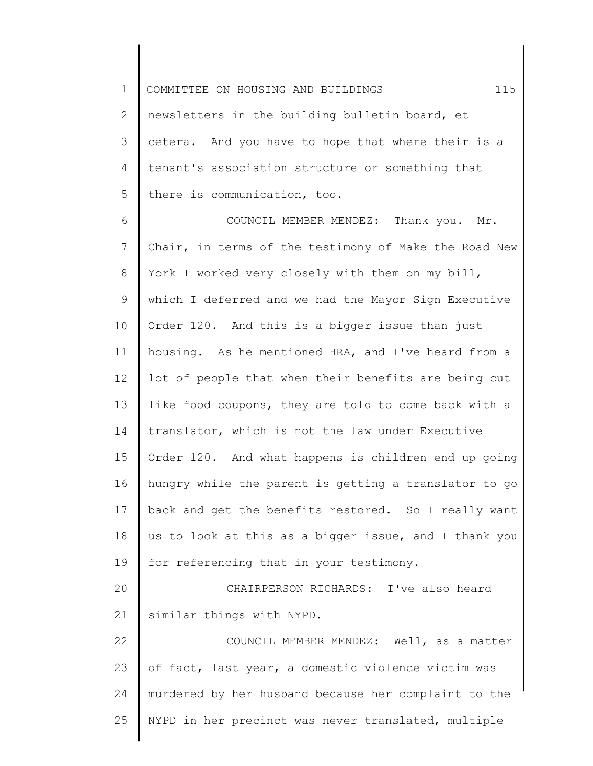1 2 3 4 5 COMMITTEE ON HOUSING AND BUILDINGS 115 newsletters in the building bulletin board, et cetera. And you have to hope that where their is a tenant's association structure or something that there is communication, too.

6 7 8 9 10 11 12 13 14 15 16 17 18 19 20 21 22 COUNCIL MEMBER MENDEZ: Thank you. Mr. Chair, in terms of the testimony of Make the Road New York I worked very closely with them on my bill, which I deferred and we had the Mayor Sign Executive Order 120. And this is a bigger issue than just housing. As he mentioned HRA, and I've heard from a lot of people that when their benefits are being cut like food coupons, they are told to come back with a translator, which is not the law under Executive Order 120. And what happens is children end up going hungry while the parent is getting a translator to go back and get the benefits restored. So I really want us to look at this as a bigger issue, and I thank you for referencing that in your testimony. CHAIRPERSON RICHARDS: I've also heard similar things with NYPD. COUNCIL MEMBER MENDEZ: Well, as a matter

23 24 25 of fact, last year, a domestic violence victim was murdered by her husband because her complaint to the NYPD in her precinct was never translated, multiple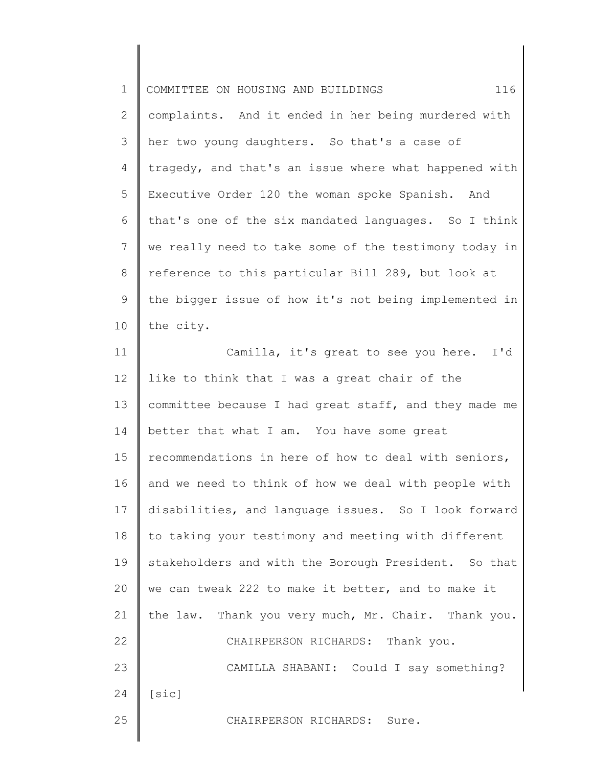| $\mathbf 1$    | 116<br>COMMITTEE ON HOUSING AND BUILDINGS             |
|----------------|-------------------------------------------------------|
| $\overline{2}$ | complaints. And it ended in her being murdered with   |
| 3              | her two young daughters. So that's a case of          |
| 4              | tragedy, and that's an issue where what happened with |
| 5              | Executive Order 120 the woman spoke Spanish. And      |
| 6              | that's one of the six mandated languages. So I think  |
| 7              | we really need to take some of the testimony today in |
| $\,8\,$        | reference to this particular Bill 289, but look at    |
| $\mathsf 9$    | the bigger issue of how it's not being implemented in |
| 10             | the city.                                             |
| 11             | Camilla, it's great to see you here. I'd              |
| 12             | like to think that I was a great chair of the         |
| 13             | committee because I had great staff, and they made me |
| 14             | better that what I am. You have some great            |
| 15             | recommendations in here of how to deal with seniors,  |
| 16             | and we need to think of how we deal with people with  |
| 17             | disabilities, and language issues. So I look forward  |
| 18             | to taking your testimony and meeting with different   |
| 19             | stakeholders and with the Borough President. So that  |
| 20             | we can tweak 222 to make it better, and to make it    |
| 21             | the law. Thank you very much, Mr. Chair. Thank you.   |
| 22             | CHAIRPERSON RICHARDS: Thank you.                      |
| 23             | CAMILLA SHABANI: Could I say something?               |
| 24             | [sic]                                                 |
| 25             | CHAIRPERSON RICHARDS: Sure.                           |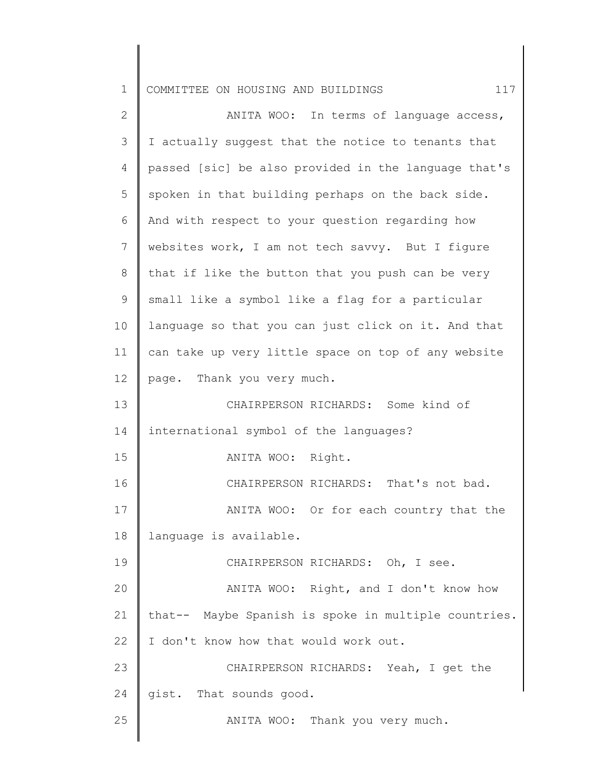1 COMMITTEE ON HOUSING AND BUILDINGS  $117$ 

2 3 4 5 6 7 8 9 10 11 12 13 14 15 16 17 18 19 20 21 22 23 24 25 ANITA WOO: In terms of language access, I actually suggest that the notice to tenants that passed [sic] be also provided in the language that's spoken in that building perhaps on the back side. And with respect to your question regarding how websites work, I am not tech savvy. But I figure that if like the button that you push can be very small like a symbol like a flag for a particular language so that you can just click on it. And that can take up very little space on top of any website page. Thank you very much. CHAIRPERSON RICHARDS: Some kind of international symbol of the languages? ANITA WOO: Right. CHAIRPERSON RICHARDS: That's not bad. ANITA WOO: Or for each country that the language is available. CHAIRPERSON RICHARDS: Oh, I see. ANITA WOO: Right, and I don't know how that-- Maybe Spanish is spoke in multiple countries. I don't know how that would work out. CHAIRPERSON RICHARDS: Yeah, I get the gist. That sounds good. ANITA WOO: Thank you very much.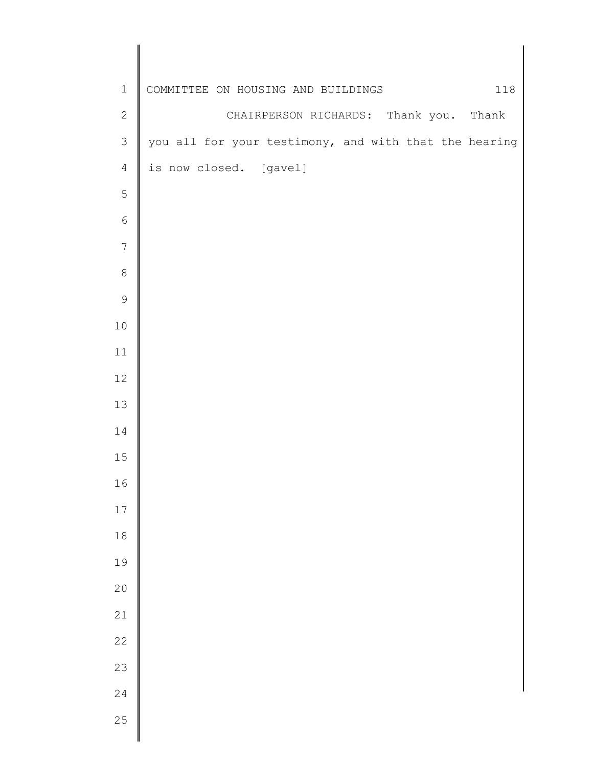| $\mathbbm{1}$  | COMMITTEE ON HOUSING AND BUILDINGS<br>118             |
|----------------|-------------------------------------------------------|
| $\sqrt{2}$     | CHAIRPERSON RICHARDS: Thank you. Thank                |
| $\mathfrak{Z}$ | you all for your testimony, and with that the hearing |
| $\overline{4}$ | is now closed. [gavel]                                |
| 5              |                                                       |
| $\epsilon$     |                                                       |
| $\overline{7}$ |                                                       |
| $\,8\,$        |                                                       |
| $\mathsf 9$    |                                                       |
| $1\,0$         |                                                       |
| $11\,$         |                                                       |
| 12             |                                                       |
| 13             |                                                       |
| 14             |                                                       |
| 15             |                                                       |
| 16             |                                                       |
| $17\,$         |                                                       |
| $1\,8$         |                                                       |
| 19             |                                                       |
| 20             |                                                       |
| 21             |                                                       |
| 22             |                                                       |
| 23             |                                                       |
| 24             |                                                       |
| 25             |                                                       |
|                |                                                       |